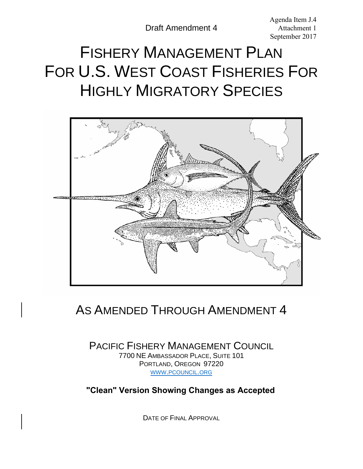Agenda Item J.4 Attachment 1 September 2017

# FISHERY MANAGEMENT PLAN FOR U.S. WEST COAST FISHERIES FOR HIGHLY MIGRATORY SPECIES



# AS AMENDED THROUGH AMENDMENT 4

PACIFIC FISHERY MANAGEMENT COUNCIL 7700 NE AMBASSADOR PLACE, SUITE 101 PORTLAND, OREGON 97220 [WWW.PCOUNCIL.ORG](http://www.pcouncil.org/)

**"Clean" Version Showing Changes as Accepted**

DATE OF FINAL APPROVAL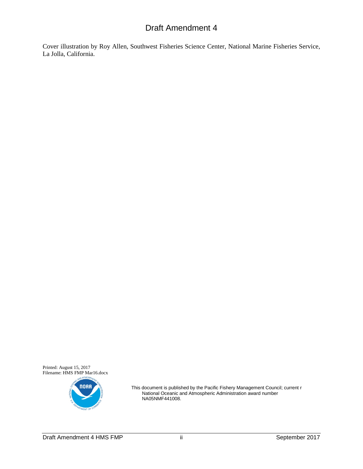Cover illustration by Roy Allen, Southwest Fisheries Science Center, National Marine Fisheries Service, La Jolla, California.

Printed: August 15, 2017 Filename: HMS FMP Mar16.docx



This document is published by the Pacific Fishery Management Council; current r National Oceanic and Atmospheric Administration award number NA05NMF441008.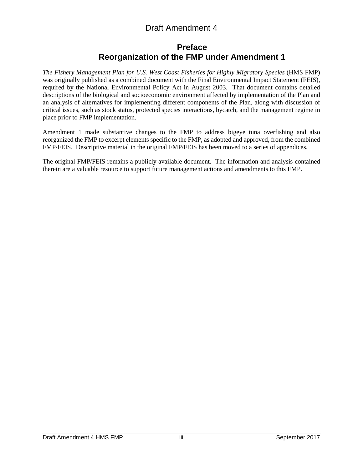# **Preface Reorganization of the FMP under Amendment 1**

<span id="page-2-0"></span>*The Fishery Management Plan for U.S. West Coast Fisheries for Highly Migratory Species* (HMS FMP) was originally published as a combined document with the Final Environmental Impact Statement (FEIS), required by the National Environmental Policy Act in August 2003. That document contains detailed descriptions of the biological and socioeconomic environment affected by implementation of the Plan and an analysis of alternatives for implementing different components of the Plan, along with discussion of critical issues, such as stock status, protected species interactions, bycatch, and the management regime in place prior to FMP implementation.

Amendment 1 made substantive changes to the FMP to address bigeye tuna overfishing and also reorganized the FMP to excerpt elements specific to the FMP, as adopted and approved, from the combined FMP/FEIS. Descriptive material in the original FMP/FEIS has been moved to a series of appendices.

The original FMP/FEIS remains a publicly available document. The information and analysis contained therein are a valuable resource to support future management actions and amendments to this FMP.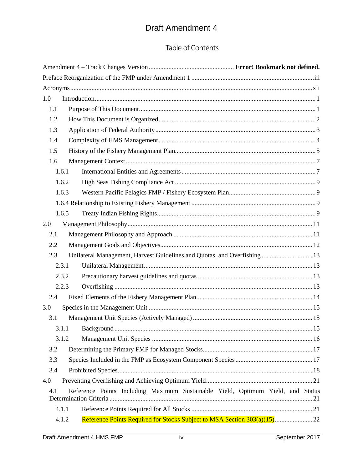# Table of Contents

| 1.0   |                                                                                 |  |
|-------|---------------------------------------------------------------------------------|--|
| 1.1   |                                                                                 |  |
| 1.2   |                                                                                 |  |
| 1.3   |                                                                                 |  |
| 1.4   |                                                                                 |  |
| 1.5   |                                                                                 |  |
| 1.6   |                                                                                 |  |
| 1.6.1 |                                                                                 |  |
| 1.6.2 |                                                                                 |  |
| 1.6.3 |                                                                                 |  |
|       |                                                                                 |  |
| 1.6.5 |                                                                                 |  |
| 2.0   |                                                                                 |  |
| 2.1   |                                                                                 |  |
| 2.2   |                                                                                 |  |
| 2.3   | Unilateral Management, Harvest Guidelines and Quotas, and Overfishing 13        |  |
| 2.3.1 |                                                                                 |  |
| 2.3.2 |                                                                                 |  |
| 2.2.3 |                                                                                 |  |
| 2.4   |                                                                                 |  |
| 3.0   |                                                                                 |  |
| 3.1   |                                                                                 |  |
|       |                                                                                 |  |
| 3.1.2 |                                                                                 |  |
| 3.2   |                                                                                 |  |
| 3.3   |                                                                                 |  |
| 3.4   |                                                                                 |  |
| 4.0   |                                                                                 |  |
| 4.1   | Reference Points Including Maximum Sustainable Yield, Optimum Yield, and Status |  |
| 4.1.1 |                                                                                 |  |
| 4.1.2 |                                                                                 |  |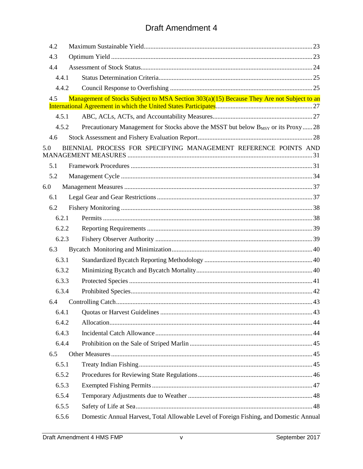| 4.2   |                                                                                           |
|-------|-------------------------------------------------------------------------------------------|
| 4.3   |                                                                                           |
| 4.4   |                                                                                           |
| 4.4.1 |                                                                                           |
| 4.4.2 |                                                                                           |
| 4.5   | Management of Stocks Subject to MSA Section 303(a)(15) Because They Are not Subject to an |
|       |                                                                                           |
| 4.5.1 |                                                                                           |
| 4.5.2 | Precautionary Management for Stocks above the MSST but below BMSY or its Proxy  28        |
| 4.6   |                                                                                           |
| 5.0   | BIENNIAL PROCESS FOR SPECIFYING MANAGEMENT REFERENCE POINTS AND                           |
| 5.1   |                                                                                           |
| 5.2   |                                                                                           |
| 6.0   |                                                                                           |
| 6.1   |                                                                                           |
| 6.2   |                                                                                           |
| 6.2.1 |                                                                                           |
| 6.2.2 |                                                                                           |
| 6.2.3 |                                                                                           |
| 6.3   |                                                                                           |
| 6.3.1 |                                                                                           |
| 6.3.2 |                                                                                           |
| 6.3.3 |                                                                                           |
| 6.3.4 |                                                                                           |
| 6.4   |                                                                                           |
| 6.4.1 |                                                                                           |
| 6.4.2 |                                                                                           |
| 6.4.3 |                                                                                           |
| 6.4.4 |                                                                                           |
| 6.5   |                                                                                           |
| 6.5.1 |                                                                                           |
| 6.5.2 |                                                                                           |
| 6.5.3 |                                                                                           |
| 6.5.4 |                                                                                           |
| 6.5.5 |                                                                                           |
| 6.5.6 | Domestic Annual Harvest, Total Allowable Level of Foreign Fishing, and Domestic Annual    |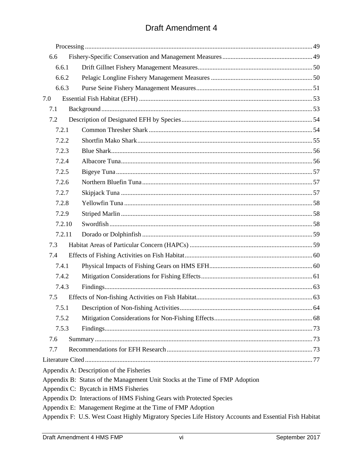| 6.6    |                                                                                                       |  |
|--------|-------------------------------------------------------------------------------------------------------|--|
| 6.6.1  |                                                                                                       |  |
| 6.6.2  |                                                                                                       |  |
| 6.6.3  |                                                                                                       |  |
| 7.0    |                                                                                                       |  |
| 7.1    |                                                                                                       |  |
| 7.2    |                                                                                                       |  |
| 7.2.1  |                                                                                                       |  |
| 7.2.2  |                                                                                                       |  |
| 7.2.3  |                                                                                                       |  |
| 7.2.4  |                                                                                                       |  |
| 7.2.5  |                                                                                                       |  |
| 7.2.6  |                                                                                                       |  |
| 7.2.7  |                                                                                                       |  |
| 7.2.8  |                                                                                                       |  |
| 7.2.9  |                                                                                                       |  |
| 7.2.10 |                                                                                                       |  |
| 7.2.11 |                                                                                                       |  |
| 7.3    |                                                                                                       |  |
| 7.4    |                                                                                                       |  |
| 7.4.1  |                                                                                                       |  |
| 7.4.2  |                                                                                                       |  |
| 7.4.3  |                                                                                                       |  |
| 7.5    |                                                                                                       |  |
|        |                                                                                                       |  |
| 7.5.2  |                                                                                                       |  |
| 7.5.3  |                                                                                                       |  |
| 7.6    |                                                                                                       |  |
| 7.7    |                                                                                                       |  |
|        |                                                                                                       |  |
|        | Appendix A: Description of the Fisheries                                                              |  |
|        | Appendix B: Status of the Management Unit Stocks at the Time of FMP Adoption                          |  |
|        | Appendix C: Bycatch in HMS Fisheries                                                                  |  |
|        | Appendix D: Interactions of HMS Fishing Gears with Protected Species                                  |  |
|        | Appendix E: Management Regime at the Time of FMP Adoption                                             |  |
|        | Appendix F: U.S. West Coast Highly Migratory Species Life History Accounts and Essential Fish Habitat |  |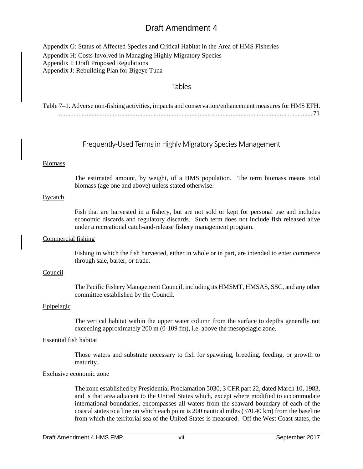Appendix G: Status of Affected Species and Critical Habitat in the Area of HMS Fisheries Appendix H: Costs Involved in Managing Highly Migratory Species Appendix I: Draft Proposed Regulations Appendix J: Rebuilding Plan for Bigeye Tuna

### Tables

| Table 7-1. Adverse non-fishing activities, impacts and conservation/enhancement measures for HMS EFH. |
|-------------------------------------------------------------------------------------------------------|
|                                                                                                       |

### Frequently-Used Terms in Highly Migratory Species Management

#### Biomass

The estimated amount, by weight, of a HMS population. The term biomass means total biomass (age one and above) unless stated otherwise.

#### Bycatch

Fish that are harvested in a fishery, but are not sold or kept for personal use and includes economic discards and regulatory discards. Such term does not include fish released alive under a recreational catch-and-release fishery management program.

#### Commercial fishing

Fishing in which the fish harvested, either in whole or in part, are intended to enter commerce through sale, barter, or trade.

#### Council

The Pacific Fishery Management Council, including its HMSMT, HMSAS, SSC, and any other committee established by the Council.

#### Epipelagic

The vertical habitat within the upper water column from the surface to depths generally not exceeding approximately 200 m (0-109 fm), i.e. above the mesopelagic zone.

### Essential fish habitat

Those waters and substrate necessary to fish for spawning, breeding, feeding, or growth to maturity.

#### Exclusive economic zone

The zone established by Presidential Proclamation 5030, 3 CFR part 22, dated March 10, 1983, and is that area adjacent to the United States which, except where modified to accommodate international boundaries, encompasses all waters from the seaward boundary of each of the coastal states to a line on which each point is 200 nautical miles (370.40 km) from the baseline from which the territorial sea of the United States is measured. Off the West Coast states, the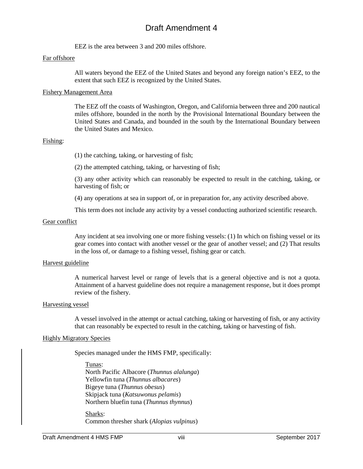EEZ is the area between 3 and 200 miles offshore.

#### Far offshore

All waters beyond the EEZ of the United States and beyond any foreign nation's EEZ, to the extent that such EEZ is recognized by the United States.

#### Fishery Management Area

The EEZ off the coasts of Washington, Oregon, and California between three and 200 nautical miles offshore, bounded in the north by the Provisional International Boundary between the United States and Canada, and bounded in the south by the International Boundary between the United States and Mexico.

#### Fishing:

(1) the catching, taking, or harvesting of fish;

(2) the attempted catching, taking, or harvesting of fish;

(3) any other activity which can reasonably be expected to result in the catching, taking, or harvesting of fish; or

(4) any operations at sea in support of, or in preparation for, any activity described above.

This term does not include any activity by a vessel conducting authorized scientific research.

#### Gear conflict

Any incident at sea involving one or more fishing vessels: (1) In which on fishing vessel or its gear comes into contact with another vessel or the gear of another vessel; and (2) That results in the loss of, or damage to a fishing vessel, fishing gear or catch.

#### Harvest guideline

A numerical harvest level or range of levels that is a general objective and is not a quota. Attainment of a harvest guideline does not require a management response, but it does prompt review of the fishery.

#### Harvesting vessel

A vessel involved in the attempt or actual catching, taking or harvesting of fish, or any activity that can reasonably be expected to result in the catching, taking or harvesting of fish.

#### Highly Migratory Species

Species managed under the HMS FMP, specifically:

Tunas: North Pacific Albacore (*Thunnus alalunga*) Yellowfin tuna (*Thunnus albacares*) Bigeye tuna (*Thunnus obesus*) Skipjack tuna (*Katsuwonus pelamis*) Northern bluefin tuna (*Thunnus thynnus*)

Sharks: Common thresher shark (*Alopias vulpinus*)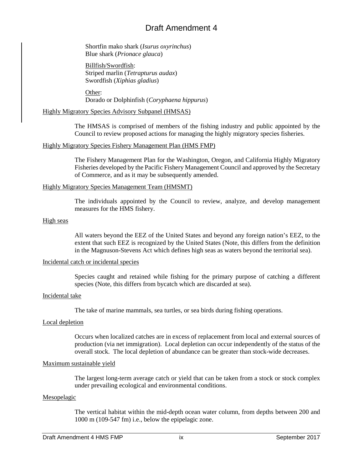Shortfin mako shark (*Isurus oxyrinchus*) Blue shark (*Prionace glauca*)

Billfish/Swordfish: Striped marlin (*Tetrapturus audax*) Swordfish (*Xiphias gladius*)

Other: Dorado or Dolphinfish (*Coryphaena hippurus*)

#### Highly Migratory Species Advisory Subpanel (HMSAS)

The HMSAS is comprised of members of the fishing industry and public appointed by the Council to review proposed actions for managing the highly migratory species fisheries.

#### Highly Migratory Species Fishery Management Plan (HMS FMP)

The Fishery Management Plan for the Washington, Oregon, and California Highly Migratory Fisheries developed by the Pacific Fishery Management Council and approved by the Secretary of Commerce, and as it may be subsequently amended.

#### Highly Migratory Species Management Team (HMSMT)

The individuals appointed by the Council to review, analyze, and develop management measures for the HMS fishery.

#### High seas

All waters beyond the EEZ of the United States and beyond any foreign nation's EEZ, to the extent that such EEZ is recognized by the United States (Note, this differs from the definition in the Magnuson-Stevens Act which defines high seas as waters beyond the territorial sea).

#### Incidental catch or incidental species

Species caught and retained while fishing for the primary purpose of catching a different species (Note, this differs from bycatch which are discarded at sea).

#### Incidental take

The take of marine mammals, sea turtles, or sea birds during fishing operations.

#### Local depletion

Occurs when localized catches are in excess of replacement from local and external sources of production (via net immigration). Local depletion can occur independently of the status of the overall stock. The local depletion of abundance can be greater than stock-wide decreases.

#### Maximum sustainable yield

The largest long-term average catch or yield that can be taken from a stock or stock complex under prevailing ecological and environmental conditions.

#### Mesopelagic

The vertical habitat within the mid-depth ocean water column, from depths between 200 and 1000 m (109-547 fm) i.e., below the epipelagic zone.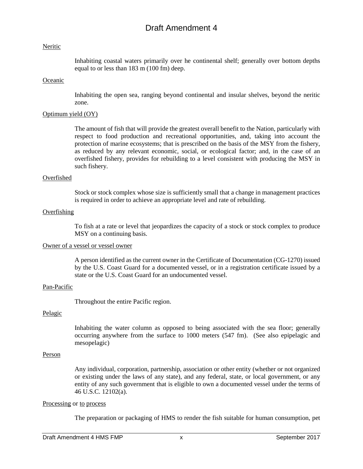#### Neritic

Inhabiting coastal waters primarily over he continental shelf; generally over bottom depths equal to or less than 183 m (100 fm) deep.

#### **Oceanic**

Inhabiting the open sea, ranging beyond continental and insular shelves, beyond the neritic zone.

#### Optimum yield (OY)

The amount of fish that will provide the greatest overall benefit to the Nation, particularly with respect to food production and recreational opportunities, and, taking into account the protection of marine ecosystems; that is prescribed on the basis of the MSY from the fishery, as reduced by any relevant economic, social, or ecological factor; and, in the case of an overfished fishery, provides for rebuilding to a level consistent with producing the MSY in such fishery.

#### Overfished

Stock or stock complex whose size is sufficiently small that a change in management practices is required in order to achieve an appropriate level and rate of rebuilding.

#### **Overfishing**

To fish at a rate or level that jeopardizes the capacity of a stock or stock complex to produce MSY on a continuing basis.

#### Owner of a vessel or vessel owner

A person identified as the current owner in the Certificate of Documentation (CG-1270) issued by the U.S. Coast Guard for a documented vessel, or in a registration certificate issued by a state or the U.S. Coast Guard for an undocumented vessel.

#### Pan-Pacific

Throughout the entire Pacific region.

#### Pelagic

Inhabiting the water column as opposed to being associated with the sea floor; generally occurring anywhere from the surface to 1000 meters (547 fm). (See also epipelagic and mesopelagic)

#### Person

Any individual, corporation, partnership, association or other entity (whether or not organized or existing under the laws of any state), and any federal, state, or local government, or any entity of any such government that is eligible to own a documented vessel under the terms of 46 U.S.C. 12102(a).

#### Processing or to process

The preparation or packaging of HMS to render the fish suitable for human consumption, pet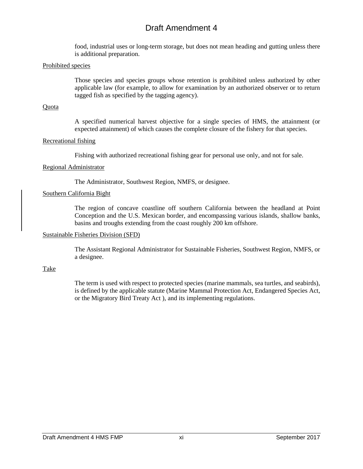food, industrial uses or long-term storage, but does not mean heading and gutting unless there is additional preparation.

#### Prohibited species

Those species and species groups whose retention is prohibited unless authorized by other applicable law (for example, to allow for examination by an authorized observer or to return tagged fish as specified by the tagging agency).

#### **Quota**

A specified numerical harvest objective for a single species of HMS, the attainment (or expected attainment) of which causes the complete closure of the fishery for that species.

#### Recreational fishing

Fishing with authorized recreational fishing gear for personal use only, and not for sale.

#### Regional Administrator

The Administrator, Southwest Region, NMFS, or designee.

#### Southern California Bight

The region of concave coastline off southern California between the headland at Point Conception and the U.S. Mexican border, and encompassing various islands, shallow banks, basins and troughs extending from the coast roughly 200 km offshore.

#### Sustainable Fisheries Division (SFD)

The Assistant Regional Administrator for Sustainable Fisheries, Southwest Region, NMFS, or a designee.

#### Take

The term is used with respect to protected species (marine mammals, sea turtles, and seabirds), is defined by the applicable statute (Marine Mammal Protection Act, Endangered Species Act, or the Migratory Bird Treaty Act ), and its implementing regulations.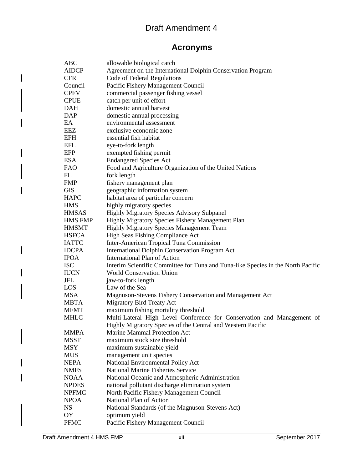# **Acronyms**

<span id="page-11-0"></span>

| <b>ABC</b>     | allowable biological catch                                                       |
|----------------|----------------------------------------------------------------------------------|
| <b>AIDCP</b>   | Agreement on the International Dolphin Conservation Program                      |
| <b>CFR</b>     | Code of Federal Regulations                                                      |
| Council        | Pacific Fishery Management Council                                               |
| <b>CPFV</b>    | commercial passenger fishing vessel                                              |
| <b>CPUE</b>    | catch per unit of effort                                                         |
| <b>DAH</b>     | domestic annual harvest                                                          |
| <b>DAP</b>     | domestic annual processing                                                       |
| EA             | environmental assessment                                                         |
| EEZ            | exclusive economic zone                                                          |
| <b>EFH</b>     | essential fish habitat                                                           |
| EFL            | eye-to-fork length                                                               |
| EFP            | exempted fishing permit                                                          |
| <b>ESA</b>     | <b>Endangered Species Act</b>                                                    |
| <b>FAO</b>     | Food and Agriculture Organization of the United Nations                          |
| FL             | fork length                                                                      |
| <b>FMP</b>     | fishery management plan                                                          |
| <b>GIS</b>     | geographic information system                                                    |
| <b>HAPC</b>    | habitat area of particular concern                                               |
| <b>HMS</b>     | highly migratory species                                                         |
| <b>HMSAS</b>   | Highly Migratory Species Advisory Subpanel                                       |
| <b>HMS FMP</b> | Highly Migratory Species Fishery Management Plan                                 |
| <b>HMSMT</b>   | Highly Migratory Species Management Team                                         |
| <b>HSFCA</b>   | High Seas Fishing Compliance Act                                                 |
| <b>IATTC</b>   | Inter-American Tropical Tuna Commission                                          |
| <b>IDCPA</b>   | <b>International Dolphin Conservation Program Act</b>                            |
| <b>IPOA</b>    | International Plan of Action                                                     |
| <b>ISC</b>     | Interim Scientific Committee for Tuna and Tuna-like Species in the North Pacific |
| <b>IUCN</b>    | World Conservation Union                                                         |
| <b>JFL</b>     | jaw-to-fork length                                                               |
| <b>LOS</b>     | Law of the Sea                                                                   |
| <b>MSA</b>     | Magnuson-Stevens Fishery Conservation and Management Act                         |
| <b>MBTA</b>    | <b>Migratory Bird Treaty Act</b>                                                 |
| <b>MFMT</b>    | maximum fishing mortality threshold                                              |
| <b>MHLC</b>    | Multi-Lateral High Level Conference for Conservation and Management of           |
|                | Highly Migratory Species of the Central and Western Pacific                      |
| <b>MMPA</b>    | <b>Marine Mammal Protection Act</b>                                              |
| <b>MSST</b>    | maximum stock size threshold                                                     |
| <b>MSY</b>     | maximum sustainable yield                                                        |
| <b>MUS</b>     | management unit species                                                          |
| <b>NEPA</b>    | National Environmental Policy Act                                                |
| <b>NMFS</b>    | <b>National Marine Fisheries Service</b>                                         |
| <b>NOAA</b>    | National Oceanic and Atmospheric Administration                                  |
| <b>NPDES</b>   | national pollutant discharge elimination system                                  |
| <b>NPFMC</b>   | North Pacific Fishery Management Council                                         |
| <b>NPOA</b>    | National Plan of Action                                                          |
| <b>NS</b>      | National Standards (of the Magnuson-Stevens Act)                                 |
| OY             | optimum yield                                                                    |
| <b>PFMC</b>    | Pacific Fishery Management Council                                               |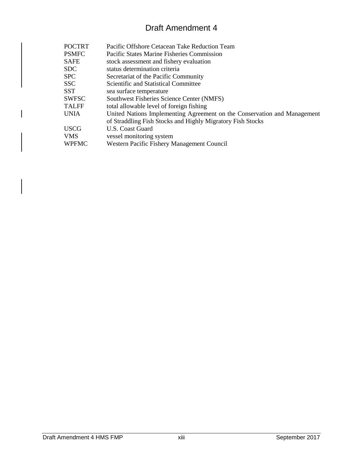| <b>POCTRT</b> | Pacific Offshore Cetacean Take Reduction Team                            |
|---------------|--------------------------------------------------------------------------|
| <b>PSMFC</b>  | Pacific States Marine Fisheries Commission                               |
| <b>SAFE</b>   | stock assessment and fishery evaluation                                  |
| <b>SDC</b>    | status determination criteria                                            |
| <b>SPC</b>    | Secretariat of the Pacific Community                                     |
| <b>SSC</b>    | Scientific and Statistical Committee                                     |
| <b>SST</b>    | sea surface temperature                                                  |
| <b>SWFSC</b>  | Southwest Fisheries Science Center (NMFS)                                |
| <b>TALFF</b>  | total allowable level of foreign fishing                                 |
| <b>UNIA</b>   | United Nations Implementing Agreement on the Conservation and Management |
|               | of Straddling Fish Stocks and Highly Migratory Fish Stocks               |
| <b>USCG</b>   | U.S. Coast Guard                                                         |
| <b>VMS</b>    | vessel monitoring system                                                 |
| <b>WPFMC</b>  | Western Pacific Fishery Management Council                               |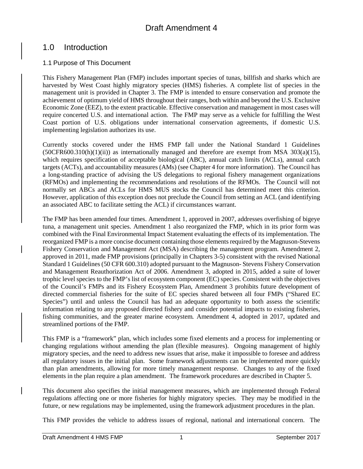# <span id="page-13-0"></span>1.0 Introduction

# <span id="page-13-1"></span>1.1 Purpose of This Document

This Fishery Management Plan (FMP) includes important species of tunas, billfish and sharks which are harvested by West Coast highly migratory species (HMS) fisheries. A complete list of species in the management unit is provided in Chapter 3. The FMP is intended to ensure conservation and promote the achievement of optimum yield of HMS throughout their ranges, both within and beyond the U.S. Exclusive Economic Zone (EEZ), to the extent practicable. Effective conservation and management in most cases will require concerted U.S. and international action. The FMP may serve as a vehicle for fulfilling the West Coast portion of U.S. obligations under international conservation agreements, if domestic U.S. implementing legislation authorizes its use.

Currently stocks covered under the HMS FMP fall under the National Standard 1 Guidelines  $(50CFR600.310(h)(1)(ii))$  as internationally managed and therefore are exempt from MSA 303(a)(15), which requires specification of acceptable biological (ABC), annual catch limits (ACLs), annual catch targets (ACTs), and accountability measures (AMs) (see Chapter 4 for more information). The Council has a long-standing practice of advising the US delegations to regional fishery management organizations (RFMOs) and implementing the recommendations and resolutions of the RFMOs. The Council will not normally set ABCs and ACLs for HMS MUS stocks the Council has determined meet this criterion. However, application of this exception does not preclude the Council from setting an ACL (and identifying an associated ABC to facilitate setting the ACL) if circumstances warrant.

The FMP has been amended four times. Amendment 1, approved in 2007, addresses overfishing of bigeye tuna, a management unit species. Amendment 1 also reorganized the FMP, which in its prior form was combined with the Final Environmental Impact Statement evaluating the effects of its implementation. The reorganized FMP is a more concise document containing those elements required by the Magnuson-Stevens Fishery Conservation and Management Act (MSA) describing the management program. Amendment 2, approved in 2011, made FMP provisions (principally in Chapters 3-5) consistent with the revised National Standard 1 Guidelines (50 CFR 600.310) adopted pursuant to the Magnuson- Stevens Fishery Conservation and Management Reauthorization Act of 2006. Amendment 3, adopted in 2015, added a suite of lower trophic level species to the FMP's list of ecosystem component (EC) species. Consistent with the objectives of the Council's FMPs and its Fishery Ecosystem Plan, Amendment 3 prohibits future development of directed commercial fisheries for the suite of EC species shared between all four FMPs ("Shared EC Species") until and unless the Council has had an adequate opportunity to both assess the scientific information relating to any proposed directed fishery and consider potential impacts to existing fisheries, fishing communities, and the greater marine ecosystem*.* Amendment 4, adopted in 2017, updated and streamlined portions of the FMP.

This FMP is a "framework" plan, which includes some fixed elements and a process for implementing or changing regulations without amending the plan (flexible measures). Ongoing management of highly migratory species, and the need to address new issues that arise, make it impossible to foresee and address all regulatory issues in the initial plan. Some framework adjustments can be implemented more quickly than plan amendments, allowing for more timely management response. Changes to any of the fixed elements in the plan require a plan amendment. The framework procedures are described in Chapter 5.

This document also specifies the initial management measures, which are implemented through Federal regulations affecting one or more fisheries for highly migratory species. They may be modified in the future, or new regulations may be implemented, using the framework adjustment procedures in the plan.

This FMP provides the vehicle to address issues of regional, national and international concern. The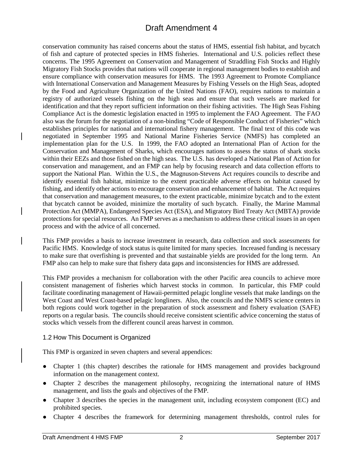conservation community has raised concerns about the status of HMS, essential fish habitat, and bycatch of fish and capture of protected species in HMS fisheries. International and U.S. policies reflect these concerns. The 1995 Agreement on Conservation and Management of Straddling Fish Stocks and Highly Migratory Fish Stocks provides that nations will cooperate in regional management bodies to establish and ensure compliance with conservation measures for HMS. The 1993 Agreement to Promote Compliance with International Conservation and Management Measures by Fishing Vessels on the High Seas, adopted by the Food and Agriculture Organization of the United Nations (FAO), requires nations to maintain a registry of authorized vessels fishing on the high seas and ensure that such vessels are marked for identification and that they report sufficient information on their fishing activities. The High Seas Fishing Compliance Act is the domestic legislation enacted in 1995 to implement the FAO Agreement. The FAO also was the forum for the negotiation of a non-binding "Code of Responsible Conduct of Fisheries" which establishes principles for national and international fishery management. The final text of this code was negotiated in September 1995 and National Marine Fisheries Service (NMFS) has completed an implementation plan for the U.S. In 1999, the FAO adopted an International Plan of Action for the Conservation and Management of Sharks, which encourages nations to assess the status of shark stocks within their EEZs and those fished on the high seas. The U.S. has developed a National Plan of Action for conservation and management, and an FMP can help by focusing research and data collection efforts to support the National Plan. Within the U.S., the Magnuson-Stevens Act requires councils to describe and identify essential fish habitat, minimize to the extent practicable adverse effects on habitat caused by fishing, and identify other actions to encourage conservation and enhancement of habitat. The Act requires that conservation and management measures, to the extent practicable, minimize bycatch and to the extent that bycatch cannot be avoided, minimize the mortality of such bycatch. Finally, the Marine Mammal Protection Act (MMPA), Endangered Species Act (ESA), and Migratory Bird Treaty Act (MBTA) provide protections for special resources. An FMP serves as a mechanism to address these critical issues in an open process and with the advice of all concerned.

This FMP provides a basis to increase investment in research, data collection and stock assessments for Pacific HMS. Knowledge of stock status is quite limited for many species. Increased funding is necessary to make sure that overfishing is prevented and that sustainable yields are provided for the long term. An FMP also can help to make sure that fishery data gaps and inconsistencies for HMS are addressed.

This FMP provides a mechanism for collaboration with the other Pacific area councils to achieve more consistent management of fisheries which harvest stocks in common. In particular, this FMP could facilitate coordinating management of Hawaii-permitted pelagic longline vessels that make landings on the West Coast and West Coast-based pelagic longliners. Also, the councils and the NMFS science centers in both regions could work together in the preparation of stock assessment and fishery evaluation (SAFE) reports on a regular basis. The councils should receive consistent scientific advice concerning the status of stocks which vessels from the different council areas harvest in common.

# <span id="page-14-0"></span>1.2 How This Document is Organized

This FMP is organized in seven chapters and several appendices:

- Chapter 1 (this chapter) describes the rationale for HMS management and provides background information on the management context.
- Chapter 2 describes the management philosophy, recognizing the international nature of HMS management, and lists the goals and objectives of the FMP.
- Chapter 3 describes the species in the management unit, including ecosystem component (EC) and prohibited species.
- Chapter 4 describes the framework for determining management thresholds, control rules for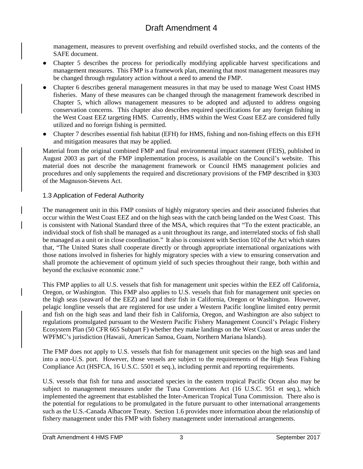management, measures to prevent overfishing and rebuild overfished stocks, and the contents of the SAFE document.

- Chapter 5 describes the process for periodically modifying applicable harvest specifications and management measures. This FMP is a framework plan, meaning that most management measures may be changed through regulatory action without a need to amend the FMP.
- Chapter 6 describes general management measures in that may be used to manage West Coast HMS fisheries. Many of these measures can be changed through the management framework described in Chapter 5, which allows management measures to be adopted and adjusted to address ongoing conservation concerns. This chapter also describes required specifications for any foreign fishing in the West Coast EEZ targeting HMS. Currently, HMS within the West Coast EEZ are considered fully utilized and no foreign fishing is permitted.
- Chapter 7 describes essential fish habitat (EFH) for HMS, fishing and non-fishing effects on this EFH and mitigation measures that may be applied.

Material from the original combined FMP and final environmental impact statement (FEIS), published in August 2003 as part of the FMP implementation process, is available on the Council's website. This material does not describe the management framework or Council HMS management policies and procedures and only supplements the required and discretionary provisions of the FMP described in §303 of the Magnuson-Stevens Act.

# <span id="page-15-0"></span>1.3 Application of Federal Authority

The management unit in this FMP consists of highly migratory species and their associated fisheries that occur within the West Coast EEZ and on the high seas with the catch being landed on the West Coast. This is consistent with National Standard three of the MSA, which requires that "To the extent practicable, an individual stock of fish shall be managed as a unit throughout its range, and interrelated stocks of fish shall be managed as a unit or in close coordination." It also is consistent with Section 102 of the Act which states that, "The United States shall cooperate directly or through appropriate international organizations with those nations involved in fisheries for highly migratory species with a view to ensuring conservation and shall promote the achievement of optimum yield of such species throughout their range, both within and beyond the exclusive economic zone."

This FMP applies to all U.S. vessels that fish for management unit species within the EEZ off California, Oregon, or Washington. This FMP also applies to U.S. vessels that fish for management unit species on the high seas (seaward of the EEZ) and land their fish in California, Oregon or Washington. However, pelagic longline vessels that are registered for use under a Western Pacific longline limited entry permit and fish on the high seas and land their fish in California, Oregon, and Washington are also subject to regulations promulgated pursuant to the Western Pacific Fishery Management Council's Pelagic Fishery Ecosystem Plan (50 CFR 665 Subpart F) whether they make landings on the West Coast or areas under the WPFMC's jurisdiction (Hawaii, American Samoa, Guam, Northern Mariana Islands).

The FMP does not apply to U.S. vessels that fish for management unit species on the high seas and land into a non-U.S. port. However, those vessels are subject to the requirements of the High Seas Fishing Compliance Act (HSFCA, 16 U.S.C. 5501 et seq.), including permit and reporting requirements.

U.S. vessels that fish for tuna and associated species in the eastern tropical Pacific Ocean also may be subject to management measures under the Tuna Conventions Act (16 U.S.C. 951 et seq.), which implemented the agreement that established the Inter-American Tropical Tuna Commission. There also is the potential for regulations to be promulgated in the future pursuant to other international arrangements such as the U.S.-Canada Albacore Treaty. Section 1.6 provides more information about the relationship of fishery management under this FMP with fishery management under international arrangements.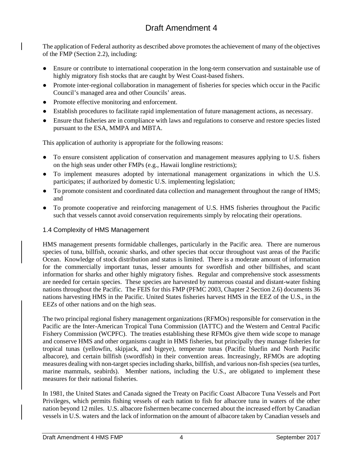The application of Federal authority as described above promotes the achievement of many of the objectives of the FMP (Section 2.2), including:

- Ensure or contribute to international cooperation in the long-term conservation and sustainable use of highly migratory fish stocks that are caught by West Coast-based fishers.
- Promote inter-regional collaboration in management of fisheries for species which occur in the Pacific Council's managed area and other Councils' areas.
- Promote effective monitoring and enforcement.
- Establish procedures to facilitate rapid implementation of future management actions, as necessary.
- Ensure that fisheries are in compliance with laws and regulations to conserve and restore species listed pursuant to the ESA, MMPA and MBTA.

This application of authority is appropriate for the following reasons:

- To ensure consistent application of conservation and management measures applying to U.S. fishers on the high seas under other FMPs (e.g., Hawaii longline restrictions);
- To implement measures adopted by international management organizations in which the U.S. participates; if authorized by domestic U.S. implementing legislation;
- To promote consistent and coordinated data collection and management throughout the range of HMS; and
- To promote cooperative and reinforcing management of U.S. HMS fisheries throughout the Pacific such that vessels cannot avoid conservation requirements simply by relocating their operations.

# <span id="page-16-0"></span>1.4 Complexity of HMS Management

HMS management presents formidable challenges, particularly in the Pacific area. There are numerous species of tuna, billfish, oceanic sharks, and other species that occur throughout vast areas of the Pacific Ocean. Knowledge of stock distribution and status is limited. There is a moderate amount of information for the commercially important tunas, lesser amounts for swordfish and other billfishes, and scant information for sharks and other highly migratory fishes. Regular and comprehensive stock assessments are needed for certain species. These species are harvested by numerous coastal and distant-water fishing nations throughout the Pacific. The FEIS for this FMP (PFMC 2003, Chapter 2 Section 2.6) documents 36 nations harvesting HMS in the Pacific. United States fisheries harvest HMS in the EEZ of the U.S., in the EEZs of other nations and on the high seas.

The two principal regional fishery management organizations (RFMOs) responsible for conservation in the Pacific are the Inter-American Tropical Tuna Commission (IATTC) and the Western and Central Pacific Fishery Commission (WCPFC). The treaties establishing these RFMOs give them wide scope to manage and conserve HMS and other organisms caught in HMS fisheries, but principally they manage fisheries for tropical tunas (yellowfin, skipjack, and bigeye), temperate tunas (Pacific bluefin and North Pacific albacore), and certain billfish (swordfish) in their convention areas. Increasingly, RFMOs are adopting measures dealing with non-target species including sharks, billfish, and various non-fish species (sea turtles, marine mammals, seabirds). Member nations, including the U.S., are obligated to implement these measures for their national fisheries.

In 1981, the United States and Canada signed the Treaty on Pacific Coast Albacore Tuna Vessels and Port Privileges, which permits fishing vessels of each nation to fish for albacore tuna in waters of the other nation beyond 12 miles. U.S. albacore fishermen became concerned about the increased effort by Canadian vessels in U.S. waters and the lack of information on the amount of albacore taken by Canadian vessels and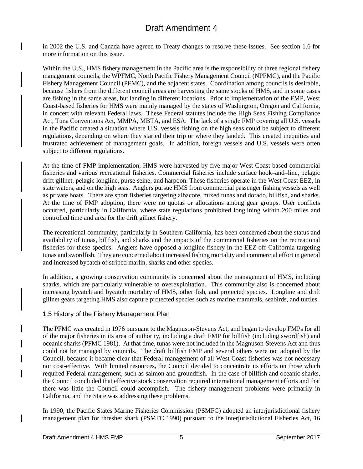in 2002 the U.S. and Canada have agreed to Treaty changes to resolve these issues. See section 1.6 for more information on this issue.

Within the U.S., HMS fishery management in the Pacific area is the responsibility of three regional fishery management councils, the WPFMC, North Pacific Fishery Management Council (NPFMC), and the Pacific Fishery Management Council (PFMC), and the adjacent states. Coordination among councils is desirable, because fishers from the different council areas are harvesting the same stocks of HMS, and in some cases are fishing in the same areas, but landing in different locations. Prior to implementation of the FMP, West Coast-based fisheries for HMS were mainly managed by the states of Washington, Oregon and California, in concert with relevant Federal laws. These Federal statutes include the High Seas Fishing Compliance Act, Tuna Conventions Act, MMPA, MBTA, and ESA. The lack of a single FMP covering all U.S. vessels in the Pacific created a situation where U.S. vessels fishing on the high seas could be subject to different regulations, depending on where they started their trip or where they landed. This created inequities and frustrated achievement of management goals. In addition, foreign vessels and U.S. vessels were often subject to different regulations.

At the time of FMP implementation, HMS were harvested by five major West Coast-based commercial fisheries and various recreational fisheries. Commercial fisheries include surface hook–and–line, pelagic drift gillnet, pelagic longline, purse seine, and harpoon. These fisheries operate in the West Coast EEZ, in state waters, and on the high seas. Anglers pursue HMS from commercial passenger fishing vessels as well as private boats. There are sport fisheries targeting albacore, mixed tunas and dorado, billfish, and sharks. At the time of FMP adoption, there were no quotas or allocations among gear groups. User conflicts occurred, particularly in California, where state regulations prohibited longlining within 200 miles and controlled time and area for the drift gillnet fishery.

The recreational community, particularly in Southern California, has been concerned about the status and availability of tunas, billfish, and sharks and the impacts of the commercial fisheries on the recreational fisheries for these species. Anglers have opposed a longline fishery in the EEZ off California targeting tunas and swordfish. They are concerned about increased fishing mortality and commercial effort in general and increased bycatch of striped marlin, sharks and other species.

In addition, a growing conservation community is concerned about the management of HMS, including sharks, which are particularly vulnerable to overexploitation. This community also is concerned about increasing bycatch and bycatch mortality of HMS, other fish, and protected species. Longline and drift gillnet gears targeting HMS also capture protected species such as marine mammals, seabirds, and turtles.

### <span id="page-17-0"></span>1.5 History of the Fishery Management Plan

The PFMC was created in 1976 pursuant to the Magnuson-Stevens Act, and began to develop FMPs for all of the major fisheries in its area of authority, including a draft FMP for billfish (including swordfish) and oceanic sharks (PFMC 1981). At that time, tunas were not included in the Magnuson-Stevens Act and thus could not be managed by councils. The draft billfish FMP and several others were not adopted by the Council, because it became clear that Federal management of all West Coast fisheries was not necessary nor cost-effective. With limited resources, the Council decided to concentrate its efforts on those which required Federal management, such as salmon and groundfish. In the case of billfish and oceanic sharks, the Council concluded that effective stock conservation required international management efforts and that there was little the Council could accomplish. The fishery management problems were primarily in California, and the State was addressing these problems.

In 1990, the Pacific States Marine Fisheries Commission (PSMFC) adopted an interjurisdictional fishery management plan for thresher shark (PSMFC 1990) pursuant to the Interjurisdictional Fisheries Act, 16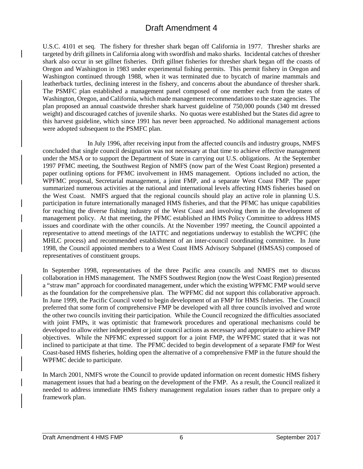<span id="page-18-0"></span>U.S.C. 4101 et seq. The fishery for thresher shark began off California in 1977. Thresher sharks are targeted by drift gillnets in California along with swordfish and mako sharks. Incidental catches of thresher shark also occur in set gillnet fisheries. Drift gillnet fisheries for thresher shark began off the coasts of Oregon and Washington in 1983 under experimental fishing permits. This permit fishery in Oregon and Washington continued through 1988, when it was terminated due to bycatch of marine mammals and leatherback turtles, declining interest in the fishery, and concerns about the abundance of thresher shark. The PSMFC plan established a management panel composed of one member each from the states of Washington, Oregon, and California, which made management recommendations to the state agencies. The plan proposed an annual coastwide thresher shark harvest guideline of 750,000 pounds (340 mt dressed weight) and discouraged catches of juvenile sharks. No quotas were established but the States did agree to this harvest guideline, which since 1991 has never been approached. No additional management actions were adopted subsequent to the PSMFC plan.

In July 1996, after receiving input from the affected councils and industry groups[,](#page-18-0) NMFS concluded that single council designation was not necessary at that time to achieve effective management under the MSA or to support the Department of State in carrying out U.S. obligations. At the September 1997 PFMC meeting, the Southwest Region of NMFS (now part of the West Coast Region) presented a paper outlining options for PFMC involvement in HMS management. Options included no action, the WPFMC proposal, Secretarial management, a joint FMP, and a separate West Coast FMP. The paper summarized numerous activities at the national and international levels affecting HMS fisheries based on the West Coast. NMFS argued that the regional councils should play an active role in planning U.S. participation in future internationally managed HMS fisheries, and that the PFMC has unique capabilities for reaching the diverse fishing industry of the West Coast and involving them in the development of management policy. At that meeting, the PFMC established an HMS Policy Committee to address HMS issues and coordinate with the other councils. At the November 1997 meeting, the Council appointed a representative to attend meetings of the IATTC and negotiations underway to establish the WCPFC (the MHLC process) and recommended establishment of an inter-council coordinating committee. In June 1998, the Council appointed members to a West Coast HMS Advisory Subpanel (HMSAS) composed of representatives of constituent groups.

In September 1998, representatives of the three Pacific area councils and NMFS met to discuss collaboration in HMS management. The NMFS Southwest Region (now the West Coast Region) presented a "straw man" approach for coordinated management, under which the existing WPFMC FMP would serve as the foundation for the comprehensive plan. The WPFMC did not support this collaborative approach. In June 1999, the Pacific Council voted to begin development of an FMP for HMS fisheries. The Council preferred that some form of comprehensive FMP be developed with all three councils involved and wrote the other two councils inviting their participation. While the Council recognized the difficulties associated with joint FMPs, it was optimistic that framework procedures and operational mechanisms could be developed to allow either independent or joint council actions as necessary and appropriate to achieve FMP objectives. While the NPFMC expressed support for a joint FMP, the WPFMC stated that it was not inclined to participate at that time. The PFMC decided to begin development of a separate FMP for West Coast-based HMS fisheries, holding open the alternative of a comprehensive FMP in the future should the WPFMC decide to participate.

In March 2001, NMFS wrote the Council to provide updated information on recent domestic HMS fishery management issues that had a bearing on the development of the FMP. As a result, the Council realized it needed to address immediate HMS fishery management regulation issues rather than to prepare only a framework plan.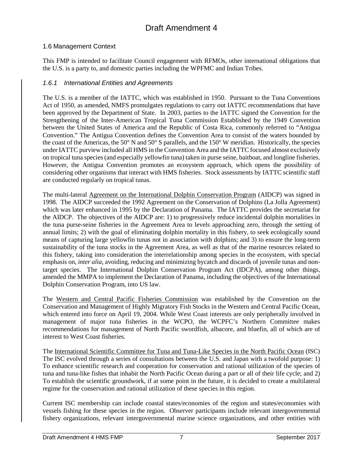# <span id="page-19-0"></span>1.6 Management Context

This FMP is intended to facilitate Council engagement with RFMOs, other international obligations that the U.S. is a party to, and domestic parties including the WPFMC and Indian Tribes.

### <span id="page-19-1"></span>*1.6.1 International Entities and Agreements*

The U.S. is a member of the IATTC, which was established in 1950. Pursuant to the Tuna Conventions Act of 1950, as amended, NMFS promulgates regulations to carry out IATTC recommendations that have been approved by the Department of State. In 2003, parties to the IATTC signed the Convention for the Strengthening of the Inter-American Tropical Tuna Commission Established by the 1949 Convention between the United States of America and the Republic of Costa Rica, commonly referred to "Antigua Convention." The Antigua Convention defines the Convention Area to consist of the waters bounded by the coast of the Americas, the 50° N and 50° S parallels, and the 150° W meridian. Historically, the species under IATTC purview included all HMS in the Convention Area and the IATTC focused almost exclusively on tropical tuna species (and especially yellowfin tuna) taken in purse seine, baitboat, and longline fisheries. However, the Antigua Convention promotes an ecosystem approach, which opens the possibility of considering other organisms that interact with HMS fisheries. Stock assessments by IATTC scientific staff are conducted regularly on tropical tunas.

The multi-lateral Agreement on the International Dolphin Conservation Program (AIDCP) was signed in 1998. The AIDCP succeeded the 1992 Agreement on the Conservation of Dolphins (La Jolla Agreement) which was later enhanced in 1995 by the Declaration of Panama. The IATTC provides the secretariat for the AIDCP. The objectives of the AIDCP are: 1) to progressively reduce incidental dolphin mortalities in the tuna purse-seine fisheries in the Agreement Area to levels approaching zero, through the setting of annual limits; 2) with the goal of eliminating dolphin mortality in this fishery, to seek ecologically sound means of capturing large yellowfin tunas not in association with dolphins; and 3) to ensure the long-term sustainability of the tuna stocks in the Agreement Area, as well as that of the marine resources related to this fishery, taking into consideration the interrelationship among species in the ecosystem, with special emphasis on, *inter alia*, avoiding, reducing and minimizing bycatch and discards of juvenile tunas and nontarget species. The International Dolphin Conservation Program Act (IDCPA), among other things, amended the MMPA to implement the Declaration of Panama, including the objectives of the International Dolphin Conservation Program, into US law.

The Western and Central Pacific Fisheries Commission was established by the Convention on the Conservation and Management of Highly Migratory Fish Stocks in the Western and Central Pacific Ocean, which entered into force on April 19, 2004. While West Coast interests are only peripherally involved in management of major tuna fisheries in the WCPO, the WCPFC's Northern Committee makes recommendations for management of North Pacific swordfish, albacore, and bluefin, all of which are of interest to West Coast fisheries.

The International Scientific Committee for Tuna and Tuna-Like Species in the North Pacific Ocean (ISC) The ISC evolved through a series of consultations between the U.S. and Japan with a twofold purpose: 1) To enhance scientific research and cooperation for conservation and rational utilization of the species of tuna and tuna-like fishes that inhabit the North Pacific Ocean during a part or all of their life cycle; and 2) To establish the scientific groundwork, if at some point in the future, it is decided to create a multilateral regime for the conservation and rational utilization of these species in this region.

Current ISC membership can include coastal states/economies of the region and states/economies with vessels fishing for these species in the region. Observer participants include relevant intergovernmental fishery organizations, relevant intergovernmental marine science organizations, and other entities with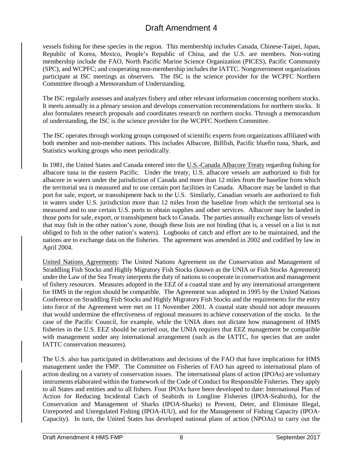vessels fishing for these species in the region. This membership includes Canada, Chinese-Taipei, Japan, Republic of Korea, Mexico, People's Republic of China, and the U.S. are members. Non-voting membership include the FAO, North Pacific Marine Science Organization (PICES), Pacific Community (SPC), and WCPFC; and cooperating non-membership includes the IATTC. Nongovernment organizations participate at ISC meetings as observers. The ISC is the science provider for the WCPFC Northern Committee through a Memorandum of Understanding.

The ISC regularly assesses and analyzes fishery and other relevant information concerning northern stocks. It meets annually in a plenary session and develops conservation recommendations for northern stocks. It also formulates research proposals and coordinates research on northern stocks. Through a memorandum of understanding, the ISC is the science provider for the WCPFC Northern Committee.

The ISC operates through working groups composed of scientific experts from organizations affiliated with both member and non-member nations. This includes Albacore, Billfish, Pacific bluefin tuna, Shark, and Statistics working groups who meet periodically.

In 1981, the United States and Canada entered into the U.S.-Canada Albacore Treaty regarding fishing for albacore tuna in the eastern Pacific. Under the treaty, U.S. albacore vessels are authorized to fish for albacore in waters under the jurisdiction of Canada and more than 12 miles from the baseline from which the territorial sea is measured and to use certain port facilities in Canada. Albacore may be landed in that port for sale, export, or transshipment back to the U.S. Similarly, Canadian vessels are authorized to fish in waters under U.S. jurisdiction more than 12 miles from the baseline from which the territorial sea is measured and to use certain U.S. ports to obtain supplies and other services. Albacore may be landed in those ports for sale, export, or transshipment back to Canada. The parties annually exchange lists of vessels that may fish in the other nation's zone, though these lists are not binding (that is, a vessel on a list is not obliged to fish in the other nation's waters). Logbooks of catch and effort are to be maintained, and the nations are to exchange data on the fisheries. The agreement was amended in 2002 and codified by law in April 2004.

United Nations Agreements: The United Nations Agreement on the Conservation and Management of Straddling Fish Stocks and Highly Migratory Fish Stocks (known as the UNIA or Fish Stocks Agreement) under the Law of the Sea Treaty interprets the duty of nations to cooperate in conservation and management of fishery resources. Measures adopted in the EEZ of a coastal state and by any international arrangement for HMS in the region should be compatible. The Agreement was adopted in 1995 by the United Nations Conference on Straddling Fish Stocks and Highly Migratory Fish Stocks and the requirements for the entry into force of the Agreement were met on 11 November 2001. A coastal state should not adopt measures that would undermine the effectiveness of regional measures to achieve conservation of the stocks. In the case of the Pacific Council, for example, while the UNIA does not dictate how management of HMS fisheries in the U.S. EEZ should be carried out, the UNIA requires that EEZ management be compatible with management under any international arrangement (such as the IATTC, for species that are under IATTC conservation measures).

The U.S. also has participated in deliberations and decisions of the FAO that have implications for HMS management under the FMP. The Committee on Fisheries of FAO has agreed to international plans of action dealing on a variety of conservation issues. The international plans of action (IPOAs) are voluntary instruments elaborated within the framework of the Code of Conduct for Responsible Fisheries. They apply to all States and entities and to all fishers. Four IPOAs have been developed to date: International Plan of Action for Reducing Incidental Catch of Seabirds in Longline Fisheries (IPOA-Seabirds), for the Conservation and Management of Sharks (IPOA-Sharks) to Prevent, Deter, and Eliminate Illegal, Unreported and Unregulated Fishing (IPOA-IUU), and for the Management of Fishing Capacity (IPOA-Capacity). In turn, the United States has developed national plans of action (NPOAs) to carry out the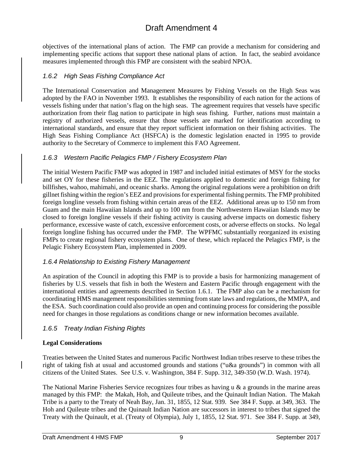objectives of the international plans of action. The FMP can provide a mechanism for considering and implementing specific actions that support these national plans of action. In fact, the seabird avoidance measures implemented through this FMP are consistent with the seabird NPOA.

# <span id="page-21-0"></span>*1.6.2 High Seas Fishing Compliance Act*

The International Conservation and Management Measures by Fishing Vessels on the High Seas was adopted by the FAO in November 1993. It establishes the responsibility of each nation for the actions of vessels fishing under that nation's flag on the high seas. The agreement requires that vessels have specific authorization from their flag nation to participate in high seas fishing. Further, nations must maintain a registry of authorized vessels, ensure that those vessels are marked for identification according to international standards, and ensure that they report sufficient information on their fishing activities. The High Seas Fishing Compliance Act (HSFCA) is the domestic legislation enacted in 1995 to provide authority to the Secretary of Commerce to implement this FAO Agreement.

# <span id="page-21-1"></span>*1.6.3 Western Pacific Pelagics FMP / Fishery Ecosystem Plan*

The initial Western Pacific FMP was adopted in 1987 and included initial estimates of MSY for the stocks and set OY for these fisheries in the EEZ. The regulations applied to domestic and foreign fishing for billfishes, wahoo, mahimahi, and oceanic sharks. Among the original regulations were a prohibition on drift gillnet fishing within the region's EEZ and provisions for experimental fishing permits. The FMP prohibited foreign longline vessels from fishing within certain areas of the EEZ. Additional areas up to 150 nm from Guam and the main Hawaiian Islands and up to 100 nm from the Northwestern Hawaiian Islands may be closed to foreign longline vessels if their fishing activity is causing adverse impacts on domestic fishery performance, excessive waste of catch, excessive enforcement costs, or adverse effects on stocks. No legal foreign longline fishing has occurred under the FMP. The WPFMC substantially reorganized its existing FMPs to create regional fishery ecosystem plans. One of these, which replaced the Pelagics FMP, is the Pelagic Fishery Ecosystem Plan, implemented in 2009.

# <span id="page-21-2"></span>*1.6.4 Relationship to Existing Fishery Management*

An aspiration of the Council in adopting this FMP is to provide a basis for harmonizing management of fisheries by U.S. vessels that fish in both the Western and Eastern Pacific through engagement with the international entities and agreements described in Section 1.6.1. The FMP also can be a mechanism for coordinating HMS management responsibilities stemming from state laws and regulations, the MMPA, and the ESA. Such coordination could also provide an open and continuing process for considering the possible need for changes in those regulations as conditions change or new information becomes available.

# <span id="page-21-3"></span>*1.6.5 Treaty Indian Fishing Rights*

# **Legal Considerations**

Treaties between the United States and numerous Pacific Northwest Indian tribes reserve to these tribes the right of taking fish at usual and accustomed grounds and stations ("u&a grounds") in common with all citizens of the United States. See U.S. v. Washington, 384 F. Supp. 312, 349-350 (W.D. Wash. 1974).

The National Marine Fisheries Service recognizes four tribes as having  $\alpha \& a$  grounds in the marine areas managed by this FMP: the Makah, Hoh, and Quileute tribes, and the Quinault Indian Nation. The Makah Tribe is a party to the Treaty of Neah Bay, Jan. 31, 1855, 12 Stat. 939. See 384 F. Supp. at 349, 363. The Hoh and Quileute tribes and the Quinault Indian Nation are successors in interest to tribes that signed the Treaty with the Quinault, et al. (Treaty of Olympia), July 1, 1855, 12 Stat. 971. See 384 F. Supp. at 349,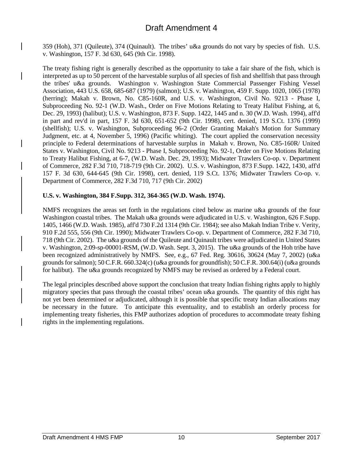359 (Hoh), 371 (Quileute), 374 (Quinault). The tribes' u&a grounds do not vary by species of fish. U.S. v. Washington, 157 F. 3d 630, 645 (9th Cir. 1998).

The treaty fishing right is generally described as the opportunity to take a fair share of the fish, which is interpreted as up to 50 percent of the harvestable surplus of all species of fish and shellfish that pass through the tribes' u&a grounds. Washington v. Washington State Commercial Passenger Fishing Vessel Association, 443 U.S. 658, 685-687 (1979) (salmon); U.S. v. Washington, 459 F. Supp. 1020, 1065 (1978) (herring); Makah v. Brown, No. C85-160R, and U.S. v. Washington, Civil No. 9213 - Phase I, Subproceeding No. 92-1 (W.D. Wash., Order on Five Motions Relating to Treaty Halibut Fishing, at 6, Dec. 29, 1993) (halibut); U.S. v. Washington, 873 F. Supp. 1422, 1445 and n. 30 (W.D. Wash. 1994), aff'd in part and rev'd in part, 157 F. 3d 630, 651-652 (9th Cir. 1998), cert. denied, 119 S.Ct. 1376 (1999) (shellfish); U.S. v. Washington, Subproceeding 96-2 (Order Granting Makah's Motion for Summary Judgment, etc. at 4, November 5, 1996) (Pacific whiting). The court applied the conservation necessity principle to Federal determinations of harvestable surplus in Makah v. Brown, No. C85-160R/ United States v. Washington, Civil No. 9213 - Phase I, Subproceeding No. 92-1, Order on Five Motions Relating to Treaty Halibut Fishing, at 6-7, (W.D. Wash. Dec. 29, 1993); Midwater Trawlers Co-op. v. Department of Commerce, 282 F.3d 710, 718-719 (9th Cir. 2002). U.S. v. Washington, 873 F.Supp. 1422, 1430, aff'd 157 F. 3d 630, 644-645 (9th Cir. 1998), cert. denied, 119 S.Ct. 1376; Midwater Trawlers Co-op. v. Department of Commerce, 282 F.3d 710, 717 (9th Cir. 2002)

### **U.S. v. Washington, 384 F.Supp. 312, 364-365 (W.D. Wash. 1974).**

NMFS recognizes the areas set forth in the regulations cited below as marine u&a grounds of the four Washington coastal tribes. The Makah u&a grounds were adjudicated in U.S. v. Washington, 626 F.Supp. 1405, 1466 (W.D. Wash. 1985), aff'd 730 F.2d 1314 (9th Cir. 1984); see also Makah Indian Tribe v. Verity, 910 F.2d 555, 556 (9th Cir. 1990); Midwater Trawlers Co-op. v. Department of Commerce, 282 F.3d 710, 718 (9th Cir. 2002). The u&a grounds of the Quileute and Quinault tribes were adjudicated in United States v. Washington, 2:09-sp-00001-RSM, (W.D. Wash. Sept. 3, 2015). The u&a grounds of the Hoh tribe have been recognized administratively by NMFS. See, e.g., 67 Fed. Reg. 30616, 30624 (May 7, 2002) (u&a grounds for salmon); 50 C.F.R. 660.324(c) (u&a grounds for groundfish); 50 C.F.R. 300.64(i) (u&a grounds for halibut). The u&a grounds recognized by NMFS may be revised as ordered by a Federal court.

The legal principles described above support the conclusion that treaty Indian fishing rights apply to highly migratory species that pass through the coastal tribes' ocean u&a grounds. The quantity of this right has not yet been determined or adjudicated, although it is possible that specific treaty Indian allocations may be necessary in the future. To anticipate this eventuality, and to establish an orderly process for implementing treaty fisheries, this FMP authorizes adoption of procedures to accommodate treaty fishing rights in the implementing regulations.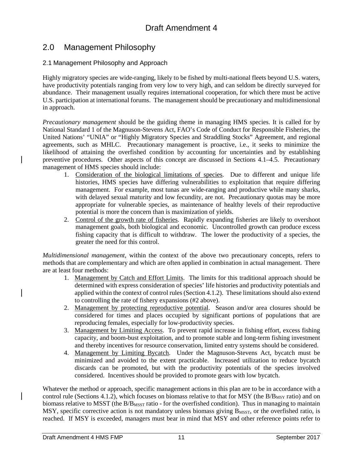# 2.0 Management Philosophy

### <span id="page-23-0"></span>2.1 Management Philosophy and Approach

Highly migratory species are wide-ranging, likely to be fished by multi-national fleets beyond U.S. waters, have productivity potentials ranging from very low to very high, and can seldom be directly surveyed for abundance. Their management usually requires international cooperation, for which there must be active U.S. participation at international forums. The management should be precautionary and multidimensional in approach.

*Precautionary management* should be the guiding theme in managing HMS species. It is called for by National Standard 1 of the Magnuson-Stevens Act, FAO's Code of Conduct for Responsible Fisheries, the United Nations' "UNIA" or "Highly Migratory Species and Straddling Stocks" Agreement, and regional agreements, such as MHLC. Precautionary management is proactive, i.e., it seeks to minimize the likelihood of attaining the overfished condition by accounting for uncertainties and by establishing preventive procedures. Other aspects of this concept are discussed in Sections 4.1–4.5. Precautionary management of HMS species should include:

- 1. Consideration of the biological limitations of species. Due to different and unique life histories, HMS species have differing vulnerabilities to exploitation that require differing management. For example, most tunas are wide-ranging and productive while many sharks, with delayed sexual maturity and low fecundity, are not. Precautionary quotas may be more appropriate for vulnerable species, as maintenance of healthy levels of their reproductive potential is more the concern than is maximization of yields.
- 2. Control of the growth rate of fisheries. Rapidly expanding fisheries are likely to overshoot management goals, both biological and economic. Uncontrolled growth can produce excess fishing capacity that is difficult to withdraw. The lower the productivity of a species, the greater the need for this control.

*Multidimensional management*, within the context of the above two precautionary concepts, refers to methods that are complementary and which are often applied in combination in actual management. There are at least four methods:

- 1. Management by Catch and Effort Limits. The limits for this traditional approach should be determined with express consideration of species' life histories and productivity potentials and applied within the context of control rules (Section 4.1.2). These limitations should also extend to controlling the rate of fishery expansions (#2 above).
- 2. Management by protecting reproductive potential. Season and/or area closures should be considered for times and places occupied by significant portions of populations that are reproducing females, especially for low-productivity species.
- 3. Management by Limiting Access. To prevent rapid increase in fishing effort, excess fishing capacity, and boom-bust exploitation, and to promote stable and long-term fishing investment and thereby incentives for resource conservation, limited entry systems should be considered.
- 4. Management by Limiting Bycatch. Under the Magnuson-Stevens Act, bycatch must be minimized and avoided to the extent practicable. Increased utilization to reduce bycatch discards can be promoted, but with the productivity potentials of the species involved considered. Incentives should be provided to promote gears with low bycatch.

Whatever the method or approach, specific management actions in this plan are to be in accordance with a control rule (Sections 4.1.2), which focuses on biomass relative to that for MSY (the  $B/B<sub>MSY</sub>$  ratio) and on biomass relative to MSST (the B/B<sub>MSST</sub> ratio - for the overfished condition). Thus in managing to maintain MSY, specific corrective action is not mandatory unless biomass giving  $B_{MST}$ , or the overfished ratio, is reached. If MSY is exceeded, managers must bear in mind that MSY and other reference points refer to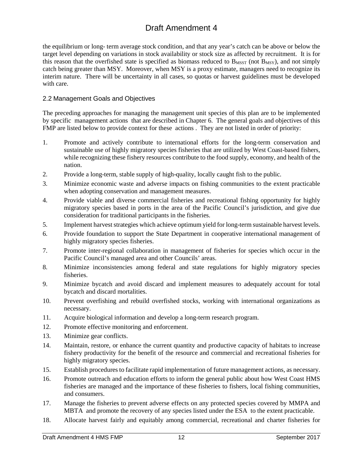the equilibrium or long- term average stock condition, and that any year's catch can be above or below the target level depending on variations in stock availability or stock size as affected by recruitment. It is for this reason that the overfished state is specified as biomass reduced to  $B_{MST}$  (not  $B_{MST}$ ), and not simply catch being greater than MSY. Moreover, when MSY is a proxy estimate, managers need to recognize its interim nature. There will be uncertainty in all cases, so quotas or harvest guidelines must be developed with care.

### <span id="page-24-0"></span>2.2 Management Goals and Objectives

The preceding approaches for managing the management unit species of this plan are to be implemented by specific management actions that are described in Chapter 6. The general goals and objectives of this FMP are listed below to provide context for these actions . They are not listed in order of priority:

- 1. Promote and actively contribute to international efforts for the long-term conservation and sustainable use of highly migratory species fisheries that are utilized by West Coast-based fishers, while recognizing these fishery resources contribute to the food supply, economy, and health of the nation.
- 2. Provide a long-term, stable supply of high-quality, locally caught fish to the public.
- 3. Minimize economic waste and adverse impacts on fishing communities to the extent practicable when adopting conservation and management measures.
- 4. Provide viable and diverse commercial fisheries and recreational fishing opportunity for highly migratory species based in ports in the area of the Pacific Council's jurisdiction, and give due consideration for traditional participants in the fisheries.
- 5. Implement harvest strategies which achieve optimum yield for long-term sustainable harvest levels.
- 6. Provide foundation to support the State Department in cooperative international management of highly migratory species fisheries.
- 7. Promote inter-regional collaboration in management of fisheries for species which occur in the Pacific Council's managed area and other Councils' areas.
- 8. Minimize inconsistencies among federal and state regulations for highly migratory species fisheries.
- 9. Minimize bycatch and avoid discard and implement measures to adequately account for total bycatch and discard mortalities.
- 10. Prevent overfishing and rebuild overfished stocks, working with international organizations as necessary.
- 11. Acquire biological information and develop a long-term research program.
- 12. Promote effective monitoring and enforcement.
- 13. Minimize gear conflicts.
- 14. Maintain, restore, or enhance the current quantity and productive capacity of habitats to increase fishery productivity for the benefit of the resource and commercial and recreational fisheries for highly migratory species.
- 15. Establish procedures to facilitate rapid implementation of future management actions, as necessary.
- 16. Promote outreach and education efforts to inform the general public about how West Coast HMS fisheries are managed and the importance of these fisheries to fishers, local fishing communities, and consumers.
- 17. Manage the fisheries to prevent adverse effects on any protected species covered by MMPA and MBTA and promote the recovery of any species listed under the ESA to the extent practicable.
- 18. Allocate harvest fairly and equitably among commercial, recreational and charter fisheries for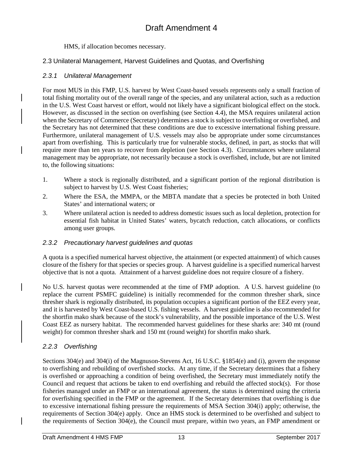### HMS, if allocation becomes necessary.

# <span id="page-25-0"></span>2.3 Unilateral Management, Harvest Guidelines and Quotas, and Overfishing

# <span id="page-25-1"></span>*2.3.1 Unilateral Management*

For most MUS in this FMP, U.S. harvest by West Coast-based vessels represents only a small fraction of total fishing mortality out of the overall range of the species, and any unilateral action, such as a reduction in the U.S. West Coast harvest or effort, would not likely have a significant biological effect on the stock. However, as discussed in the section on overfishing (see Section 4.4), the MSA requires unilateral action when the Secretary of Commerce (Secretary) determines a stock is subject to overfishing or overfished, and the Secretary has not determined that these conditions are due to excessive international fishing pressure. Furthermore, unilateral management of U.S. vessels may also be appropriate under some circumstances apart from overfishing. This is particularly true for vulnerable stocks, defined, in part, as stocks that will require more than ten years to recover from depletion (see Section 4.3). Circumstances where unilateral management may be appropriate, not necessarily because a stock is overfished, include, but are not limited to, the following situations:

- 1. Where a stock is regionally distributed, and a significant portion of the regional distribution is subject to harvest by U.S. West Coast fisheries;
- 2. Where the ESA, the MMPA, or the MBTA mandate that a species be protected in both United States' and international waters; or
- 3. Where unilateral action is needed to address domestic issues such as local depletion, protection for essential fish habitat in United States' waters, bycatch reduction, catch allocations, or conflicts among user groups.

# <span id="page-25-2"></span>*2.3.2 Precautionary harvest guidelines and quotas*

A quota is a specified numerical harvest objective, the attainment (or expected attainment) of which causes closure of the fishery for that species or species group. A harvest guideline is a specified numerical harvest objective that is not a quota. Attainment of a harvest guideline does not require closure of a fishery.

No U.S. harvest quotas were recommended at the time of FMP adoption. A U.S. harvest guideline (to replace the current PSMFC guideline) is initially recommended for the common thresher shark, since thresher shark is regionally distributed, its population occupies a significant portion of the EEZ every year, and it is harvested by West Coast-based U.S. fishing vessels. A harvest guideline is also recommended for the shortfin mako shark because of the stock's vulnerability, and the possible importance of the U.S. West Coast EEZ as nursery habitat. The recommended harvest guidelines for these sharks are: 340 mt (round weight) for common thresher shark and 150 mt (round weight) for shortfin mako shark.

# <span id="page-25-3"></span>*2.2.3 Overfishing*

Sections 304(e) and 304(i) of the Magnuson-Stevens Act, 16 U.S.C. §1854(e) and (i), govern the response to overfishing and rebuilding of overfished stocks. At any time, if the Secretary determines that a fishery is overfished or approaching a condition of being overfished, the Secretary must immediately notify the Council and request that actions be taken to end overfishing and rebuild the affected stock(s). For those fisheries managed under an FMP or an international agreement, the status is determined using the criteria for overfishing specified in the FMP or the agreement. If the Secretary determines that overfishing is due to excessive international fishing pressure the requirements of MSA Section 304(i) apply; otherwise, the requirements of Section 304(e) apply. Once an HMS stock is determined to be overfished and subject to the requirements of Section 304(e), the Council must prepare, within two years, an FMP amendment or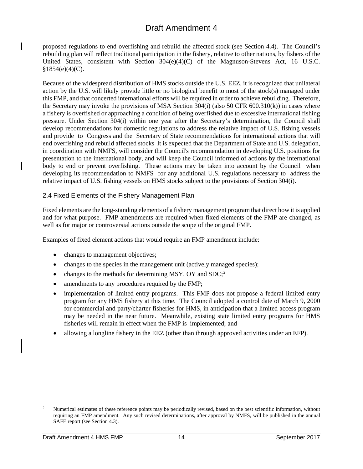proposed regulations to end overfishing and rebuild the affected stock (see Section 4.4). The Council's rebuilding plan will reflect traditional participation in the fishery, relative to other nations, by fishers of the United States, consistent with Section  $304(e)(4)(C)$  of the Magnuson-Stevens Act, 16 U.S.C.  $§1854(e)(4)(C)$ .

Because of the widespread distribution of HMS stocks outside the U.S. EEZ, it is recognized that unilateral action by the U.S. will likely provide little or no biological benefit to most of the stock(s) managed under this FMP, and that concerted international efforts will be required in order to achieve rebuilding. Therefore, the Secretary may invoke the provisions of MSA Section 304(i) (also 50 CFR 600.310(k)) in cases where a fishery is overfished or approaching a condition of being overfished due to excessive international fishing pressure. Under Section 304(i) within one year after the Secretary's determination, the Council shall develop recommendations for domestic regulations to address the relative impact of U.S. fishing vessels and provide to Congress and the Secretary of State recommendations for international actions that will end overfishing and rebuild affected stocks It is expected that the Department of State and U.S. delegation, in coordination with NMFS, will consider the Council's recommendation in developing U.S. positions for presentation to the international body, and will keep the Council informed of actions by the international body to end or prevent overfishing. These actions may be taken into account by the Council when developing its recommendation to NMFS for any additional U.S. regulations necessary to address the relative impact of U.S. fishing vessels on HMS stocks subject to the provisions of Section 304(i).

### <span id="page-26-0"></span>2.4 Fixed Elements of the Fishery Management Plan

Fixed elements are the long-standing elements of a fishery management program that direct how it is applied and for what purpose. FMP amendments are required when fixed elements of the FMP are changed, as well as for major or controversial actions outside the scope of the original FMP.

Examples of fixed element actions that would require an FMP amendment include:

- changes to management objectives;
- changes to the species in the management unit (actively managed species);
- changes to the methods for determining MSY, OY and SDC;<sup>[2](#page-26-1)</sup>
- amendments to any procedures required by the FMP;
- implementation of limited entry programs. This FMP does not propose a federal limited entry program for any HMS fishery at this time. The Council adopted a control date of March 9, 2000 for commercial and party/charter fisheries for HMS, in anticipation that a limited access program may be needed in the near future. Meanwhile, existing state limited entry programs for HMS fisheries will remain in effect when the FMP is implemented; and
- allowing a longline fishery in the EEZ (other than through approved activities under an EFP).

<span id="page-26-1"></span><sup>&</sup>lt;sup>2</sup> Numerical estimates of these reference points may be periodically revised, based on the best scientific information, without requiring an FMP amendment. Any such revised determinations, after approval by NMFS, will be published in the annual SAFE report (see Section 4.3).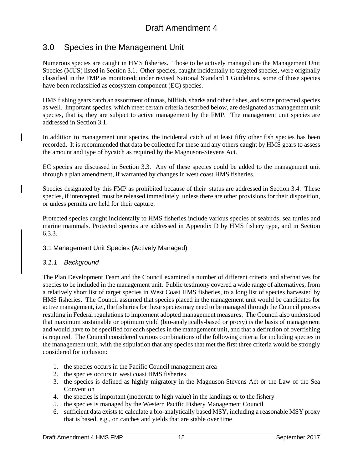# <span id="page-27-0"></span>3.0 Species in the Management Unit

Numerous species are caught in HMS fisheries. Those to be actively managed are the Management Unit Species (MUS) listed in Section 3.1. Other species, caught incidentally to targeted species, were originally classified in the FMP as monitored; under revised National Standard 1 Guidelines, some of those species have been reclassified as ecosystem component (EC) species.

HMS fishing gears catch an assortment of tunas, billfish, sharks and other fishes, and some protected species as well. Important species, which meet certain criteria described below, are designated as management unit species, that is, they are subject to active management by the FMP. The management unit species are addressed in Section 3.1.

In addition to management unit species, the incidental catch of at least fifty other fish species has been recorded. It is recommended that data be collected for these and any others caught by HMS gears to assess the amount and type of bycatch as required by the Magnuson-Stevens Act.

EC species are discussed in Section 3.3. Any of these species could be added to the management unit through a plan amendment, if warranted by changes in west coast HMS fisheries.

Species designated by this FMP as prohibited because of their status are addressed in Section 3.4. These species, if intercepted, must be released immediately, unless there are other provisions for their disposition, or unless permits are held for their capture.

Protected species caught incidentally to HMS fisheries include various species of seabirds, sea turtles and marine mammals. Protected species are addressed in Appendix D by HMS fishery type, and in Section 6.3.3.

### <span id="page-27-1"></span>3.1 Management Unit Species (Actively Managed)

# <span id="page-27-2"></span>*3.1.1 Background*

The Plan Development Team and the Council examined a number of different criteria and alternatives for species to be included in the management unit. Public testimony covered a wide range of alternatives, from a relatively short list of target species in West Coast HMS fisheries, to a long list of species harvested by HMS fisheries. The Council assumed that species placed in the management unit would be candidates for active management, i.e., the fisheries for these species may need to be managed through the Council process resulting in Federal regulations to implement adopted management measures. The Council also understood that maximum sustainable or optimum yield (bio-analytically-based or proxy) is the basis of management and would have to be specified for each species in the management unit, and that a definition of overfishing is required. The Council considered various combinations of the following criteria for including species in the management unit, with the stipulation that any species that met the first three criteria would be strongly considered for inclusion:

- 1. the species occurs in the Pacific Council management area
- 2. the species occurs in west coast HMS fisheries
- 3. the species is defined as highly migratory in the Magnuson-Stevens Act or the Law of the Sea Convention
- 4. the species is important (moderate to high value) in the landings or to the fishery
- 5. the species is managed by the Western Pacific Fishery Management Council
- 6. sufficient data exists to calculate a bio-analytically based MSY, including a reasonable MSY proxy that is based, e.g., on catches and yields that are stable over time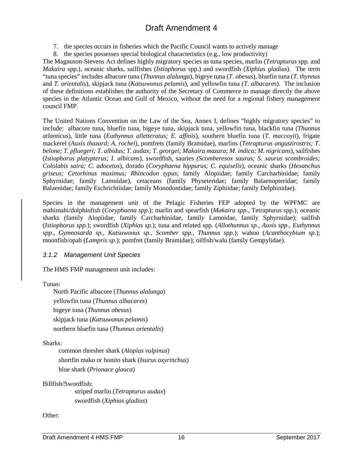7. the species occurs in fisheries which the Pacific Council wants to actively manage

8. the species possesses special biological characteristics (e.g., low productivity)

The Magnuson-Stevens Act defines highly migratory species as tuna species, marlin (*Tetrapturus* spp. and *Makaira* spp.), oceanic sharks, sailfishes (*Istiophorus* spp.) and swordfish (*Xiphias gladius*). The term "tuna species" includes albacore tuna (*Thunnus alalunga*), bigeye tuna (*T. obesus*), bluefin tuna (*T. thynnus* and *T. orientalis*), skipjack tuna (*Katsuwonus pelamis*), and yellowfin tuna (*T. albacares*). The inclusion of these definitions establishes the authority of the Secretary of Commerce to manage directly the above species in the Atlantic Ocean and Gulf of Mexico, without the need for a regional fishery management council FMP.

The United Nations Convention on the Law of the Sea, Annex I, defines "highly migratory species" to include: albacore tuna, bluefin tuna, bigeye tuna, skipjack tuna, yellowfin tuna, blackfin tuna (*Thunnus atlanticus*), little tuna (*Euthynnus alletteratus; E. affinis*), southern bluefin tuna (*T. maccoyii*), frigate mackerel (*Auxis thazard; A. rochei*), pomfrets (family Bramidae), marlins (*Tetrapturus angustirostris; T. belone; T. pfluegeri; T. albidus; T. audax; T. georgei; Makaira mazara; M. indica; M. nigricans*), sailfishes (*Istiophorus platypterus; I. albicans*), swordfish, sauries *(Scomberesox saurus; S. saurus scombroides; Cololabis saira; C. adocetus*), dorado (*Coryphaena hippurus; C. equiselis*), oceanic sharks (*Hexanchus griseus; Cetorhinus maximus; Rhincodon typus*; family Alopiidae; family Carcharhinidae; family Sphyrnidae; family Lamnidae), cetaceans (family Physeteridae; family Balaenopteridae; family Balaenidae; family Eschrichtiidae; family Monodontidae; family Ziphiidae; family Delphinidae).

Species in the management unit of the Pelagic Fisheries FEP adopted by the WPFMC are mahimahi/dolphinfish (*Coryphaena spp*.); marlin and spearfish (*Makaira spp.*, Tetrapturus spp.); oceanic sharks (family Alopiidae, family Carcharhinidae, family Lamnidae, family Sphyrnidae); sailfish (*Istiophorus spp.*); swordfish (*Xiphias sp.*); tuna and related spp. (*Allothunnus sp.*, *Auxis spp*., *Euthynnus spp., Gymnosarda sp., Katsuwonus sp., Scomber spp., Thunnus spp.*); wahoo (*Acanthocybium sp.*); moonfish/opah (*Lampris sp.*); pomfret (family Bramidae); oilfish/walu (family Gempylidae).

# <span id="page-28-0"></span>*3.1.2 Management Unit Species*

The HMS FMP management unit includes:

# Tunas:

North Pacific albacore (*Thunnus alalunga*) yellowfin tuna (*Thunnus albacares*) bigeye tuna (*Thunnus obesus*) skipjack tuna (*Katsuwonus pelamis*) northern bluefin tuna (*Thunnus orientalis*)

# Sharks:

common thresher shark (*Alopias vulpinus*) shortfin mako or bonito shark (*Isurus oxyrinchus*) blue shark (*Prionace glauca*)

# Billfish/Swordfish:

striped marlin (*Tetrapturus audax*) swordfish (*Xiphias gladius*)

# Other: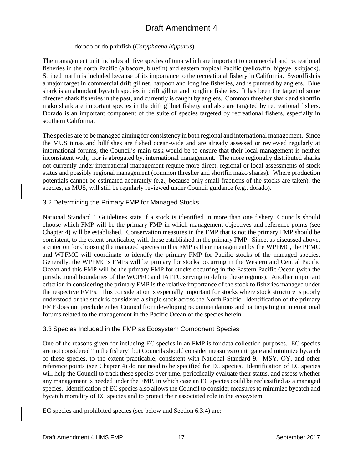### dorado or dolphinfish (*Coryphaena hippurus*)

The management unit includes all five species of tuna which are important to commercial and recreational fisheries in the north Pacific (albacore, bluefin) and eastern tropical Pacific (yellowfin, bigeye, skipjack). Striped marlin is included because of its importance to the recreational fishery in California. Swordfish is a major target in commercial drift gillnet, harpoon and longline fisheries, and is pursued by anglers. Blue shark is an abundant bycatch species in drift gillnet and longline fisheries. It has been the target of some directed shark fisheries in the past, and currently is caught by anglers. Common thresher shark and shortfin mako shark are important species in the drift gillnet fishery and also are targeted by recreational fishers. Dorado is an important component of the suite of species targeted by recreational fishers, especially in southern California.

The species are to be managed aiming for consistency in both regional and international management. Since the MUS tunas and billfishes are fished ocean-wide and are already assessed or reviewed regularly at international forums, the Council's main task would be to ensure that their local management is neither inconsistent with, nor is abrogated by, international management. The more regionally distributed sharks not currently under international management require more direct, regional or local assessments of stock status and possibly regional management (common thresher and shortfin mako sharks). Where production potentials cannot be estimated accurately (e.g., because only small fractions of the stocks are taken), the species, as MUS, will still be regularly reviewed under Council guidance (e.g., dorado).

### <span id="page-29-0"></span>3.2 Determining the Primary FMP for Managed Stocks

National Standard 1 Guidelines state if a stock is identified in more than one fishery, Councils should choose which FMP will be the primary FMP in which management objectives and reference points (see Chapter 4) will be established. Conservation measures in the FMP that is not the primary FMP should be consistent, to the extent practicable, with those established in the primary FMP. Since, as discussed above, a criterion for choosing the managed species in this FMP is their management by the WPFMC, the PFMC and WPFMC will coordinate to identify the primary FMP for Pacific stocks of the managed species. Generally, the WPFMC's FMPs will be primary for stocks occurring in the Western and Central Pacific Ocean and this FMP will be the primary FMP for stocks occurring in the Eastern Pacific Ocean (with the jurisdictional boundaries of the WCPFC and IATTC serving to define these regions). Another important criterion in considering the primary FMP is the relative importance of the stock to fisheries managed under the respective FMPs. This consideration is especially important for stocks where stock structure is poorly understood or the stock is considered a single stock across the North Pacific. Identification of the primary FMP does not preclude either Council from developing recommendations and participating in international forums related to the management in the Pacific Ocean of the species herein.

### <span id="page-29-1"></span>3.3 Species Included in the FMP as Ecosystem Component Species

One of the reasons given for including EC species in an FMP is for data collection purposes. EC species are not considered "in the fishery" but Councils should consider measures to mitigate and minimize bycatch of these species, to the extent practicable, consistent with National Standard 9. MSY, OY, and other reference points (see Chapter 4) do not need to be specified for EC species. Identification of EC species will help the Council to track these species over time, periodically evaluate their status, and assess whether any management is needed under the FMP, in which case an EC species could be reclassified as a managed species. Identification of EC species also allows the Council to consider measures to minimize bycatch and bycatch mortality of EC species and to protect their associated role in the ecosystem.

EC species and prohibited species (see below and Section 6.3.4) are: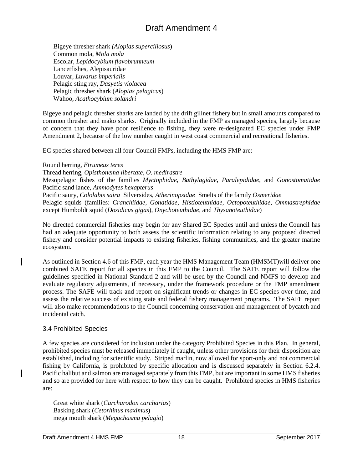Bigeye thresher shark *(Alopias superciliosus*) Common mola, *Mola mola* Escolar, *Lepidocybium flavobrunneum* Lancetfishes, Alepisauridae Louvar, *Luvarus imperialis* Pelagic sting ray, *Dasyetis violacea* Pelagic thresher shark (*Alopias pelagicus*) Wahoo, *Acathocybium solandri*

Bigeye and pelagic thresher sharks are landed by the drift gillnet fishery but in small amounts compared to common thresher and mako sharks. Originally included in the FMP as managed species, largely because of concern that they have poor resilience to fishing, they were re-designated EC species under FMP Amendment 2, because of the low number caught in west coast commercial and recreational fisheries.

EC species shared between all four Council FMPs, including the HMS FMP are:

Round herring, *Etrumeus teres* Thread herring, *Opisthonema libertate, O. medirastre* Mesopelagic fishes of the families *Myctophidae*, *Bathylagidae*, *Paralepididae*, and *Gonostomatidae* Pacific sand lance, *Ammodytes hexapterus* Pacific saury, *Cololabis saira* Silversides, *Atherinopsidae* Smelts of the family *Osmeridae* Pelagic squids (families: *Cranchiidae, Gonatidae, Histioteuthidae, Octopoteuthidae, Ommastrephidae* except Humboldt squid (*Dosidicus gigas*), *Onychoteuthidae*, and *Thysanoteuthidae*)

No directed commercial fisheries may begin for any Shared EC Species until and unless the Council has had an adequate opportunity to both assess the scientific information relating to any proposed directed fishery and consider potential impacts to existing fisheries, fishing communities, and the greater marine ecosystem.

As outlined in Section 4.6 of this FMP, each year the HMS Management Team (HMSMT)will deliver one combined SAFE report for all species in this FMP to the Council. The SAFE report will follow the guidelines specified in National Standard 2 and will be used by the Council and NMFS to develop and evaluate regulatory adjustments, if necessary, under the framework procedure or the FMP amendment process. The SAFE will track and report on significant trends or changes in EC species over time, and assess the relative success of existing state and federal fishery management programs. The SAFE report will also make recommendations to the Council concerning conservation and management of bycatch and incidental catch.

# <span id="page-30-0"></span>3.4 Prohibited Species

A few species are considered for inclusion under the category Prohibited Species in this Plan. In general, prohibited species must be released immediately if caught, unless other provisions for their disposition are established, including for scientific study. Striped marlin, now allowed for sport-only and not commercial fishing by California, is prohibited by specific allocation and is discussed separately in Section 6.2.4. Pacific halibut and salmon are managed separately from this FMP, but are important in some HMS fisheries and so are provided for here with respect to how they can be caught. Prohibited species in HMS fisheries are:

Great white shark (*Carcharodon carcharias*) Basking shark (*Cetorhinus maximus*) mega mouth shark (*Megachasma pelagio*)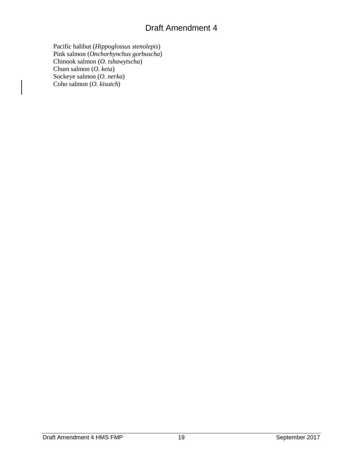Pacific halibut (*Hippoglossus stenolepis*) Pink salmon (*Onchorhynchus gorbuscha*) Chinook salmon (*O. tshawytscha*) Chum salmon (*O. keta*) Sockeye salmon (*O. nerka*) Coho salmon (*O. kisutch*)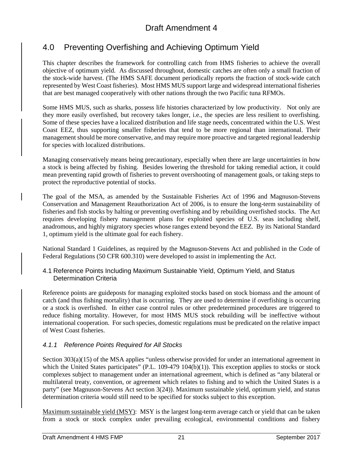# <span id="page-33-0"></span>4.0 Preventing Overfishing and Achieving Optimum Yield

This chapter describes the framework for controlling catch from HMS fisheries to achieve the overall objective of optimum yield. As discussed throughout, domestic catches are often only a small fraction of the stock-wide harvest. (The HMS SAFE document periodically reports the fraction of stock-wide catch represented by West Coast fisheries). Most HMS MUS support large and widespread international fisheries that are best managed cooperatively with other nations through the two Pacific tuna RFMOs.

Some HMS MUS, such as sharks, possess life histories characterized by low productivity. Not only are they more easily overfished, but recovery takes longer, i.e., the species are less resilient to overfishing. Some of these species have a localized distribution and life stage needs, concentrated within the U.S. West Coast EEZ, thus supporting smaller fisheries that tend to be more regional than international. Their management should be more conservative, and may require more proactive and targeted regional leadership for species with localized distributions.

Managing conservatively means being precautionary, especially when there are large uncertainties in how a stock is being affected by fishing. Besides lowering the threshold for taking remedial action, it could mean preventing rapid growth of fisheries to prevent overshooting of management goals, or taking steps to protect the reproductive potential of stocks.

The goal of the MSA, as amended by the Sustainable Fisheries Act of 1996 and Magnuson-Stevens Conservation and Management Reauthorization Act of 2006, is to ensure the long-term sustainability of fisheries and fish stocks by halting or preventing overfishing and by rebuilding overfished stocks. The Act requires developing fishery management plans for exploited species of U.S. seas including shelf, anadromous, and highly migratory species whose ranges extend beyond the EEZ. By its National Standard 1, optimum yield is the ultimate goal for each fishery.

National Standard 1 Guidelines, as required by the Magnuson-Stevens Act and published in the Code of Federal Regulations (50 CFR 600.310) were developed to assist in implementing the Act.

# <span id="page-33-1"></span>4.1 Reference Points Including Maximum Sustainable Yield, Optimum Yield, and Status Determination Criteria

Reference points are guideposts for managing exploited stocks based on stock biomass and the amount of catch (and thus fishing mortality) that is occurring. They are used to determine if overfishing is occurring or a stock is overfished. In either case control rules or other predetermined procedures are triggered to reduce fishing mortality. However, for most HMS MUS stock rebuilding will be ineffective without international cooperation. For such species, domestic regulations must be predicated on the relative impact of West Coast fisheries.

# <span id="page-33-2"></span>*4.1.1 Reference Points Required for All Stocks*

Section 303(a)(15) of the MSA applies "unless otherwise provided for under an international agreement in which the United States participates" (P.L. 109-479 104(b)(1)). This exception applies to stocks or stock complexes subject to management under an international agreement, which is defined as "any bilateral or multilateral treaty, convention, or agreement which relates to fishing and to which the United States is a party" (see Magnuson-Stevens Act section 3(24)). Maximum sustainable yield, optimum yield, and status determination criteria would still need to be specified for stocks subject to this exception.

Maximum sustainable yield (MSY): MSY is the largest long-term average catch or yield that can be taken from a stock or stock complex under prevailing ecological, environmental conditions and fishery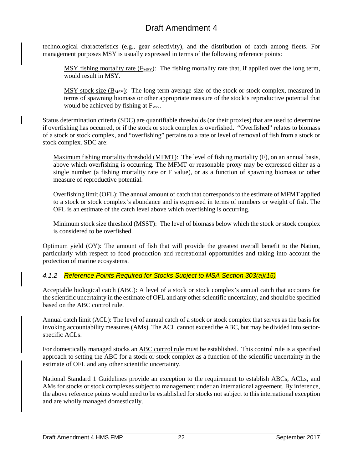technological characteristics (e.g., gear selectivity), and the distribution of catch among fleets. For management purposes MSY is usually expressed in terms of the following reference points:

 $MSY$  fishing mortality rate ( $F_{MSY}$ ): The fishing mortality rate that, if applied over the long term, would result in MSY.

 $MSY$  stock size  $(B_{MSY})$ : The long-term average size of the stock or stock complex, measured in terms of spawning biomass or other appropriate measure of the stock's reproductive potential that would be achieved by fishing at  $F_{MSY}$ .

Status determination criteria (SDC) are quantifiable thresholds (or their proxies) that are used to determine if overfishing has occurred, or if the stock or stock complex is overfished. "Overfished" relates to biomass of a stock or stock complex, and "overfishing" pertains to a rate or level of removal of fish from a stock or stock complex. SDC are:

Maximum fishing mortality threshold (MFMT): The level of fishing mortality (F), on an annual basis, above which overfishing is occurring. The MFMT or reasonable proxy may be expressed either as a single number (a fishing mortality rate or F value), or as a function of spawning biomass or other measure of reproductive potential.

Overfishing limit (OFL): The annual amount of catch that corresponds to the estimate of MFMT applied to a stock or stock complex's abundance and is expressed in terms of numbers or weight of fish. The OFL is an estimate of the catch level above which overfishing is occurring.

Minimum stock size threshold (MSST): The level of biomass below which the stock or stock complex is considered to be overfished.

Optimum yield (OY): The amount of fish that will provide the greatest overall benefit to the Nation, particularly with respect to food production and recreational opportunities and taking into account the protection of marine ecosystems.

# <span id="page-34-0"></span>*4.1.2 Reference Points Required for Stocks Subject to MSA Section 303(a)(15)*

Acceptable biological catch (ABC): A level of a stock or stock complex's annual catch that accounts for the scientific uncertainty in the estimate of OFL and any other scientific uncertainty, and should be specified based on the ABC control rule.

Annual catch limit (ACL): The level of annual catch of a stock or stock complex that serves as the basis for invoking accountability measures (AMs). The ACL cannot exceed the ABC, but may be divided into sectorspecific ACLs.

For domestically managed stocks an ABC control rule must be established. This control rule is a specified approach to setting the ABC for a stock or stock complex as a function of the scientific uncertainty in the estimate of OFL and any other scientific uncertainty.

National Standard 1 Guidelines provide an exception to the requirement to establish ABCs, ACLs, and AMs for stocks or stock complexes subject to management under an international agreement. By inference, the above reference points would need to be established for stocks not subject to this international exception and are wholly managed domestically.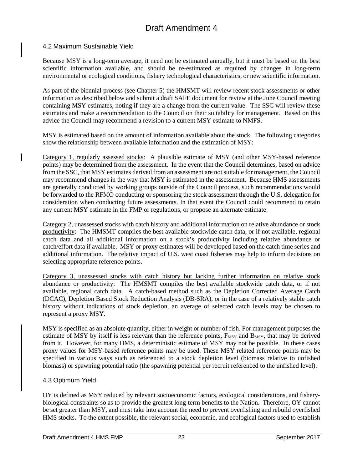### <span id="page-35-0"></span>4.2 Maximum Sustainable Yield

Because MSY is a long-term average, it need not be estimated annually, but it must be based on the best scientific information available, and should be re-estimated as required by changes in long-term environmental or ecological conditions, fishery technological characteristics, or new scientific information.

As part of the biennial process (see Chapter 5) the HMSMT will review recent stock assessments or other information as described below and submit a draft SAFE document for review at the June Council meeting containing MSY estimates, noting if they are a change from the current value. The SSC will review these estimates and make a recommendation to the Council on their suitability for management. Based on this advice the Council may recommend a revision to a current MSY estimate to NMFS.

MSY is estimated based on the amount of information available about the stock. The following categories show the relationship between available information and the estimation of MSY:

Category 1, regularly assessed stocks: A plausible estimate of MSY (and other MSY-based reference points) may be determined from the assessment. In the event that the Council determines, based on advice from the SSC, that MSY estimates derived from an assessment are not suitable for management, the Council may recommend changes in the way that MSY is estimated in the assessment. Because HMS assessments are generally conducted by working groups outside of the Council process, such recommendations would be forwarded to the RFMO conducting or sponsoring the stock assessment through the U.S. delegation for consideration when conducting future assessments. In that event the Council could recommend to retain any current MSY estimate in the FMP or regulations, or propose an alternate estimate.

Category 2, unassessed stocks with catch history and additional information on relative abundance or stock productivity: The HMSMT compiles the best available stockwide catch data, or if not available, regional catch data and all additional information on a stock's productivity including relative abundance or catch/effort data if available. MSY or proxy estimates will be developed based on the catch time series and additional information. The relative impact of U.S. west coast fisheries may help to inform decisions on selecting appropriate reference points.

Category 3, unassessed stocks with catch history but lacking further information on relative stock abundance or productivity: The HMSMT compiles the best available stockwide catch data, or if not available, regional catch data. A catch-based method such as the Depletion Corrected Average Catch (DCAC), Depletion Based Stock Reduction Analysis (DB-SRA), or in the case of a relatively stable catch history without indications of stock depletion, an average of selected catch levels may be chosen to represent a proxy MSY.

MSY is specified as an absolute quantity, either in weight or number of fish. For management purposes the estimate of MSY by itself is less relevant than the reference points, F<sub>MSY</sub> and B<sub>MSY</sub>, that may be derived from it. However, for many HMS, a deterministic estimate of MSY may not be possible. In these cases proxy values for MSY-based reference points may be used. These MSY related reference points may be specified in various ways such as referenced to a stock depletion level (biomass relative to unfished biomass) or spawning potential ratio (the spawning potential per recruit referenced to the unfished level).

# <span id="page-35-1"></span>4.3 Optimum Yield

OY is defined as MSY reduced by relevant socioeconomic factors, ecological considerations, and fisherybiological constraints so as to provide the greatest long-term benefits to the Nation. Therefore, OY cannot be set greater than MSY, and must take into account the need to prevent overfishing and rebuild overfished HMS stocks. To the extent possible, the relevant social, economic, and ecological factors used to establish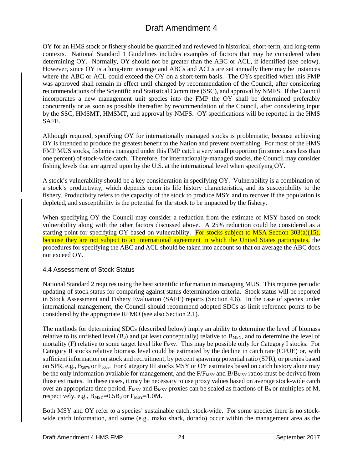OY for an HMS stock or fishery should be quantified and reviewed in historical, short-term, and long-term contexts. National Standard 1 Guidelines includes examples of factors that may be considered when determining OY. Normally, OY should not be greater than the ABC or ACL, if identified (see below). However, since OY is a long-term average and ABCs and ACLs are set annually there may be instances where the ABC or ACL could exceed the OY on a short-term basis. The OYs specified when this FMP was approved shall remain in effect until changed by recommendation of the Council, after considering recommendations of the Scientific and Statistical Committee (SSC), and approval by NMFS. If the Council incorporates a new management unit species into the FMP the OY shall be determined preferably concurrently or as soon as possible thereafter by recommendation of the Council, after considering input by the SSC, HMSMT, HMSMT, and approval by NMFS. OY specifications will be reported in the HMS SAFE.

Although required, specifying OY for internationally managed stocks is problematic, because achieving OY is intended to produce the greatest benefit to the Nation and prevent overfishing. For most of the HMS FMP MUS stocks, fisheries managed under this FMP catch a very small proportion (in some cases less than one percent) of stock-wide catch. Therefore, for internationally-managed stocks, the Council may consider fishing levels that are agreed upon by the U.S. at the international level when specifying OY.

A stock's vulnerability should be a key consideration in specifying OY. Vulnerability is a combination of a stock's productivity, which depends upon its life history characteristics, and its susceptibility to the fishery. Productivity refers to the capacity of the stock to produce MSY and to recover if the population is depleted, and susceptibility is the potential for the stock to be impacted by the fishery.

When specifying OY the Council may consider a reduction from the estimate of MSY based on stock vulnerability along with the other factors discussed above. A 25% reduction could be considered as a starting point for specifying OY based on vulnerability. For stocks subject to MSA Section 303(a)(15), because they are not subject to an international agreement in which the United States participates, the procedures for specifying the ABC and ACL should be taken into account so that on average the ABC does not exceed OY.

### 4.4 Assessment of Stock Status

National Standard 2 requires using the best scientific information in managing MUS. This requires periodic updating of stock status for comparing against status determination criteria. Stock status will be reported in Stock Assessment and Fishery Evaluation (SAFE) reports (Section 4.6). In the case of species under international management, the Council should recommend adopted SDCs as limit reference points to be considered by the appropriate RFMO (see also Section 2.1).

The methods for determining SDCs (described below) imply an ability to determine the level of biomass relative to its unfished level  $(B_0)$  and (at least conceptually) relative to  $B_{MSY}$ , and to determine the level of mortality (F) relative to some target level like F<sub>MSY</sub>. This may be possible only for Category I stocks. For Category II stocks relative biomass level could be estimated by the decline in catch rate (CPUE) or, with sufficient information on stock and recruitment, by percent spawning potential ratio (SPR), or proxies based on SPR, e.g., B50% or F50%. For Category III stocks MSY or OY estimates based on catch history alone may be the only information available for management, and the  $F/F_{MSY}$  and  $B/B_{MSY}$  ratios must be derived from those estimates. In these cases, it may be necessary to use proxy values based on average stock-wide catch over an appropriate time period.  $F_{MSY}$  and  $B_{MSY}$  proxies can be scaled as fractions of  $B_0$  or multiples of M, respectively, e.g.,  $B_{MSY} = 0.5B_0$  or  $F_{MSY} = 1.0M$ .

Both MSY and OY refer to a species' sustainable catch, stock-wide. For some species there is no stockwide catch information, and some (e.g., mako shark, dorado) occur within the management area as the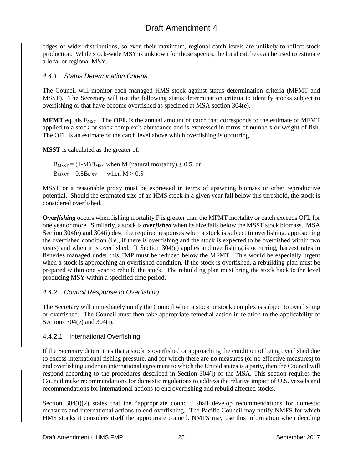edges of wider distributions, so even their maximum, regional catch levels are unlikely to reflect stock production. While stock-wide MSY is unknown for those species, the local catches can be used to estimate a local or regional MSY.

#### *4.4.1 Status Determination Criteria*

The Council will monitor each managed HMS stock against status determination criteria (MFMT and MSST). The Secretary will use the following status determination criteria to identify stocks subject to overfishing or that have become overfished as specified at MSA section 304(e).

**MFMT** equals F<sub>MSY</sub>. The **OFL** is the annual amount of catch that corresponds to the estimate of MFMT applied to a stock or stock complex's abundance and is expressed in terms of numbers or weight of fish. The OFL is an estimate of the catch level above which overfishing is occurring.

**MSST** is calculated as the greater of:

 $B_{MST} = (1-M)B_{MSY}$  when M (natural mortality)  $\leq 0.5$ , or  $B_{MST} = 0.5B_{MSY}$  when  $M > 0.5$ 

MSST or a reasonable proxy must be expressed in terms of spawning biomass or other reproductive potential. Should the estimated size of an HMS stock in a given year fall below this threshold, the stock is considered overfished.

**Over***fishing* occurs when fishing mortality F is greater than the MFMT mortality or catch exceeds OFL for one year or more. Similarly, a stock is **over***fished* when its size falls below the MSST stock biomass. MSA Section  $304(e)$  and  $304(i)$  describe required responses when a stock is subject to overfishing, approaching the overfished condition (i.e., if there is overfishing and the stock is expected to be overfished within two years) and when it is overfished. If Section 304(e) applies and overfishing is occurring, harvest rates in fisheries managed under this FMP must be reduced below the MFMT. This would be especially urgent when a stock is approaching an overfished condition. If the stock is overfished, a rebuilding plan must be prepared within one year to rebuild the stock. The rebuilding plan must bring the stock back to the level producing MSY within a specified time period.

### *4.4.2 Council Response to Overfishing*

The Secretary will immediately notify the Council when a stock or stock complex is subject to overfishing or overfished. The Council must then take appropriate remedial action in relation to the applicability of Sections 304(e) and 304(i).

#### 4.4.2.1 International Overfishing

If the Secretary determines that a stock is overfished or approaching the condition of being overfished due to excess international fishing pressure, and for which there are no measures (or no effective measures) to end overfishing under an international agreement to which the United states is a party, then the Council will respond according to the procedures described in Section 304(i) of the MSA. This section requires the Council make recommendations for domestic regulations to address the relative impact of U.S. vessels and recommendations for international actions to end overfishing and rebuild affected stocks.

Section 304(i)(2) states that the "appropriate council" shall develop recommendations for domestic measures and international actions to end overfishing. The Pacific Council may notify NMFS for which HMS stocks it considers itself the appropriate council. NMFS may use this information when deciding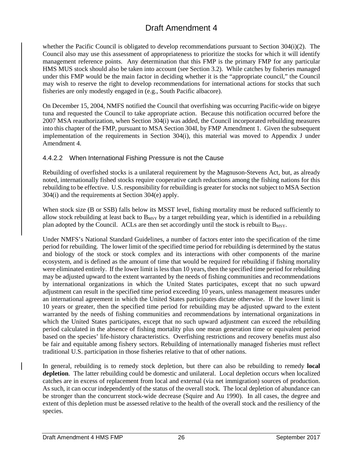whether the Pacific Council is obligated to develop recommendations pursuant to Section 304(i)(2). The Council also may use this assessment of appropriateness to prioritize the stocks for which it will identify management reference points. Any determination that this FMP is the primary FMP for any particular HMS MUS stock should also be taken into account (see Section 3.2). While catches by fisheries managed under this FMP would be the main factor in deciding whether it is the "appropriate council," the Council may wish to reserve the right to develop recommendations for international actions for stocks that such fisheries are only modestly engaged in (e.g., South Pacific albacore).

On December 15, 2004, NMFS notified the Council that overfishing was occurring Pacific-wide on bigeye tuna and requested the Council to take appropriate action. Because this notification occurred before the 2007 MSA reauthorization, when Section 304(i) was added, the Council incorporated rebuilding measures into this chapter of the FMP, pursuant to MSA Section 304I, by FMP Amendment 1. Given the subsequent implementation of the requirements in Section 304(i), this material was moved to Appendix J under Amendment 4.

### 4.4.2.2 When International Fishing Pressure is not the Cause

Rebuilding of overfished stocks is a unilateral requirement by the Magnuson-Stevens Act, but, as already noted, internationally fished stocks require cooperative catch reductions among the fishing nations for this rebuilding to be effective. U.S. responsibility for rebuilding is greater for stocks not subject to MSA Section 304(i) and the requirements at Section 304(e) apply.

When stock size (B or SSB) falls below its MSST level, fishing mortality must be reduced sufficiently to allow stock rebuilding at least back to  $B_{MSY}$  by a target rebuilding year, which is identified in a rebuilding plan adopted by the Council. ACLs are then set accordingly until the stock is rebuilt to  $B_{MSY}$ .

Under NMFS's National Standard Guidelines, a number of factors enter into the specification of the time period for rebuilding. The lower limit of the specified time period for rebuilding is determined by the status and biology of the stock or stock complex and its interactions with other components of the marine ecosystem, and is defined as the amount of time that would be required for rebuilding if fishing mortality were eliminated entirely. If the lower limit is less than 10 years, then the specified time period for rebuilding may be adjusted upward to the extent warranted by the needs of fishing communities and recommendations by international organizations in which the United States participates, except that no such upward adjustment can result in the specified time period exceeding 10 years, unless management measures under an international agreement in which the United States participates dictate otherwise. If the lower limit is 10 years or greater, then the specified time period for rebuilding may be adjusted upward to the extent warranted by the needs of fishing communities and recommendations by international organizations in which the United States participates, except that no such upward adjustment can exceed the rebuilding period calculated in the absence of fishing mortality plus one mean generation time or equivalent period based on the species' life-history characteristics. Overfishing restrictions and recovery benefits must also be fair and equitable among fishery sectors. Rebuilding of internationally managed fisheries must reflect traditional U.S. participation in those fisheries relative to that of other nations.

In general, rebuilding is to remedy stock depletion, but there can also be rebuilding to remedy **local depletion**. The latter rebuilding could be domestic and unilateral. Local depletion occurs when localized catches are in excess of replacement from local and external (via net immigration) sources of production. As such, it can occur independently of the status of the overall stock. The local depletion of abundance can be stronger than the concurrent stock-wide decrease (Squire and Au 1990). In all cases, the degree and extent of this depletion must be assessed relative to the health of the overall stock and the resiliency of the species.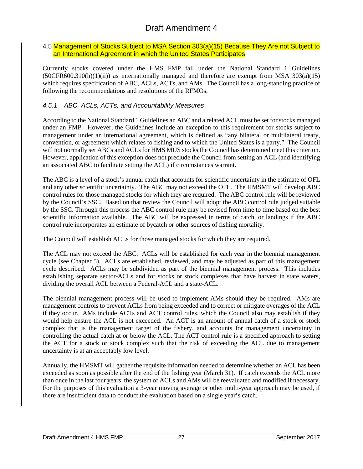#### 4.5 Management of Stocks Subject to MSA Section 303(a)(15) Because They Are not Subject to an International Agreement in which the United States Participates

Currently stocks covered under the HMS FMP fall under the National Standard 1 Guidelines  $(50CFR600.310(h)(1)(ii))$  as internationally managed and therefore are exempt from MSA 303(a)(15) which requires specification of ABC, ACLs, ACTs, and AMs. The Council has a long-standing practice of following the recommendations and resolutions of the RFMOs.

## *4.5.1 ABC, ACLs, ACTs, and Accountability Measures*

According to the National Standard 1 Guidelines an ABC and a related ACL must be set for stocks managed under an FMP. However, the Guidelines include an exception to this requirement for stocks subject to management under an international agreement, which is defined as "any bilateral or multilateral treaty, convention, or agreement which relates to fishing and to which the United States is a party." The Council will not normally set ABCs and ACLs for HMS MUS stocks the Council has determined meet this criterion. However, application of this exception does not preclude the Council from setting an ACL (and identifying an associated ABC to facilitate setting the ACL) if circumstances warrant.

The ABC is a level of a stock's annual catch that accounts for scientific uncertainty in the estimate of OFL and any other scientific uncertainty. The ABC may not exceed the OFL. The HMSMT will develop ABC control rules for those managed stocks for which they are required. The ABC control rule will be reviewed by the Council's SSC. Based on that review the Council will adopt the ABC control rule judged suitable by the SSC. Through this process the ABC control rule may be revised from time to time based on the best scientific information available. The ABC will be expressed in terms of catch, or landings if the ABC control rule incorporates an estimate of bycatch or other sources of fishing mortality.

The Council will establish ACLs for those managed stocks for which they are required.

The ACL may not exceed the ABC. ACLs will be established for each year in the biennial management cycle (see Chapter 5). ACLs are established, reviewed, and may be adjusted as part of this management cycle described. ACLs may be subdivided as part of the biennial management process. This includes establishing separate sector-ACLs and for stocks or stock complexes that have harvest in state waters, dividing the overall ACL between a Federal-ACL and a state-ACL.

The biennial management process will be used to implement AMs should they be required. AMs are management controls to prevent ACLs from being exceeded and to correct or mitigate overages of the ACL if they occur. AMs include ACTs and ACT control rules, which the Council also may establish if they would help ensure the ACL is not exceeded. An ACT is an amount of annual catch of a stock or stock complex that is the management target of the fishery, and accounts for management uncertainty in controlling the actual catch at or below the ACL. The ACT control rule is a specified approach to setting the ACT for a stock or stock complex such that the risk of exceeding the ACL due to management uncertainty is at an acceptably low level.

Annually, the HMSMT will gather the requisite information needed to determine whether an ACL has been exceeded as soon as possible after the end of the fishing year (March 31). If catch exceeds the ACL more than once in the last four years, the system of ACLs and AMs will be reevaluated and modified if necessary. For the purposes of this evaluation a 3-year moving average or other multi-year approach may be used, if there are insufficient data to conduct the evaluation based on a single year's catch.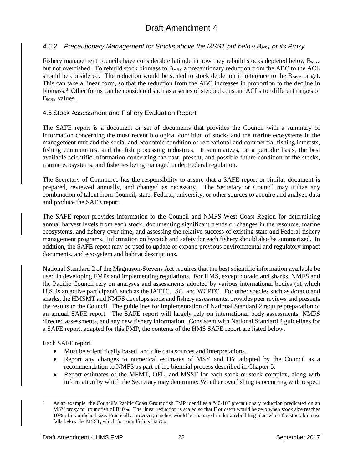#### 4.5.2 *Precautionary Management for Stocks above the MSST but below B<sub>MSY</sub> or its Proxy*

Fishery management councils have considerable latitude in how they rebuild stocks depleted below  $B_{MSY}$ but not overfished. To rebuild stock biomass to  $B_{MSY}$  a precautionary reduction from the ABC to the ACL should be considered. The reduction would be scaled to stock depletion in reference to the  $B_{MSY}$  target. This can take a linear form, so that the reduction from the ABC increases in proportion to the decline in biomass.<sup>[3](#page-40-0)</sup> Other forms can be considered such as a series of stepped constant ACLs for different ranges of B<sub>MSY</sub> values.

#### 4.6 Stock Assessment and Fishery Evaluation Report

The SAFE report is a document or set of documents that provides the Council with a summary of information concerning the most recent biological condition of stocks and the marine ecosystems in the management unit and the social and economic condition of recreational and commercial fishing interests, fishing communities, and the fish processing industries. It summarizes, on a periodic basis, the best available scientific information concerning the past, present, and possible future condition of the stocks, marine ecosystems, and fisheries being managed under Federal regulation.

The Secretary of Commerce has the responsibility to assure that a SAFE report or similar document is prepared, reviewed annually, and changed as necessary. The Secretary or Council may utilize any combination of talent from Council, state, Federal, university, or other sources to acquire and analyze data and produce the SAFE report.

The SAFE report provides information to the Council and NMFS West Coast Region for determining annual harvest levels from each stock; documenting significant trends or changes in the resource, marine ecosystems, and fishery over time; and assessing the relative success of existing state and Federal fishery management programs. Information on bycatch and safety for each fishery should also be summarized. In addition, the SAFE report may be used to update or expand previous environmental and regulatory impact documents, and ecosystem and habitat descriptions.

National Standard 2 of the Magnuson-Stevens Act requires that the best scientific information available be used in developing FMPs and implementing regulations. For HMS, except dorado and sharks, NMFS and the Pacific Council rely on analyses and assessments adopted by various international bodies (of which U.S. is an active participant), such as the IATTC, ISC, and WCPFC. For other species such as dorado and sharks, the HMSMT and NMFS develops stock and fishery assessments, provides peer reviews and presents the results to the Council. The guidelines for implementation of National Standard 2 require preparation of an annual SAFE report. The SAFE report will largely rely on international body assessments, NMFS directed assessments, and any new fishery information. Consistent with National Standard 2 guidelines for a SAFE report, adapted for this FMP, the contents of the HMS SAFE report are listed below.

#### Each SAFE report

- Must be scientifically based, and cite data sources and interpretations.
- Report any changes to numerical estimates of MSY and OY adopted by the Council as a recommendation to NMFS as part of the biennial process described in Chapter 5.
- Report estimates of the MFMT, OFL, and MSST for each stock or stock complex, along with information by which the Secretary may determine: Whether overfishing is occurring with respect

<span id="page-40-0"></span>As an example, the Council's Pacific Coast Groundfish FMP identifies a "40-10" precautionary reduction predicated on an MSY proxy for roundfish of B40%. The linear reduction is scaled so that F or catch would be zero when stock size reaches 10% of its unfished size. Practically, however, catches would be managed under a rebuilding plan when the stock biomass falls below the MSST, which for roundfish is B25%.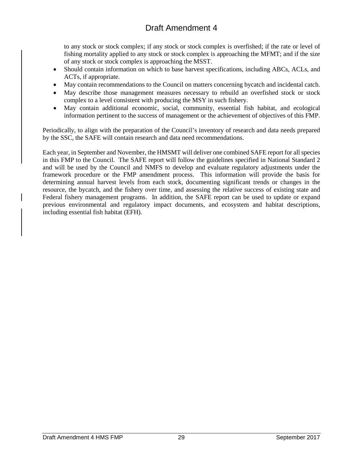to any stock or stock complex; if any stock or stock complex is overfished; if the rate or level of fishing mortality applied to any stock or stock complex is approaching the MFMT; and if the size of any stock or stock complex is approaching the MSST.

- Should contain information on which to base harvest specifications, including ABCs, ACLs, and ACTs, if appropriate.
- May contain recommendations to the Council on matters concerning bycatch and incidental catch.
- May describe those management measures necessary to rebuild an overfished stock or stock complex to a level consistent with producing the MSY in such fishery.
- May contain additional economic, social, community, essential fish habitat, and ecological information pertinent to the success of management or the achievement of objectives of this FMP.

Periodically, to align with the preparation of the Council's inventory of research and data needs prepared by the SSC, the SAFE will contain research and data need recommendations.

Each year, in September and November, the HMSMT will deliver one combined SAFE report for all species in this FMP to the Council. The SAFE report will follow the guidelines specified in National Standard 2 and will be used by the Council and NMFS to develop and evaluate regulatory adjustments under the framework procedure or the FMP amendment process. This information will provide the basis for determining annual harvest levels from each stock, documenting significant trends or changes in the resource, the bycatch, and the fishery over time, and assessing the relative success of existing state and Federal fishery management programs. In addition, the SAFE report can be used to update or expand previous environmental and regulatory impact documents, and ecosystem and habitat descriptions, including essential fish habitat (EFH).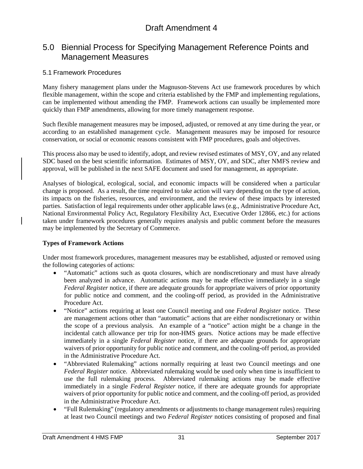## 5.0 Biennial Process for Specifying Management Reference Points and Management Measures

### 5.1 Framework Procedures

Many fishery management plans under the Magnuson-Stevens Act use framework procedures by which flexible management, within the scope and criteria established by the FMP and implementing regulations, can be implemented without amending the FMP. Framework actions can usually be implemented more quickly than FMP amendments, allowing for more timely management response.

Such flexible management measures may be imposed, adjusted, or removed at any time during the year, or according to an established management cycle. Management measures may be imposed for resource conservation, or social or economic reasons consistent with FMP procedures, goals and objectives.

This process also may be used to identify, adopt, and review revised estimates of MSY, OY, and any related SDC based on the best scientific information. Estimates of MSY, OY, and SDC, after NMFS review and approval, will be published in the next SAFE document and used for management, as appropriate.

Analyses of biological, ecological, social, and economic impacts will be considered when a particular change is proposed. As a result, the time required to take action will vary depending on the type of action, its impacts on the fisheries, resources, and environment, and the review of these impacts by interested parties. Satisfaction of legal requirements under other applicable laws (e.g., Administrative Procedure Act, National Environmental Policy Act, Regulatory Flexibility Act, Executive Order 12866, etc.) for actions taken under framework procedures generally requires analysis and public comment before the measures may be implemented by the Secretary of Commerce.

#### **Types of Framework Actions**

Under most framework procedures, management measures may be established, adjusted or removed using the following categories of actions:

- "Automatic" actions such as quota closures, which are nondiscretionary and must have already been analyzed in advance. Automatic actions may be made effective immediately in a single *Federal Register* notice, if there are adequate grounds for appropriate waivers of prior opportunity for public notice and comment, and the cooling-off period, as provided in the Administrative Procedure Act.
- "Notice" actions requiring at least one Council meeting and one *Federal Register* notice. These are management actions other than "automatic" actions that are either nondiscretionary or within the scope of a previous analysis. An example of a "notice" action might be a change in the incidental catch allowance per trip for non-HMS gears. Notice actions may be made effective immediately in a single *Federal Register* notice, if there are adequate grounds for appropriate waivers of prior opportunity for public notice and comment, and the cooling-off period, as provided in the Administrative Procedure Act.
- "Abbreviated Rulemaking" actions normally requiring at least two Council meetings and one *Federal Register* notice. Abbreviated rulemaking would be used only when time is insufficient to use the full rulemaking process. Abbreviated rulemaking actions may be made effective immediately in a single *Federal Register* notice, if there are adequate grounds for appropriate waivers of prior opportunity for public notice and comment, and the cooling-off period, as provided in the Administrative Procedure Act.
- "Full Rulemaking" (regulatory amendments or adjustments to change management rules) requiring at least two Council meetings and two *Federal Register* notices consisting of proposed and final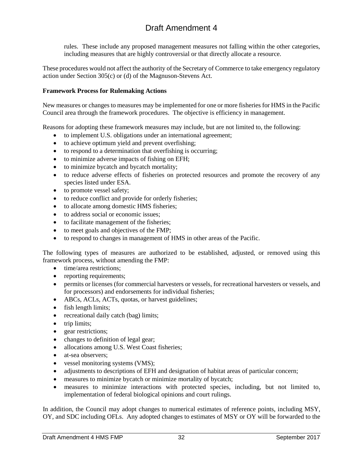rules. These include any proposed management measures not falling within the other categories, including measures that are highly controversial or that directly allocate a resource.

These procedures would not affect the authority of the Secretary of Commerce to take emergency regulatory action under Section 305(c) or (d) of the Magnuson-Stevens Act.

#### **Framework Process for Rulemaking Actions**

New measures or changes to measures may be implemented for one or more fisheries for HMS in the Pacific Council area through the framework procedures. The objective is efficiency in management.

Reasons for adopting these framework measures may include, but are not limited to, the following:

- to implement U.S. obligations under an international agreement;
- to achieve optimum yield and prevent overfishing;
- to respond to a determination that overfishing is occurring;
- to minimize adverse impacts of fishing on EFH;
- to minimize bycatch and bycatch mortality;
- to reduce adverse effects of fisheries on protected resources and promote the recovery of any species listed under ESA.
- to promote vessel safety;
- to reduce conflict and provide for orderly fisheries;
- to allocate among domestic HMS fisheries:
- to address social or economic issues:
- to facilitate management of the fisheries;
- to meet goals and objectives of the FMP;
- to respond to changes in management of HMS in other areas of the Pacific.

The following types of measures are authorized to be established, adjusted, or removed using this framework process, without amending the FMP:

- time/area restrictions;
- reporting requirements;
- permits or licenses (for commercial harvesters or vessels, for recreational harvesters or vessels, and for processors) and endorsements for individual fisheries;
- ABCs, ACLs, ACTs, quotas, or harvest guidelines;
- fish length limits;
- recreational daily catch (bag) limits;
- trip limits:
- gear restrictions;
- changes to definition of legal gear;
- allocations among U.S. West Coast fisheries;
- at-sea observers;
- vessel monitoring systems (VMS);
- adjustments to descriptions of EFH and designation of habitat areas of particular concern;
- measures to minimize bycatch or minimize mortality of bycatch;
- measures to minimize interactions with protected species, including, but not limited to, implementation of federal biological opinions and court rulings.

In addition, the Council may adopt changes to numerical estimates of reference points, including MSY, OY, and SDC including OFLs. Any adopted changes to estimates of MSY or OY will be forwarded to the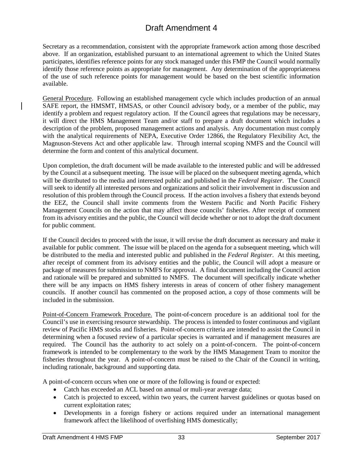Secretary as a recommendation, consistent with the appropriate framework action among those described above. If an organization, established pursuant to an international agreement to which the United States participates, identifies reference points for any stock managed under this FMP the Council would normally identify those reference points as appropriate for management. Any determination of the appropriateness of the use of such reference points for management would be based on the best scientific information available.

General Procedure. Following an established management cycle which includes production of an annual SAFE report, the HMSMT, HMSAS, or other Council advisory body, or a member of the public, may identify a problem and request regulatory action. If the Council agrees that regulations may be necessary, it will direct the HMS Management Team and/or staff to prepare a draft document which includes a description of the problem, proposed management actions and analysis. Any documentation must comply with the analytical requirements of NEPA, Executive Order 12866, the Regulatory Flexibility Act, the Magnuson-Stevens Act and other applicable law. Through internal scoping NMFS and the Council will determine the form and content of this analytical document.

Upon completion, the draft document will be made available to the interested public and will be addressed by the Council at a subsequent meeting. The issue will be placed on the subsequent meeting agenda, which will be distributed to the media and interested public and published in the *Federal Register*. The Council will seek to identify all interested persons and organizations and solicit their involvement in discussion and resolution of this problem through the Council process. If the action involves a fishery that extends beyond the EEZ, the Council shall invite comments from the Western Pacific and North Pacific Fishery Management Councils on the action that may affect those councils' fisheries. After receipt of comment from its advisory entities and the public, the Council will decide whether or not to adopt the draft document for public comment.

If the Council decides to proceed with the issue, it will revise the draft document as necessary and make it available for public comment. The issue will be placed on the agenda for a subsequent meeting, which will be distributed to the media and interested public and published in the *Federal Register*. At this meeting, after receipt of comment from its advisory entities and the public, the Council will adopt a measure or package of measures for submission to NMFS for approval. A final document including the Council action and rationale will be prepared and submitted to NMFS. The document will specifically indicate whether there will be any impacts on HMS fishery interests in areas of concern of other fishery management councils. If another council has commented on the proposed action, a copy of those comments will be included in the submission.

Point-of-Concern Framework Procedure. The point-of-concern procedure is an additional tool for the Council's use in exercising resource stewardship. The process is intended to foster continuous and vigilant review of Pacific HMS stocks and fisheries. Point-of-concern criteria are intended to assist the Council in determining when a focused review of a particular species is warranted and if management measures are required. The Council has the authority to act solely on a point-of-concern. The point-of-concern framework is intended to be complementary to the work by the HMS Management Team to monitor the fisheries throughout the year. A point-of-concern must be raised to the Chair of the Council in writing, including rationale, background and supporting data.

A point-of-concern occurs when one or more of the following is found or expected:

- Catch has exceeded an ACL based on annual or muli-year average data;
- Catch is projected to exceed, within two years, the current harvest guidelines or quotas based on current exploitation rates;
- Developments in a foreign fishery or actions required under an international management framework affect the likelihood of overfishing HMS domestically;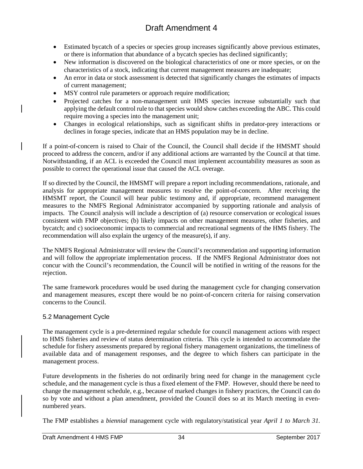- Estimated bycatch of a species or species group increases significantly above previous estimates, or there is information that abundance of a bycatch species has declined significantly;
- New information is discovered on the biological characteristics of one or more species, or on the characteristics of a stock, indicating that current management measures are inadequate;
- An error in data or stock assessment is detected that significantly changes the estimates of impacts of current management;
- MSY control rule parameters or approach require modification;
- Projected catches for a non-management unit HMS species increase substantially such that applying the default control rule to that species would show catches exceeding the ABC. This could require moving a species into the management unit;
- Changes in ecological relationships, such as significant shifts in predator-prey interactions or declines in forage species, indicate that an HMS population may be in decline.

If a point-of-concern is raised to Chair of the Council, the Council shall decide if the HMSMT should proceed to address the concern, and/or if any additional actions are warranted by the Council at that time. Notwithstanding, if an ACL is exceeded the Council must implement accountability measures as soon as possible to correct the operational issue that caused the ACL overage.

If so directed by the Council, the HMSMT will prepare a report including recommendations, rationale, and analysis for appropriate management measures to resolve the point-of-concern. After receiving the HMSMT report, the Council will hear public testimony and, if appropriate, recommend management measures to the NMFS Regional Administrator accompanied by supporting rationale and analysis of impacts. The Council analysis will include a description of (a) resource conservation or ecological issues consistent with FMP objectives; (b) likely impacts on other management measures, other fisheries, and bycatch; and c) socioeconomic impacts to commercial and recreational segments of the HMS fishery. The recommendation will also explain the urgency of the measure(s), if any.

The NMFS Regional Administrator will review the Council's recommendation and supporting information and will follow the appropriate implementation process. If the NMFS Regional Administrator does not concur with the Council's recommendation, the Council will be notified in writing of the reasons for the rejection.

The same framework procedures would be used during the management cycle for changing conservation and management measures, except there would be no point-of-concern criteria for raising conservation concerns to the Council.

#### 5.2 Management Cycle

The management cycle is a pre-determined regular schedule for council management actions with respect to HMS fisheries and review of status determination criteria. This cycle is intended to accommodate the schedule for fishery assessments prepared by regional fishery management organizations, the timeliness of available data and of management responses, and the degree to which fishers can participate in the management process.

Future developments in the fisheries do not ordinarily bring need for change in the management cycle schedule, and the management cycle is thus a fixed element of the FMP. However, should there be need to change the management schedule, e.g., because of marked changes in fishery practices, the Council can do so by vote and without a plan amendment, provided the Council does so at its March meeting in evennumbered years.

The FMP establishes a *biennial* management cycle with regulatory/statistical year *April 1 to March 31*.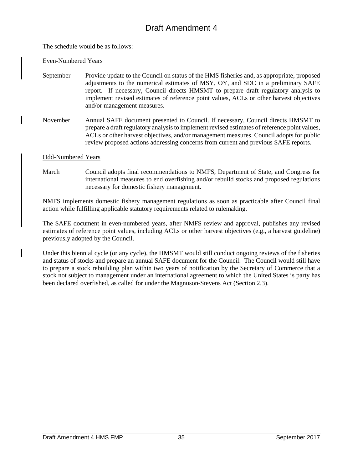The schedule would be as follows:

#### Even-Numbered Years

- September Provide update to the Council on status of the HMS fisheries and, as appropriate, proposed adjustments to the numerical estimates of MSY, OY, and SDC in a preliminary SAFE report. If necessary, Council directs HMSMT to prepare draft regulatory analysis to implement revised estimates of reference point values, ACLs or other harvest objectives and/or management measures.
- November Annual SAFE document presented to Council. If necessary, Council directs HMSMT to prepare a draft regulatory analysis to implement revised estimates of reference point values, ACLs or other harvest objectives, and/or management measures. Council adopts for public review proposed actions addressing concerns from current and previous SAFE reports.

#### Odd-Numbered Years

March Council adopts final recommendations to NMFS, Department of State, and Congress for international measures to end overfishing and/or rebuild stocks and proposed regulations necessary for domestic fishery management.

NMFS implements domestic fishery management regulations as soon as practicable after Council final action while fulfilling applicable statutory requirements related to rulemaking.

The SAFE document in even-numbered years, after NMFS review and approval, publishes any revised estimates of reference point values, including ACLs or other harvest objectives (e.g., a harvest guideline) previously adopted by the Council.

Under this biennial cycle (or any cycle), the HMSMT would still conduct ongoing reviews of the fisheries and status of stocks and prepare an annual SAFE document for the Council. The Council would still have to prepare a stock rebuilding plan within two years of notification by the Secretary of Commerce that a stock not subject to management under an international agreement to which the United States is party has been declared overfished, as called for under the Magnuson-Stevens Act (Section 2.3).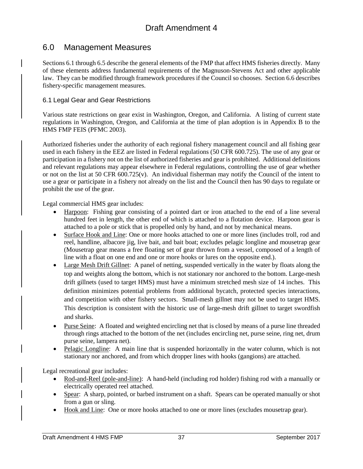## 6.0 Management Measures

Sections 6.1 through 6.5 describe the general elements of the FMP that affect HMS fisheries directly. Many of these elements address fundamental requirements of the Magnuson-Stevens Act and other applicable law. They can be modified through framework procedures if the Council so chooses. Section 6.6 describes fishery-specific management measures.

#### 6.1 Legal Gear and Gear Restrictions

Various state restrictions on gear exist in Washington, Oregon, and California. A listing of current state regulations in Washington, Oregon, and California at the time of plan adoption is in Appendix B to the HMS FMP FEIS (PFMC 2003).

Authorized fisheries under the authority of each regional fishery management council and all fishing gear used in each fishery in the EEZ are listed in Federal regulations (50 CFR 600.725). The use of any gear or participation in a fishery not on the list of authorized fisheries and gear is prohibited. Additional definitions and relevant regulations may appear elsewhere in Federal regulations, controlling the use of gear whether or not on the list at 50 CFR 600.725(v). An individual fisherman may notify the Council of the intent to use a gear or participate in a fishery not already on the list and the Council then has 90 days to regulate or prohibit the use of the gear.

Legal commercial HMS gear includes:

- Harpoon: Fishing gear consisting of a pointed dart or iron attached to the end of a line several hundred feet in length, the other end of which is attached to a flotation device. Harpoon gear is attached to a pole or stick that is propelled only by hand, and not by mechanical means.
- Surface Hook and Line: One or more hooks attached to one or more lines (includes troll, rod and reel, handline, albacore jig, live bait, and bait boat; excludes pelagic longline and mousetrap gear (Mousetrap gear means a free floating set of gear thrown from a vessel, composed of a length of line with a float on one end and one or more hooks or lures on the opposite end.).
- Large Mesh Drift Gillnet: A panel of netting, suspended vertically in the water by floats along the top and weights along the bottom, which is not stationary nor anchored to the bottom. Large-mesh drift gillnets (used to target HMS) must have a minimum stretched mesh size of 14 inches. This definition minimizes potential problems from additional bycatch, protected species interactions, and competition with other fishery sectors. Small-mesh gillnet may not be used to target HMS. This description is consistent with the historic use of large-mesh drift gillnet to target swordfish and sharks.
- Purse Seine: A floated and weighted encircling net that is closed by means of a purse line threaded through rings attached to the bottom of the net (includes encircling net, purse seine, ring net, drum purse seine, lampera net).
- Pelagic Longline: A main line that is suspended horizontally in the water column, which is not stationary nor anchored, and from which dropper lines with hooks (gangions) are attached.

Legal recreational gear includes:

- Rod-and-Reel (pole-and-line): A hand-held (including rod holder) fishing rod with a manually or electrically operated reel attached.
- Spear: A sharp, pointed, or barbed instrument on a shaft. Spears can be operated manually or shot from a gun or sling.
- Hook and Line: One or more hooks attached to one or more lines (excludes mousetrap gear).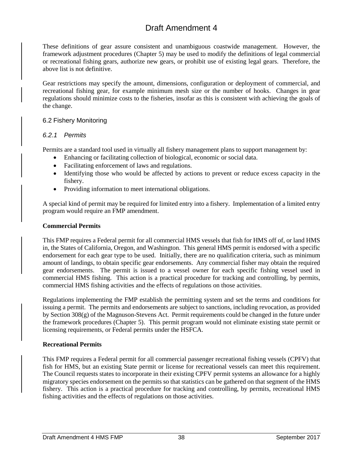These definitions of gear assure consistent and unambiguous coastwide management. However, the framework adjustment procedures (Chapter 5) may be used to modify the definitions of legal commercial or recreational fishing gears, authorize new gears, or prohibit use of existing legal gears. Therefore, the above list is not definitive.

Gear restrictions may specify the amount, dimensions, configuration or deployment of commercial, and recreational fishing gear, for example minimum mesh size or the number of hooks. Changes in gear regulations should minimize costs to the fisheries, insofar as this is consistent with achieving the goals of the change.

#### 6.2 Fishery Monitoring

#### *6.2.1 Permits*

Permits are a standard tool used in virtually all fishery management plans to support management by:

- Enhancing or facilitating collection of biological, economic or social data.
- Facilitating enforcement of laws and regulations.
- Identifying those who would be affected by actions to prevent or reduce excess capacity in the fishery.
- Providing information to meet international obligations.

A special kind of permit may be required for limited entry into a fishery. Implementation of a limited entry program would require an FMP amendment.

#### **Commercial Permits**

This FMP requires a Federal permit for all commercial HMS vessels that fish for HMS off of, or land HMS in, the States of California, Oregon, and Washington. This general HMS permit is endorsed with a specific endorsement for each gear type to be used. Initially, there are no qualification criteria, such as minimum amount of landings, to obtain specific gear endorsements. Any commercial fisher may obtain the required gear endorsements. The permit is issued to a vessel owner for each specific fishing vessel used in commercial HMS fishing. This action is a practical procedure for tracking and controlling, by permits, commercial HMS fishing activities and the effects of regulations on those activities.

Regulations implementing the FMP establish the permitting system and set the terms and conditions for issuing a permit. The permits and endorsements are subject to sanctions, including revocation, as provided by Section 308(g) of the Magnuson-Stevens Act. Permit requirements could be changed in the future under the framework procedures (Chapter 5). This permit program would not eliminate existing state permit or licensing requirements, or Federal permits under the HSFCA.

#### **Recreational Permits**

This FMP requires a Federal permit for all commercial passenger recreational fishing vessels (CPFV) that fish for HMS, but an existing State permit or license for recreational vessels can meet this requirement. The Council requests states to incorporate in their existing CPFV permit systems an allowance for a highly migratory species endorsement on the permits so that statistics can be gathered on that segment of the HMS fishery. This action is a practical procedure for tracking and controlling, by permits, recreational HMS fishing activities and the effects of regulations on those activities.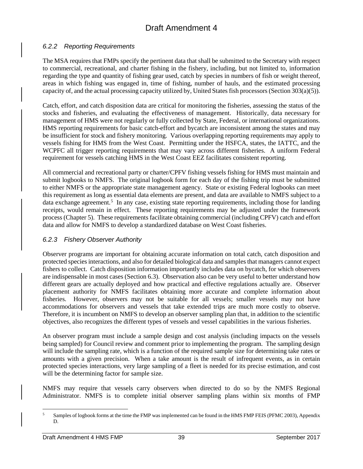#### *6.2.2 Reporting Requirements*

The MSA requires that FMPs specify the pertinent data that shall be submitted to the Secretary with respect to commercial, recreational, and charter fishing in the fishery, including, but not limited to, information regarding the type and quantity of fishing gear used, catch by species in numbers of fish or weight thereof, areas in which fishing was engaged in, time of fishing, number of hauls, and the estimated processing capacity of, and the actual processing capacity utilized by, United States fish processors (Section 303(a)(5)).

Catch, effort, and catch disposition data are critical for monitoring the fisheries, assessing the status of the stocks and fisheries, and evaluating the effectiveness of management. Historically, data necessary for management of HMS were not regularly or fully collected by State, Federal, or international organizations. HMS reporting requirements for basic catch-effort and bycatch are inconsistent among the states and may be insufficient for stock and fishery monitoring. Various overlapping reporting requirements may apply to vessels fishing for HMS from the West Coast. Permitting under the HSFCA, states, the IATTC, and the WCPFC all trigger reporting requirements that may vary across different fisheries. A uniform Federal requirement for vessels catching HMS in the West Coast EEZ facilitates consistent reporting.

All commercial and recreational party or charter/CPFV fishing vessels fishing for HMS must maintain and submit logbooks to NMFS. The original logbook form for each day of the fishing trip must be submitted to either NMFS or the appropriate state management agency. State or existing Federal logbooks can meet this requirement as long as essential data elements are present, and data are available to NMFS subject to a data exchange agreement.<sup>[5](#page-89-0)</sup> In any case, existing state reporting requirements, including those for landing receipts, would remain in effect. These reporting requirements may be adjusted under the framework process (Chapter 5). These requirements facilitate obtaining commercial (including CPFV) catch and effort data and allow for NMFS to develop a standardized database on West Coast fisheries.

### *6.2.3 Fishery Observer Authority*

Observer programs are important for obtaining accurate information on total catch, catch disposition and protected species interactions, and also for detailed biological data and samples that managers cannot expect fishers to collect. Catch disposition information importantly includes data on bycatch, for which observers are indispensable in most cases (Section 6.3). Observation also can be very useful to better understand how different gears are actually deployed and how practical and effective regulations actually are. Observer placement authority for NMFS facilitates obtaining more accurate and complete information about fisheries. However, observers may not be suitable for all vessels; smaller vessels may not have accommodations for observers and vessels that take extended trips are much more costly to observe. Therefore, it is incumbent on NMFS to develop an observer sampling plan that, in addition to the scientific objectives, also recognizes the different types of vessels and vessel capabilities in the various fisheries.

An observer program must include a sample design and cost analysis (including impacts on the vessels being sampled) for Council review and comment prior to implementing the program. The sampling design will include the sampling rate, which is a function of the required sample size for determining take rates or amounts with a given precision. When a take amount is the result of infrequent events, as in certain protected species interactions, very large sampling of a fleet is needed for its precise estimation, and cost will be the determining factor for sample size.

NMFS may require that vessels carry observers when directed to do so by the NMFS Regional Administrator. NMFS is to complete initial observer sampling plans within six months of FMP

<sup>&</sup>lt;sup>5</sup> Samples of logbook forms at the time the FMP was implemented can be found in the HMS FMP FEIS (PFMC 2003), Appendix D.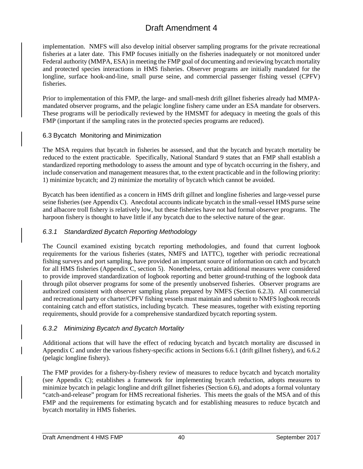implementation. NMFS will also develop initial observer sampling programs for the private recreational fisheries at a later date. This FMP focuses initially on the fisheries inadequately or not monitored under Federal authority (MMPA, ESA) in meeting the FMP goal of documenting and reviewing bycatch mortality and protected species interactions in HMS fisheries. Observer programs are initially mandated for the longline, surface hook-and-line, small purse seine, and commercial passenger fishing vessel (CPFV) fisheries.

Prior to implementation of this FMP, the large- and small-mesh drift gillnet fisheries already had MMPAmandated observer programs, and the pelagic longline fishery came under an ESA mandate for observers. These programs will be periodically reviewed by the HMSMT for adequacy in meeting the goals of this FMP (important if the sampling rates in the protected species programs are reduced).

#### 6.3 Bycatch Monitoring and Minimization

The MSA requires that bycatch in fisheries be assessed, and that the bycatch and bycatch mortality be reduced to the extent practicable. Specifically, National Standard 9 states that an FMP shall establish a standardized reporting methodology to assess the amount and type of bycatch occurring in the fishery, and include conservation and management measures that, to the extent practicable and in the following priority: 1) minimize bycatch; and 2) minimize the mortality of bycatch which cannot be avoided.

Bycatch has been identified as a concern in HMS drift gillnet and longline fisheries and large-vessel purse seine fisheries (see Appendix C). Anecdotal accounts indicate bycatch in the small-vessel HMS purse seine and albacore troll fishery is relatively low, but these fisheries have not had formal observer programs. The harpoon fishery is thought to have little if any bycatch due to the selective nature of the gear.

### *6.3.1 Standardized Bycatch Reporting Methodology*

The Council examined existing bycatch reporting methodologies, and found that current logbook requirements for the various fisheries (states, NMFS and IATTC), together with periodic recreational fishing surveys and port sampling, have provided an important source of information on catch and bycatch for all HMS fisheries (Appendix C, section 5). Nonetheless, certain additional measures were considered to provide improved standardization of logbook reporting and better ground-truthing of the logbook data through pilot observer programs for some of the presently unobserved fisheries. Observer programs are authorized consistent with observer sampling plans prepared by NMFS (Section 6.2.3). All commercial and recreational party or charter/CPFV fishing vessels must maintain and submit to NMFS logbook records containing catch and effort statistics, including bycatch. These measures, together with existing reporting requirements, should provide for a comprehensive standardized bycatch reporting system.

### *6.3.2 Minimizing Bycatch and Bycatch Mortality*

Additional actions that will have the effect of reducing bycatch and bycatch mortality are discussed in Appendix C and under the various fishery-specific actions in Sections 6.6.1 (drift gillnet fishery), and 6.6.2 (pelagic longline fishery).

The FMP provides for a fishery-by-fishery review of measures to reduce bycatch and bycatch mortality (see Appendix C); establishes a framework for implementing bycatch reduction, adopts measures to minimize bycatch in pelagic longline and drift gillnet fisheries (Section 6.6), and adopts a formal voluntary "catch-and-release" program for HMS recreational fisheries. This meets the goals of the MSA and of this FMP and the requirements for estimating bycatch and for establishing measures to reduce bycatch and bycatch mortality in HMS fisheries.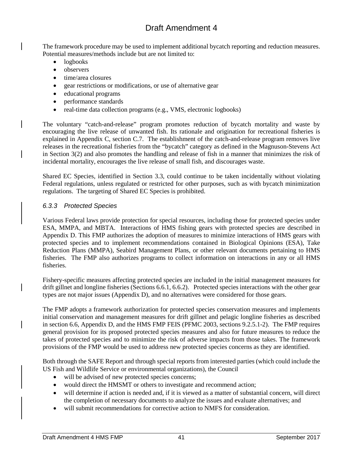The framework procedure may be used to implement additional bycatch reporting and reduction measures. Potential measures/methods include but are not limited to:

- logbooks
- observers
- time/area closures
- gear restrictions or modifications, or use of alternative gear
- educational programs
- performance standards
- real-time data collection programs (e.g., VMS, electronic logbooks)

The voluntary "catch-and-release" program promotes reduction of bycatch mortality and waste by encouraging the live release of unwanted fish. Its rationale and origination for recreational fisheries is explained in Appendix C, section C.7. The establishment of the catch-and-release program removes live releases in the recreational fisheries from the "bycatch" category as defined in the Magnuson-Stevens Act in Section 3(2) and also promotes the handling and release of fish in a manner that minimizes the risk of incidental mortality, encourages the live release of small fish, and discourages waste.

Shared EC Species, identified in Section 3.3, could continue to be taken incidentally without violating Federal regulations, unless regulated or restricted for other purposes, such as with bycatch minimization regulations. The targeting of Shared EC Species is prohibited.

### *6.3.3 Protected Species*

Various Federal laws provide protection for special resources, including those for protected species under ESA, MMPA, and MBTA. Interactions of HMS fishing gears with protected species are described in Appendix D. This FMP authorizes the adoption of measures to minimize interactions of HMS gears with protected species and to implement recommendations contained in Biological Opinions (ESA), Take Reduction Plans (MMPA), Seabird Management Plans, or other relevant documents pertaining to HMS fisheries. The FMP also authorizes programs to collect information on interactions in any or all HMS fisheries.

Fishery-specific measures affecting protected species are included in the initial management measures for drift gillnet and longline fisheries (Sections 6.6.1, 6.6.2). Protected species interactions with the other gear types are not major issues (Appendix D), and no alternatives were considered for those gears.

The FMP adopts a framework authorization for protected species conservation measures and implements initial conservation and management measures for drift gillnet and pelagic longline fisheries as described in section 6.6, Appendix D, and the HMS FMP FEIS (PFMC 2003, sections 9.2.5.1-2). The FMP requires general provision for its proposed protected species measures and also for future measures to reduce the takes of protected species and to minimize the risk of adverse impacts from those takes. The framework provisions of the FMP would be used to address new protected species concerns as they are identified.

Both through the SAFE Report and through special reports from interested parties (which could include the US Fish and Wildlife Service or environmental organizations), the Council

- will be advised of new protected species concerns;
- would direct the HMSMT or others to investigate and recommend action;
- will determine if action is needed and, if it is viewed as a matter of substantial concern, will direct the completion of necessary documents to analyze the issues and evaluate alternatives; and
- will submit recommendations for corrective action to NMFS for consideration.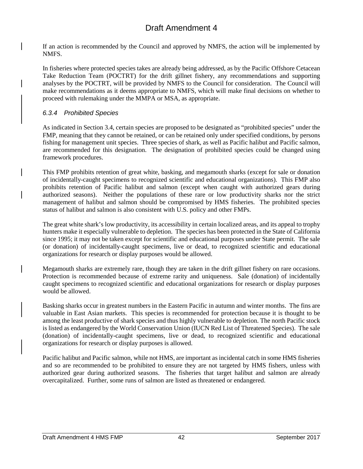If an action is recommended by the Council and approved by NMFS, the action will be implemented by NMFS.

In fisheries where protected species takes are already being addressed, as by the Pacific Offshore Cetacean Take Reduction Team (POCTRT) for the drift gillnet fishery, any recommendations and supporting analyses by the POCTRT, will be provided by NMFS to the Council for consideration. The Council will make recommendations as it deems appropriate to NMFS, which will make final decisions on whether to proceed with rulemaking under the MMPA or MSA, as appropriate.

### *6.3.4 Prohibited Species*

As indicated in Section 3.4, certain species are proposed to be designated as "prohibited species" under the FMP, meaning that they cannot be retained, or can be retained only under specified conditions, by persons fishing for management unit species. Three species of shark, as well as Pacific halibut and Pacific salmon, are recommended for this designation. The designation of prohibited species could be changed using framework procedures.

This FMP prohibits retention of great white, basking, and megamouth sharks (except for sale or donation of incidentally-caught specimens to recognized scientific and educational organizations). This FMP also prohibits retention of Pacific halibut and salmon (except when caught with authorized gears during authorized seasons). Neither the populations of these rare or low productivity sharks nor the strict management of halibut and salmon should be compromised by HMS fisheries. The prohibited species status of halibut and salmon is also consistent with U.S. policy and other FMPs.

The great white shark's low productivity, its accessibility in certain localized areas, and its appeal to trophy hunters make it especially vulnerable to depletion. The species has been protected in the State of California since 1995; it may not be taken except for scientific and educational purposes under State permit. The sale (or donation) of incidentally-caught specimens, live or dead, to recognized scientific and educational organizations for research or display purposes would be allowed.

Megamouth sharks are extremely rare, though they are taken in the drift gillnet fishery on rare occasions. Protection is recommended because of extreme rarity and uniqueness. Sale (donation) of incidentally caught specimens to recognized scientific and educational organizations for research or display purposes would be allowed.

Basking sharks occur in greatest numbers in the Eastern Pacific in autumn and winter months. The fins are valuable in East Asian markets. This species is recommended for protection because it is thought to be among the least productive of shark species and thus highly vulnerable to depletion. The north Pacific stock is listed as endangered by the World Conservation Union (IUCN Red List of Threatened Species). The sale (donation) of incidentally-caught specimens, live or dead, to recognized scientific and educational organizations for research or display purposes is allowed.

Pacific halibut and Pacific salmon, while not HMS, are important as incidental catch in some HMS fisheries and so are recommended to be prohibited to ensure they are not targeted by HMS fishers, unless with authorized gear during authorized seasons. The fisheries that target halibut and salmon are already overcapitalized. Further, some runs of salmon are listed as threatened or endangered.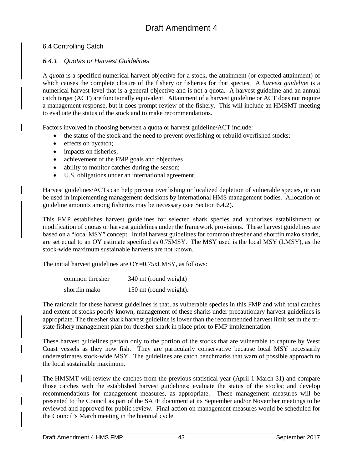### 6.4 Controlling Catch

### *6.4.1 Quotas or Harvest Guidelines*

A *quota* is a specified numerical harvest objective for a stock, the attainment (or expected attainment) of which causes the complete closure of the fishery or fisheries for that species. A *harvest guideline* is a numerical harvest level that is a general objective and is not a quota. A harvest guideline and an annual catch target (ACT) are functionally equivalent. Attainment of a harvest guideline or ACT does not require a management response, but it does prompt review of the fishery. This will include an HMSMT meeting to evaluate the status of the stock and to make recommendations.

Factors involved in choosing between a quota or harvest guideline/ACT include:

- the status of the stock and the need to prevent overfishing or rebuild overfished stocks;
- effects on bycatch;
- impacts on fisheries;
- achievement of the FMP goals and objectives
- ability to monitor catches during the season;
- U.S. obligations under an international agreement.

Harvest guidelines/ACTs can help prevent overfishing or localized depletion of vulnerable species, or can be used in implementing management decisions by international HMS management bodies. Allocation of guideline amounts among fisheries may be necessary (see Section 6.4.2).

This FMP establishes harvest guidelines for selected shark species and authorizes establishment or modification of quotas or harvest guidelines under the framework provisions. These harvest guidelines are based on a "local MSY" concept. Initial harvest guidelines for common thresher and shortfin mako sharks, are set equal to an OY estimate specified as 0.75MSY. The MSY used is the local MSY (LMSY), as the stock-wide maximum sustainable harvests are not known.

The initial harvest guidelines are OY=0.75xLMSY, as follows:

| common thresher | 340 mt (round weight)  |
|-----------------|------------------------|
| shortfin mako   | 150 mt (round weight). |

The rationale for these harvest guidelines is that, as vulnerable species in this FMP and with total catches and extent of stocks poorly known, management of these sharks under precautionary harvest guidelines is appropriate. The thresher shark harvest guideline is lower than the recommended harvest limit set in the tristate fishery management plan for thresher shark in place prior to FMP implementation.

These harvest guidelines pertain only to the portion of the stocks that are vulnerable to capture by West Coast vessels as they now fish. They are particularly conservative because local MSY necessarily underestimates stock-wide MSY. The guidelines are catch benchmarks that warn of possible approach to the local sustainable maximum.

The HMSMT will review the catches from the previous statistical year (April 1-March 31) and compare those catches with the established harvest guidelines; evaluate the status of the stocks; and develop recommendations for management measures, as appropriate. These management measures will be presented to the Council as part of the SAFE document at its September and/or November meetings to be reviewed and approved for public review. Final action on management measures would be scheduled for the Council's March meeting in the biennial cycle.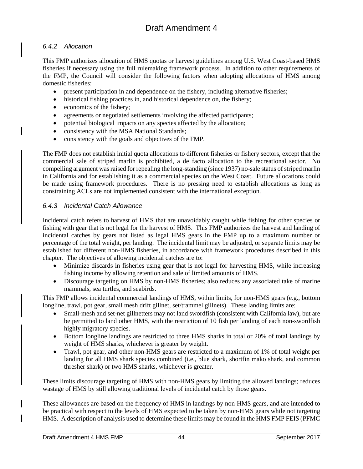### *6.4.2 Allocation*

This FMP authorizes allocation of HMS quotas or harvest guidelines among U.S. West Coast-based HMS fisheries if necessary using the full rulemaking framework process. In addition to other requirements of the FMP, the Council will consider the following factors when adopting allocations of HMS among domestic fisheries:

- present participation in and dependence on the fishery, including alternative fisheries;
- historical fishing practices in, and historical dependence on, the fishery;
- economics of the fishery;
- agreements or negotiated settlements involving the affected participants;
- potential biological impacts on any species affected by the allocation;
- consistency with the MSA National Standards;
- consistency with the goals and objectives of the FMP.

The FMP does not establish initial quota allocations to different fisheries or fishery sectors, except that the commercial sale of striped marlin is prohibited, a de facto allocation to the recreational sector. No compelling argument was raised for repealing the long-standing (since 1937) no-sale status of striped marlin in California and for establishing it as a commercial species on the West Coast. Future allocations could be made using framework procedures. There is no pressing need to establish allocations as long as constraining ACLs are not implemented consistent with the international exception.

#### *6.4.3 Incidental Catch Allowance*

Incidental catch refers to harvest of HMS that are unavoidably caught while fishing for other species or fishing with gear that is not legal for the harvest of HMS. This FMP authorizes the harvest and landing of incidental catches by gears not listed as legal HMS gears in the FMP up to a maximum number or percentage of the total weight, per landing. The incidental limit may be adjusted, or separate limits may be established for different non-HMS fisheries, in accordance with framework procedures described in this chapter. The objectives of allowing incidental catches are to:

- Minimize discards in fisheries using gear that is not legal for harvesting HMS, while increasing fishing income by allowing retention and sale of limited amounts of HMS.
- Discourage targeting on HMS by non-HMS fisheries; also reduces any associated take of marine mammals, sea turtles, and seabirds.

This FMP allows incidental commercial landings of HMS, within limits, for non-HMS gears (e.g., bottom longline, trawl, pot gear, small mesh drift gillnet, set/trammel gillnets). These landing limits are:

- Small-mesh and set-net gillnetters may not land swordfish (consistent with California law), but are be permitted to land other HMS, with the restriction of 10 fish per landing of each non-swordfish highly migratory species.
- Bottom longline landings are restricted to three HMS sharks in total or 20% of total landings by weight of HMS sharks, whichever is greater by weight.
- Trawl, pot gear, and other non-HMS gears are restricted to a maximum of 1% of total weight per landing for all HMS shark species combined (i.e., blue shark, shortfin mako shark, and common thresher shark) or two HMS sharks, whichever is greater.

These limits discourage targeting of HMS with non-HMS gears by limiting the allowed landings; reduces wastage of HMS by still allowing traditional levels of incidental catch by those gears.

These allowances are based on the frequency of HMS in landings by non-HMS gears, and are intended to be practical with respect to the levels of HMS expected to be taken by non-HMS gears while not targeting HMS. A description of analysis used to determine these limits may be found in the HMS FMP FEIS (PFMC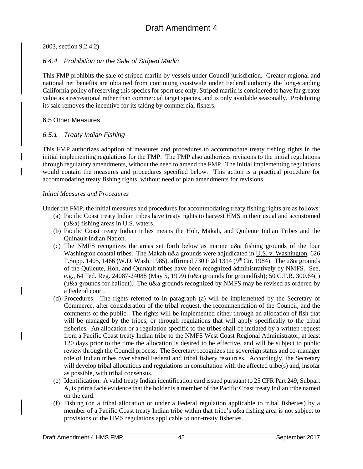2003, section 9.2.4.2).

#### *6.4.4 Prohibition on the Sale of Striped Marlin*

This FMP prohibits the sale of striped marlin by vessels under Council jurisdiction. Greater regional and national net benefits are obtained from continuing coastwide under Federal authority the long-standing California policy of reserving this species for sport use only. Striped marlin is considered to have far greater value as a recreational rather than commercial target species, and is only available seasonally. Prohibiting its sale removes the incentive for its taking by commercial fishers.

#### 6.5 Other Measures

#### *6.5.1 Treaty Indian Fishing*

This FMP authorizes adoption of measures and procedures to accommodate treaty fishing rights in the initial implementing regulations for the FMP. The FMP also authorizes revisions to the initial regulations through regulatory amendments, without the need to amend the FMP. The initial implementing regulations would contain the measures and procedures specified below. This action is a practical procedure for accommodating treaty fishing rights, without need of plan amendments for revisions.

#### *Initial Measures and Procedures*

Under the FMP, the initial measures and procedures for accommodating treaty fishing rights are as follows:

- (a) Pacific Coast treaty Indian tribes have treaty rights to harvest HMS in their usual and accustomed (u&a) fishing areas in U.S. waters.
- (b) Pacific Coast treaty Indian tribes means the Hoh, Makah, and Quileute Indian Tribes and the Quinault Indian Nation.
- (c) The NMFS recognizes the areas set forth below as marine u&a fishing grounds of the four Washington coastal tribes. The Makah u&a grounds were adjudicated in U.S. v. Washington, 626 F.Supp. 1405, 1466 (W.D. Wash. 1985), affirmed 730 F.2d 1314 (9<sup>th</sup> Cir. 1984). The u&a grounds of the Quileute, Hoh, and Quinault tribes have been recognized administratively by NMFS. See, e.g., 64 Fed. Reg. 24087-24088 (May 5, 1999) (u&a grounds for groundfish); 50 C.F.R. 300.64(i) (u&a grounds for halibut). The u&a grounds recognized by NMFS may be revised as ordered by a Federal court.
- (d) Procedures. The rights referred to in paragraph (a) will be implemented by the Secretary of Commerce, after consideration of the tribal request, the recommendation of the Council, and the comments of the public. The rights will be implemented either through an allocation of fish that will be managed by the tribes, or through regulations that will apply specifically to the tribal fisheries. An allocation or a regulation specific to the tribes shall be initiated by a written request from a Pacific Coast treaty Indian tribe to the NMFS West Coast Regional Administrator, at least 120 days prior to the time the allocation is desired to be effective, and will be subject to public review through the Council process. The Secretary recognizes the sovereign status and co-manager role of Indian tribes over shared Federal and tribal fishery resources. Accordingly, the Secretary will develop tribal allocations and regulations in consultation with the affected tribe(s) and, insofar as possible, with tribal consensus.
- (e) Identification. A valid treaty Indian identification card issued pursuant to 25 CFR Part 249, Subpart A, is prima facie evidence that the holder is a member of the Pacific Coast treaty Indian tribe named on the card.
- (f) Fishing (on a tribal allocation or under a Federal regulation applicable to tribal fisheries) by a member of a Pacific Coast treaty Indian tribe within that tribe's u&a fishing area is not subject to provisions of the HMS regulations applicable to non-treaty fisheries.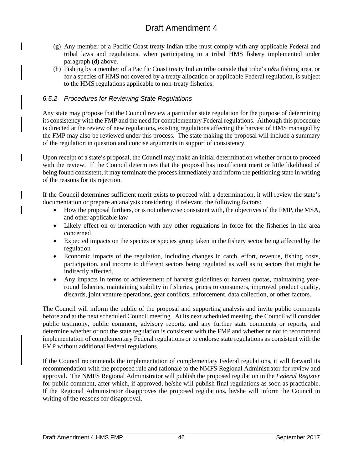- (g) Any member of a Pacific Coast treaty Indian tribe must comply with any applicable Federal and tribal laws and regulations, when participating in a tribal HMS fishery implemented under paragraph (d) above.
- (h) Fishing by a member of a Pacific Coast treaty Indian tribe outside that tribe's u&a fishing area, or for a species of HMS not covered by a treaty allocation or applicable Federal regulation, is subject to the HMS regulations applicable to non-treaty fisheries.

### *6.5.2 Procedures for Reviewing State Regulations*

Any state may propose that the Council review a particular state regulation for the purpose of determining its consistency with the FMP and the need for complementary Federal regulations. Although this procedure is directed at the review of new regulations, existing regulations affecting the harvest of HMS managed by the FMP may also be reviewed under this process. The state making the proposal will include a summary of the regulation in question and concise arguments in support of consistency.

Upon receipt of a state's proposal, the Council may make an initial determination whether or not to proceed with the review. If the Council determines that the proposal has insufficient merit or little likelihood of being found consistent, it may terminate the process immediately and inform the petitioning state in writing of the reasons for its rejection.

If the Council determines sufficient merit exists to proceed with a determination, it will review the state's documentation or prepare an analysis considering, if relevant, the following factors:

- How the proposal furthers, or is not otherwise consistent with, the objectives of the FMP, the MSA, and other applicable law
- Likely effect on or interaction with any other regulations in force for the fisheries in the area concerned
- Expected impacts on the species or species group taken in the fishery sector being affected by the regulation
- Economic impacts of the regulation, including changes in catch, effort, revenue, fishing costs, participation, and income to different sectors being regulated as well as to sectors that might be indirectly affected.
- Any impacts in terms of achievement of harvest guidelines or harvest quotas, maintaining yearround fisheries, maintaining stability in fisheries, prices to consumers, improved product quality, discards, joint venture operations, gear conflicts, enforcement, data collection, or other factors.

The Council will inform the public of the proposal and supporting analysis and invite public comments before and at the next scheduled Council meeting. At its next scheduled meeting, the Council will consider public testimony, public comment, advisory reports, and any further state comments or reports, and determine whether or not the state regulation is consistent with the FMP and whether or not to recommend implementation of complementary Federal regulations or to endorse state regulations as consistent with the FMP without additional Federal regulations.

If the Council recommends the implementation of complementary Federal regulations, it will forward its recommendation with the proposed rule and rationale to the NMFS Regional Administrator for review and approval. The NMFS Regional Administrator will publish the proposed regulation in the *Federal Register* for public comment, after which, if approved, he/she will publish final regulations as soon as practicable. If the Regional Administrator disapproves the proposed regulations, he/she will inform the Council in writing of the reasons for disapproval.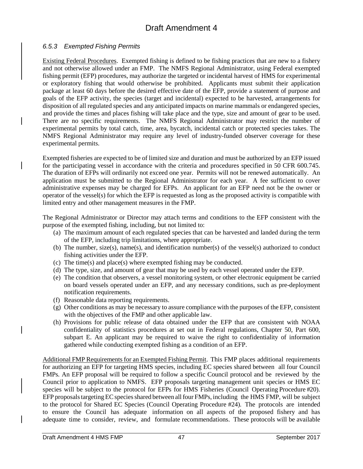#### *6.5.3 Exempted Fishing Permits*

Existing Federal Procedures. Exempted fishing is defined to be fishing practices that are new to a fishery and not otherwise allowed under an FMP. The NMFS Regional Administrator, using Federal exempted fishing permit (EFP) procedures, may authorize the targeted or incidental harvest of HMS for experimental or exploratory fishing that would otherwise be prohibited. Applicants must submit their application package at least 60 days before the desired effective date of the EFP, provide a statement of purpose and goals of the EFP activity, the species (target and incidental) expected to be harvested, arrangements for disposition of all regulated species and any anticipated impacts on marine mammals or endangered species, and provide the times and places fishing will take place and the type, size and amount of gear to be used. There are no specific requirements. The NMFS Regional Administrator may restrict the number of experimental permits by total catch, time, area, bycatch, incidental catch or protected species takes. The NMFS Regional Administrator may require any level of industry-funded observer coverage for these experimental permits.

Exempted fisheries are expected to be of limited size and duration and must be authorized by an EFP issued for the participating vessel in accordance with the criteria and procedures specified in 50 CFR 600.745. The duration of EFPs will ordinarily not exceed one year. Permits will not be renewed automatically. An application must be submitted to the Regional Administrator for each year. A fee sufficient to cover administrative expenses may be charged for EFPs. An applicant for an EFP need not be the owner or operator of the vessel(s) for which the EFP is requested as long as the proposed activity is compatible with limited entry and other management measures in the FMP.

The Regional Administrator or Director may attach terms and conditions to the EFP consistent with the purpose of the exempted fishing, including, but not limited to:

- (a) The maximum amount of each regulated species that can be harvested and landed during the term of the EFP, including trip limitations, where appropriate.
- (b) The number, size(s), name(s), and identification number(s) of the vessel(s) authorized to conduct fishing activities under the EFP.
- (c) The time(s) and place(s) where exempted fishing may be conducted.
- (d) The type, size, and amount of gear that may be used by each vessel operated under the EFP.
- (e) The condition that observers, a vessel monitoring system, or other electronic equipment be carried on board vessels operated under an EFP, and any necessary conditions, such as pre-deployment notification requirements.
- (f) Reasonable data reporting requirements.
- (g) Other conditions as may be necessary to assure compliance with the purposes of the EFP, consistent with the objectives of the FMP and other applicable law.
- (h) Provisions for public release of data obtained under the EFP that are consistent with NOAA confidentiality of statistics procedures at set out in Federal regulations, Chapter 50, Part 600, subpart E. An applicant may be required to waive the right to confidentiality of information gathered while conducting exempted fishing as a condition of an EFP.

Additional FMP Requirements for an Exempted Fishing Permit. This FMP places additional requirements for authorizing an EFP for targeting HMS species, including EC species shared between all four Council FMPs. An EFP proposal will be required to follow a specific Council protocol and be reviewed by the Council prior to application to NMFS. EFP proposals targeting management unit species or HMS EC species will be subject to the protocol for EFPs for HMS Fisheries (Council Operating Procedure #20). EFP proposals targeting EC species shared between all four FMPs, including the HMS FMP, will be subject to the protocol for Shared EC Species (Council Operating Procedure #24)*.* The protocols are intended to ensure the Council has adequate information on all aspects of the proposed fishery and has adequate time to consider, review, and formulate recommendations. These protocols will be available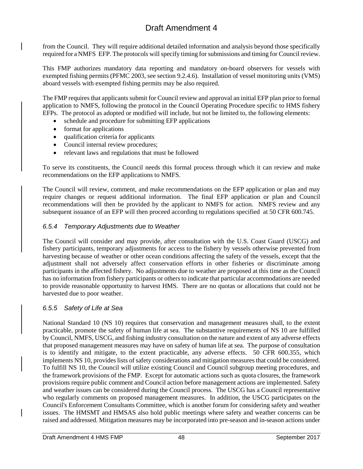from the Council. They will require additional detailed information and analysis beyond those specifically required for a NMFS EFP. The protocol*s* willspecify timing for submissions and timing for Council review.

This FMP authorizes mandatory data reporting and mandatory on-board observers for vessels with exempted fishing permits (PFMC 2003, see section 9.2.4.6). Installation of vessel monitoring units (VMS) aboard vessels with exempted fishing permits may be also required.

The FMP requires that applicants submit for Council review and approval an initial EFP plan prior to formal application to NMFS, following the protocol in the Council Operating Procedure specific to HMS fishery EFPs. The protocol as adopted or modified will include, but not be limited to, the following elements:

- schedule and procedure for submitting EFP applications
- format for applications
- qualification criteria for applicants
- Council internal review procedures;
- relevant laws and regulations that must be followed

To serve its constituents, the Council needs this formal process through which it can review and make recommendations on the EFP applications to NMFS.

The Council will review, comment, and make recommendations on the EFP application or plan and may require changes or request additional information. The final EFP application or plan and Council recommendations will then be provided by the applicant to NMFS for action. NMFS review and any subsequent issuance of an EFP will then proceed according to regulations specified at 50 CFR 600.745.

#### *6.5.4 Temporary Adjustments due to Weather*

The Council will consider and may provide, after consultation with the U.S. Coast Guard (USCG) and fishery participants, temporary adjustments for access to the fishery by vessels otherwise prevented from harvesting because of weather or other ocean conditions affecting the safety of the vessels, except that the adjustment shall not adversely affect conservation efforts in other fisheries or discriminate among participants in the affected fishery. No adjustments due to weather are proposed at this time as the Council has no information from fishery participants or others to indicate that particular accommodations are needed to provide reasonable opportunity to harvest HMS. There are no quotas or allocations that could not be harvested due to poor weather.

### *6.5.5 Safety of Life at Sea*

National Standard 10 (NS 10) requires that conservation and management measures shall, to the extent practicable, promote the safety of human life at sea. The substantive requirements of NS 10 are fulfilled by Council, NMFS, USCG, and fishing industry consultation on the nature and extent of any adverse effects that proposed management measures may have on safety of human life at sea. The purpose of consultation is to identify and mitigate, to the extent practicable, any adverse effects. 50 CFR 600.355, which implements NS 10, provides lists of safety considerations and mitigation measures that could be considered. To fulfill NS 10, the Council will utilize existing Council and Council subgroup meeting procedures, and the framework provisions of the FMP. Except for automatic actions such as quota closures, the framework provisions require public comment and Council action before management actions are implemented. Safety and weather issues can be considered during the Council process. The USCG has a Council representative who regularly comments on proposed management measures. In addition, the USCG participates on the Council's Enforcement Consultants Committee, which is another forum for considering safety and weather issues. The HMSMT and HMSAS also hold public meetings where safety and weather concerns can be raised and addressed. Mitigation measures may be incorporated into pre-season and in-season actions under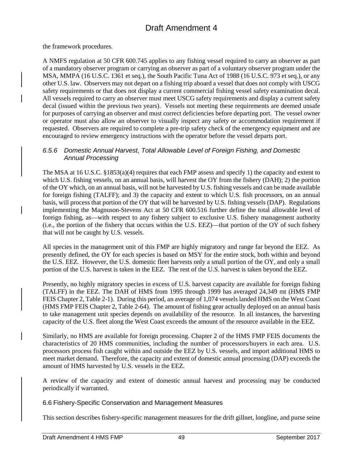the framework procedures.

A NMFS regulation at 50 CFR 600.745 applies to any fishing vessel required to carry an observer as part of a mandatory observer program or carrying an observer as part of a voluntary observer program under the MSA, MMPA (16 U.S.C. 1361 et seq.), the South Pacific Tuna Act of 1988 (16 U.S.C. 973 et seq.), or any other U.S. law. Observers may not depart on a fishing trip aboard a vessel that does not comply with USCG safety requirements or that does not display a current commercial fishing vessel safety examination decal. All vessels required to carry an observer must meet USCG safety requirements and display a current safety decal (issued within the previous two years). Vessels not meeting these requirements are deemed unsafe for purposes of carrying an observer and must correct deficiencies before departing port. The vessel owner or operator must also allow an observer to visually inspect any safety or accommodation requirement if requested. Observers are required to complete a pre-trip safety check of the emergency equipment and are encouraged to review emergency instructions with the operator before the vessel departs port.

#### *6.5.6 Domestic Annual Harvest, Total Allowable Level of Foreign Fishing, and Domestic Annual Processing*

The MSA at 16 U.S.C. §1853(a)(4) requires that each FMP assess and specify 1) the capacity and extent to which U.S. fishing vessels, on an annual basis, will harvest the OY from the fishery (DAH); 2) the portion of the OY which, on an annual basis, will not be harvested by U.S. fishing vessels and can be made available for foreign fishing (TALFF); and 3) the capacity and extent to which U.S. fish processors, on an annual basis, will process that portion of the OY that will be harvested by U.S. fishing vessels (DAP). Regulations implementing the Magnuson-Stevens Act at 50 CFR 600.516 further define the total allowable level of foreign fishing, as—with respect to any fishery subject to exclusive U.S. fishery management authority (i.e., the portion of the fishery that occurs within the U.S. EEZ)—that portion of the OY of such fishery that will not be caught by U.S. vessels.

All species in the management unit of this FMP are highly migratory and range far beyond the EEZ. As presently defined, the OY for each species is based on MSY for the entire stock, both within and beyond the U.S. EEZ. However, the U.S. domestic fleet harvests only a small portion of the OY, and only a small portion of the U.S. harvest is taken in the EEZ. The rest of the U.S. harvest is taken beyond the EEZ.

Presently, no highly migratory species in excess of U.S. harvest capacity are available for foreign fishing (TALFF) in the EEZ. The DAH of HMS from 1995 through 1999 has averaged 24,349 mt (HMS FMP FEIS Chapter 2, Table 2-1). During this period, an average of 1,074 vessels landed HMS on the West Coast (HMS FMP FEIS Chapter 2, Table 2-64). The amount of fishing gear actually deployed on an annual basis to take management unit species depends on availability of the resource. In all instances, the harvesting capacity of the U.S. fleet along the West Coast exceeds the amount of the resource available in the EEZ.

Similarly, no HMS are available for foreign processing. Chapter 2 of the HMS FMP FEIS documents the characteristics of 20 HMS communities, including the number of processors/buyers in each area. U.S. processors process fish caught within and outside the EEZ by U.S. vessels, and import additional HMS to meet market demand. Therefore, the capacity and extent of domestic annual processing (DAP) exceeds the amount of HMS harvested by U.S. vessels in the EEZ.

A review of the capacity and extent of domestic annual harvest and processing may be conducted periodically if warranted.

6.6 Fishery-Specific Conservation and Management Measures

This section describes fishery-specific management measures for the drift gillnet, longline, and purse seine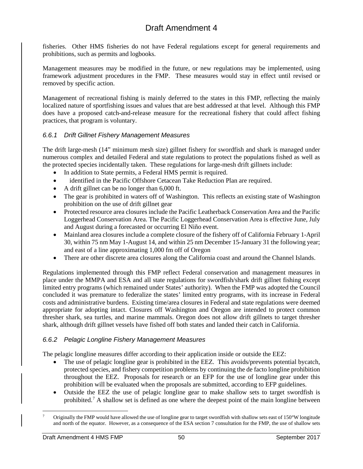fisheries. Other HMS fisheries do not have Federal regulations except for general requirements and prohibitions, such as permits and logbooks.

Management measures may be modified in the future, or new regulations may be implemented, using framework adjustment procedures in the FMP. These measures would stay in effect until revised or removed by specific action.

Management of recreational fishing is mainly deferred to the states in this FMP, reflecting the mainly localized nature of sportfishing issues and values that are best addressed at that level. Although this FMP does have a proposed catch-and-release measure for the recreational fishery that could affect fishing practices, that program is voluntary.

### *6.6.1 Drift Gillnet Fishery Management Measures*

The drift large-mesh (14" minimum mesh size) gillnet fishery for swordfish and shark is managed under numerous complex and detailed Federal and state regulations to protect the populations fished as well as the protected species incidentally taken. These regulations for large-mesh drift gillnets include:

- In addition to State permits, a Federal HMS permit is required.
- identified in the Pacific Offshore Cetacean Take Reduction Plan are require[d.](#page-89-1)
- A drift gillnet can be no longer than 6,000 ft.
- The gear is prohibited in waters off of Washington. This reflects an existing state of Washington prohibition on the use of drift gillnet gear
- Protected resource area closures include the Pacific Leatherback Conservation Area and the Pacific Loggerhead Conservation Area. The Pacific Loggerhead Conservation Area is effective June, July and August during a forecasted or occurring El Niño event.
- Mainland area closures include a complete closure of the fishery off of California February 1-April 30, within 75 nm May 1-August 14, and within 25 nm December 15-January 31 the following year; and east of a line approximating 1,000 fm off of Oregon
- There are other discrete area closures along the California coast and around the Channel Islands.

Regulations implemented through this FMP reflect Federal conservation and management measures in place under the MMPA and ESA and all state regulations for swordfish/shark drift gillnet fishing except limited entry programs (which remained under States' authority). When the FMP was adopted the Council concluded it was premature to federalize the states' limited entry programs, with its increase in Federal costs and administrative burdens. Existing time/area closures in Federal and state regulations were deemed appropriate for adopting intact. Closures off Washington and Oregon are intended to protect common thresher shark, sea turtles, and marine mammals. Oregon does not allow drift gillnets to target thresher shark, although drift gillnet vessels have fished off both states and landed their catch in California.

### *6.6.2 Pelagic Longline Fishery Management Measures*

The pelagic longline measures differ according to their application inside or outside the EEZ:

- The use of pelagic longline gear is prohibited in the EEZ. This avoids/prevents potential bycatch, protected species, and fishery competition problems by continuing the de facto longline prohibition throughout the EEZ. Proposals for research or an EFP for the use of longline gear under this prohibition will be evaluated when the proposals are submitted, according to EFP guidelines.
- Outside the EEZ the use of pelagic longline gear to make shallow sets to target swordfish is prohibited[.7](#page-89-2) A shallow set is defined as one where the deepest point of the main longline between

 <sup>7</sup> Originally the FMP would have allowed the use of longline gear to target swordfish with shallow sets east of 150°W longitude and north of the equator. However, as a consequence of the ESA section 7 consultation for the FMP, the use of shallow sets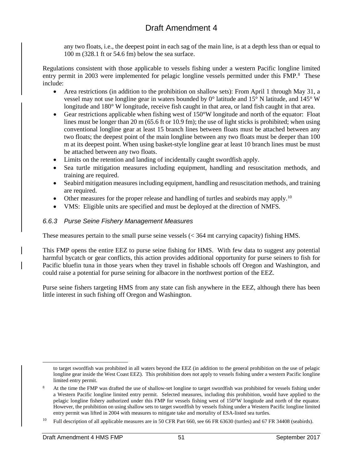any two floats, i.e., the deepest point in each sag of the main line, is at a depth less than or equal to 100 m (328.1 ft or 54.6 fm) below the sea surface.

Regulations consistent with those applicable to vessels fishing under a western Pacific longline limited entry permit in 2003 were implemented for pelagic longline vessels permitted under this FMP.<sup>[8](#page-63-0)</sup> These include:

- Area restrictions (in addition to the prohibition on shallow sets): From April 1 through May 31, a vessel may not use longline gear in waters bounded by 0° latitude and 15° N latitude, and 145° W longitude and 180° W longitude, receive fish caught in that area, or land fish caught in that area.
- Gear restrictions applicable when fishing west of 150°W longitude and north of the equator: Float lines must be longer than 20 m (65.6 ft or 10.9 fm); the use of light sticks is prohibited; when using conventional longline gear at least 15 branch lines between floats must be attached between any two floats; the deepest point of the main longline between any two floats must be deeper than 100 m at its deepest point. When using basket-style longline gear at least 10 branch lines must be must be attached between any two floats.
- Limits on the retention and landing of incidentally caught swordfish apply.
- Sea turtle mitigation measures including equipment, handling and resuscitation methods, and training are required.
- Seabird mitigation measures including equipment, handling and resuscitation methods, and training are required.
- Other measures for the proper release and handling of turtles and seabirds may apply.<sup>[10](#page-89-3)</sup>
- VMS: Eligible units are specified and must be deployed at the direction of NMFS.

## *6.6.3 Purse Seine Fishery Management Measures*

These measures pertain to the small purse seine vessels (< 364 mt carrying capacity) fishing HMS.

This FMP opens the entire EEZ to purse seine fishing for HMS. With few data to suggest any potential harmful bycatch or gear conflicts, this action provides additional opportunity for purse seiners to fish for Pacific bluefin tuna in those years when they travel in fishable schools off Oregon and Washington, and could raise a potential for purse seining for albacore in the northwest portion of the EEZ.

Purse seine fishers targeting HMS from any state can fish anywhere in the EEZ, although there has been little interest in such fishing off Oregon and Washington.

to target swordfish was prohibited in all waters beyond the EEZ (in addition to the general prohibition on the use of pelagic longline gear inside the West Coast EEZ). This prohibition does not apply to vessels fishing under a western Pacific longline limited entry permit.

<span id="page-63-0"></span><sup>8</sup> At the time the FMP was drafted the use of shallow-set longline to target swordfish was prohibited for vessels fishing under a Western Pacific longline limited entry permit. Selected measures, including this prohibition, would have applied to the pelagic longline fishery authorized under this FMP for vessels fishing west of 150°W longitude and north of the equator. However, the prohibition on using shallow sets to target swordfish by vessels fishing under a Western Pacific longline limited entry permit was lifted in 2004 with measures to mitigate take and mortality of ESA-listed sea turtles.

<sup>&</sup>lt;sup>10</sup> Full description of all applicable measures are in 50 CFR Part 660, see 66 FR 63630 (turtles) and 67 FR 34408 (seabirds).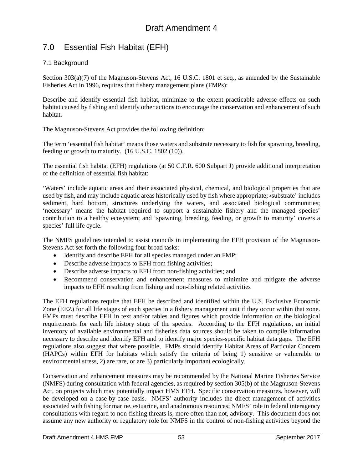# 7.0 Essential Fish Habitat (EFH)

## 7.1 Background

Section 303(a)(7) of the Magnuson-Stevens Act, 16 U.S.C. 1801 et seq., as amended by the Sustainable Fisheries Act in 1996, requires that fishery management plans (FMPs):

Describe and identify essential fish habitat, minimize to the extent practicable adverse effects on such habitat caused by fishing and identify other actions to encourage the conservation and enhancement of such habitat.

The Magnuson-Stevens Act provides the following definition:

The term 'essential fish habitat' means those waters and substrate necessary to fish for spawning, breeding, feeding or growth to maturity. (16 U.S.C. 1802 (10)).

The essential fish habitat (EFH) regulations (at 50 C.F.R. 600 Subpart J) provide additional interpretation of the definition of essential fish habitat:

'Waters' include aquatic areas and their associated physical, chemical, and biological properties that are used by fish, and may include aquatic areas historically used by fish where appropriate; \*substrate' includes sediment, hard bottom, structures underlying the waters, and associated biological communities; 'necessary' means the habitat required to support a sustainable fishery and the managed species' contribution to a healthy ecosystem; and 'spawning, breeding, feeding, or growth to maturity' covers a species' full life cycle.

The NMFS guidelines intended to assist councils in implementing the EFH provision of the Magnuson-Stevens Act set forth the following four broad tasks:

- Identify and describe EFH for all species managed under an FMP;
- Describe adverse impacts to EFH from fishing activities;
- Describe adverse impacts to EFH from non-fishing activities; and
- Recommend conservation and enhancement measures to minimize and mitigate the adverse impacts to EFH resulting from fishing and non-fishing related activities

The EFH regulations require that EFH be described and identified within the U.S. Exclusive Economic Zone (EEZ) for all life stages of each species in a fishery management unit if they occur within that zone. FMPs must describe EFH in text and/or tables and figures which provide information on the biological requirements for each life history stage of the species. According to the EFH regulations, an initial inventory of available environmental and fisheries data sources should be taken to compile information necessary to describe and identify EFH and to identify major species-specific habitat data gaps. The EFH regulations also suggest that where possible, FMPs should identify Habitat Areas of Particular Concern (HAPCs) within EFH for habitats which satisfy the criteria of being 1) sensitive or vulnerable to environmental stress, 2) are rare, or are 3) particularly important ecologically.

Conservation and enhancement measures may be recommended by the National Marine Fisheries Service (NMFS) during consultation with federal agencies, as required by section 305(b) of the Magnuson-Stevens Act, on projects which may potentially impact HMS EFH. Specific conservation measures, however, will be developed on a case-by-case basis. NMFS' authority includes the direct management of activities associated with fishing for marine, estuarine, and anadromous resources; NMFS' role in federal interagency consultations with regard to non-fishing threats is, more often than not, advisory. This document does not assume any new authority or regulatory role for NMFS in the control of non-fishing activities beyond the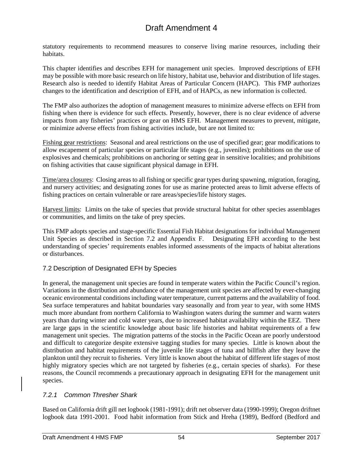statutory requirements to recommend measures to conserve living marine resources, including their habitats.

This chapter identifies and describes EFH for management unit species. Improved descriptions of EFH may be possible with more basic research on life history, habitat use, behavior and distribution of life stages. Research also is needed to identify Habitat Areas of Particular Concern (HAPC). This FMP authorizes changes to the identification and description of EFH, and of HAPCs, as new information is collected.

The FMP also authorizes the adoption of management measures to minimize adverse effects on EFH from fishing when there is evidence for such effects. Presently, however, there is no clear evidence of adverse impacts from any fisheries' practices or gear on HMS EFH. Management measures to prevent, mitigate, or minimize adverse effects from fishing activities include, but are not limited to:

Fishing gear restrictions: Seasonal and areal restrictions on the use of specified gear; gear modifications to allow escapement of particular species or particular life stages (e.g., juveniles); prohibitions on the use of explosives and chemicals; prohibitions on anchoring or setting gear in sensitive localities; and prohibitions on fishing activities that cause significant physical damage in EFH.

Time/area closures: Closing areas to all fishing or specific gear types during spawning, migration, foraging, and nursery activities; and designating zones for use as marine protected areas to limit adverse effects of fishing practices on certain vulnerable or rare areas/species/life history stages.

Harvest limits: Limits on the take of species that provide structural habitat for other species assemblages or communities, and limits on the take of prey species.

This FMP adopts species and stage-specific Essential Fish Habitat designations for individual Management Unit Species as described in Section 7.2 and Appendix F. Designating EFH according to the best understanding of species' requirements enables informed assessments of the impacts of habitat alterations or disturbances.

### 7.2 Description of Designated EFH by Species

In general, the management unit species are found in temperate waters within the Pacific Council's region. Variations in the distribution and abundance of the management unit species are affected by ever-changing oceanic environmental conditions including water temperature, current patterns and the availability of food. Sea surface temperatures and habitat boundaries vary seasonally and from year to year, with some HMS much more abundant from northern California to Washington waters during the summer and warm waters years than during winter and cold water years, due to increased habitat availability within the EEZ. There are large gaps in the scientific knowledge about basic life histories and habitat requirements of a few management unit species. The migration patterns of the stocks in the Pacific Ocean are poorly understood and difficult to categorize despite extensive tagging studies for many species. Little is known about the distribution and habitat requirements of the juvenile life stages of tuna and billfish after they leave the plankton until they recruit to fisheries. Very little is known about the habitat of different life stages of most highly migratory species which are not targeted by fisheries (e.g., certain species of sharks). For these reasons, the Council recommends a precautionary approach in designating EFH for the management unit species.

### *7.2.1 Common Thresher Shark*

Based on California drift gill net logbook (1981-1991); drift net observer data (1990-1999); Oregon driftnet logbook data 1991-2001. Food habit information from Stick and Hreha (1989), Bedford (Bedford and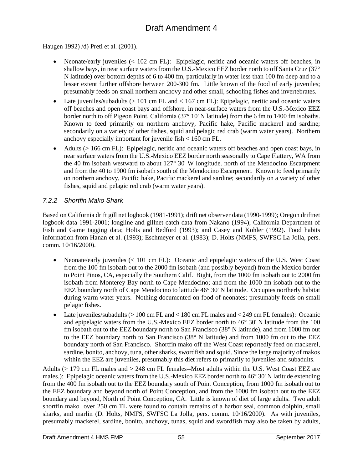Haugen 1992) /d) Preti et al. (2001).

- Neonate/early juveniles (< 102 cm FL): Epipelagic, neritic and oceanic waters off beaches, in shallow bays, in near surface waters from the U.S.-Mexico EEZ border north to off Santa Cruz (37° N latitude) over bottom depths of 6 to 400 fm, particularly in water less than 100 fm deep and to a lesser extent further offshore between 200-300 fm. Little known of the food of early juveniles; presumably feeds on small northern anchovy and other small, schooling fishes and invertebrates.
- Late juveniles/subadults  $(> 101 \text{ cm FL}$  and  $< 167 \text{ cm FL}$ ): Epipelagic, neritic and oceanic waters off beaches and open coast bays and offshore, in near-surface waters from the U.S.-Mexico EEZ border north to off Pigeon Point, California (37° 10' N latitude) from the 6 fm to 1400 fm isobaths. Known to feed primarily on northern anchovy, Pacific hake, Pacific mackerel and sardine; secondarily on a variety of other fishes, squid and pelagic red crab (warm water years). Northern anchovy especially important for juvenile fish < 160 cm FL.
- Adults (> 166 cm FL): Epipelagic, neritic and oceanic waters off beaches and open coast bays, in near surface waters from the U.S.-Mexico EEZ border north seasonally to Cape Flattery, WA from the 40 fm isobath westward to about 127° 30' W longitude. north of the Mendocino Escarpment and from the 40 to 1900 fm isobath south of the Mendocino Escarpment. Known to feed primarily on northern anchovy, Pacific hake, Pacific mackerel and sardine; secondarily on a variety of other fishes, squid and pelagic red crab (warm water years).

## *7.2.2 Shortfin Mako Shark*

Based on California drift gill net logbook (1981-1991); drift net observer data (1990-1999); Oregon driftnet logbook data 1991-2001; longline and gillnet catch data from Nakano (1994); California Department of Fish and Game tagging data; Holts and Bedford (1993); and Casey and Kohler (1992). Food habits information from Hanan et al. (1993); Eschmeyer et al. (1983); D. Holts (NMFS, SWFSC La Jolla, pers. comm. 10/16/2000).

- Neonate/early juveniles (< 101 cm FL): Oceanic and epipelagic waters of the U.S. West Coast from the 100 fm isobath out to the 2000 fm isobath (and possibly beyond) from the Mexico border to Point Pinos, CA, especially the Southern Calif. Bight, from the 1000 fm isobath out to 2000 fm isobath from Monterey Bay north to Cape Mendocino; and from the 1000 fm isobath out to the EEZ boundary north of Cape Mendocino to latitude 46° 30' N latitude. Occupies northerly habitat during warm water years. Nothing documented on food of neonates; presumably feeds on small pelagic fishes.
- Late juveniles/subadults (> 100 cm FL and < 180 cm FL males and < 249 cm FL females): Oceanic and epipelagic waters from the U.S.-Mexico EEZ border north to 46° 30' N latitude from the 100 fm isobath out to the EEZ boundary north to San Francisco (38° N latitude), and from 1000 fm out to the EEZ boundary north to San Francisco (38° N latitude) and from 1000 fm out to the EEZ boundary north of San Francisco. Shortfin mako off the West Coast reportedly feed on mackerel, sardine, bonito, anchovy, tuna, other sharks, swordfish and squid. Since the large majority of makos within the EEZ are juveniles, presumably this diet refers to primarily to juveniles and subadults.

Adults (> 179 cm FL males and > 248 cm FL females--Most adults within the U.S. West Coast EEZ are males.): Epipelagic oceanic waters from the U.S.-Mexico EEZ border north to 46° 30' N latitude extending from the 400 fm isobath out to the EEZ boundary south of Point Conception, from 1000 fm isobath out to the EEZ boundary and beyond north of Point Conception, and from the 1000 fm isobath out to the EEZ boundary and beyond, North of Point Conception, CA. Little is known of diet of large adults. Two adult shortfin mako over 250 cm TL were found to contain remains of a harbor seal, common dolphin, small sharks, and marlin (D. Holts, NMFS, SWFSC La Jolla, pers. comm. 10/16/2000). As with juveniles, presumably mackerel, sardine, bonito, anchovy, tunas, squid and swordfish may also be taken by adults,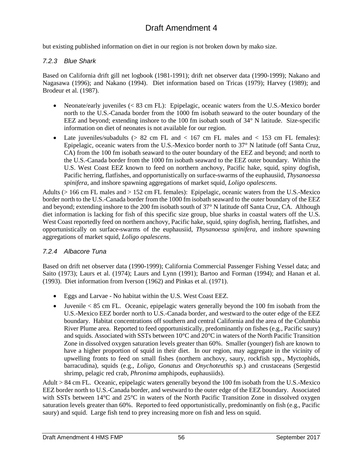but existing published information on diet in our region is not broken down by mako size.

### *7.2.3 Blue Shark*

Based on California drift gill net logbook (1981-1991); drift net observer data (1990-1999); Nakano and Nagasawa (1996); and Nakano (1994). Diet information based on Tricas (1979); Harvey (1989); and Brodeur et al. (1987).

- Neonate/early juveniles (< 83 cm FL): Epipelagic, oceanic waters from the U.S.-Mexico border north to the U.S.-Canada border from the 1000 fm isobath seaward to the outer boundary of the EEZ and beyond; extending inshore to the 100 fm isobath south of 34° N latitude. Size-specific information on diet of neonates is not available for our region.
- Late juveniles/subadults  $(> 82 \text{ cm FL} \text{ and } < 167 \text{ cm FL} \text{ males and } < 153 \text{ cm FL} \text{ females})$ : Epipelagic, oceanic waters from the U.S.-Mexico border north to 37° N latitude (off Santa Cruz, CA) from the 100 fm isobath seaward to the outer boundary of the EEZ and beyond; and north to the U.S.-Canada border from the 1000 fm isobath seaward to the EEZ outer boundary. Within the U.S. West Coast EEZ known to feed on northern anchovy, Pacific hake, squid, spiny dogfish, Pacific herring, flatfishes, and opportunistically on surface-swarms of the euphausiid, *Thysanoessa spinifera*, and inshore spawning aggregations of market squid, *Loligo opalescens*.

Adults (> 166 cm FL males and > 152 cm FL females): Epipelagic, oceanic waters from the U.S.-Mexico border north to the U.S.-Canada border from the 1000 fm isobath seaward to the outer boundary of the EEZ and beyond; extending inshore to the 200 fm isobath south of 37° N latitude off Santa Cruz, CA. Although diet information is lacking for fish of this specific size group, blue sharks in coastal waters off the U.S. West Coast reportedly feed on northern anchovy, Pacific hake, squid, spiny dogfish, herring, flatfishes, and opportunistically on surface-swarms of the euphausiid, *Thysanoessa spinifera*, and inshore spawning aggregations of market squid, *Loligo opalescens*.

### *7.2.4 Albacore Tuna*

Based on drift net observer data (1990-1999); California Commercial Passenger Fishing Vessel data; and Saito (1973); Laurs et al. (1974); Laurs and Lynn (1991); Bartoo and Forman (1994); and Hanan et al. (1993). Diet information from Iverson (1962) and Pinkas et al. (1971).

- Eggs and Larvae No habitat within the U.S. West Coast EEZ.
- Juvenile  $< 85$  cm FL. Oceanic, epipelagic waters generally beyond the 100 fm isobath from the U.S.-Mexico EEZ border north to U.S.-Canada border, and westward to the outer edge of the EEZ boundary. Habitat concentrations off southern and central California and the area of the Columbia River Plume area. Reported to feed opportunistically, predominantly on fishes (e.g., Pacific saury) and squids. Associated with SSTs between 10°C and 20°C in waters of the North Pacific Transition Zone in dissolved oxygen saturation levels greater than 60%. Smaller (younger) fish are known to have a higher proportion of squid in their diet. In our region, may aggregate in the vicinity of upwelling fronts to feed on small fishes (northern anchovy, saury, rockfish spp., Myctophids, barracudina), squids (e.g., *Loligo, Gonatus* and *Onychoteuthis* sp.) and crustaceans (Sergestid shrimp, pelagic red crab, *Phronima* amphipods, euphausiids).

Adult  $> 84$  cm FL. Oceanic, epipelagic waters generally beyond the 100 fm isobath from the U.S.-Mexico EEZ border north to U.S.-Canada border, and westward to the outer edge of the EEZ boundary. Associated with SSTs between 14°C and 25°C in waters of the North Pacific Transition Zone in dissolved oxygen saturation levels greater than 60%. Reported to feed opportunistically, predominantly on fish (e.g., Pacific saury) and squid. Large fish tend to prey increasing more on fish and less on squid.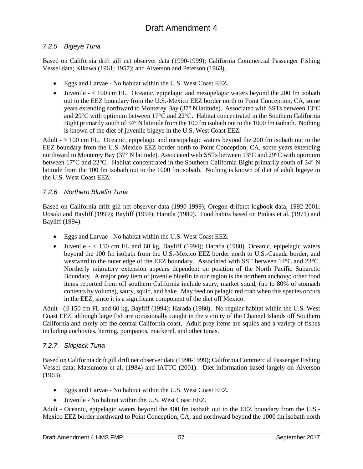## *7.2.5 Bigeye Tuna*

Based on California drift gill net observer data (1990-1999); California Commercial Passenger Fishing Vessel data; Kikawa (1961; 1957); and Alverson and Peterson (1963).

- Eggs and Larvae No habitat within the U.S. West Coast EEZ.
- Juvenile < 100 cm FL. Oceanic, epipelagic and mesopelagic waters beyond the 200 fm isobath out to the EEZ boundary from the U.S.-Mexico EEZ border north to Point Conception, CA, some years extending northward to Monterey Bay (37° N latitude). Associated with SSTs between 13°C and 29°C with optimum between 17°C and 22°C. Habitat concentrated in the Southern California Bight primarily south of 34° N latitude from the 100 fm isobath out to the 1000 fm isobath. Nothing is known of the diet of juvenile bigeye in the U.S. West Coast EEZ.

Adult - > 100 cm FL. Oceanic, epipelagic and mesopelagic waters beyond the 200 fm isobath out to the EEZ boundary from the U.S.-Mexico EEZ border north to Point Conception, CA, some years extending northward to Monterey Bay (37° N latitude). Associated with SSTs between 13°C and 29°C with optimum between 17°C and 22°C. Habitat concentrated in the Southern California Bight primarily south of 34° N latitude from the 100 fm isobath out to the 1000 fm isobath. Nothing is known of diet of adult bigeye in the U.S. West Coast EEZ.

## *7.2.6 Northern Bluefin Tuna*

Based on California drift gill net observer data (1990-1999); Oregon driftnet logbook data, 1992-2001; Uosaki and Bayliff (1999); Bayliff (1994); Harada (1980). Food habits based on Pinkas et al. (1971) and Bayliff (1994).

- Eggs and Larvae No habitat within the U.S. West Coast EEZ.
- Juvenile  $< 150$  cm FL and 60 kg, Bayliff (1994); Harada (1980). Oceanic, epipelagic waters beyond the 100 fm isobath from the U.S.-Mexico EEZ border north to U.S.-Canada border, and westward to the outer edge of the EEZ boundary. Associated with SST between 14°C and 23°C. Northerly migratory extension appears dependent on position of the North Pacific Subarctic Boundary. A major prey item of juvenile bluefin in our region is the northern anchovy; other food items reported from off southern California include saury, market squid, (up to 80% of stomach contents by volume), saury, squid, and hake. May feed on pelagic red crab when this species occurs in the EEZ, since it is a significant component of the diet off Mexico.

Adult - (∃ 150 cm FL and 60 kg, Bayliff (1994); Harada (1980). No regular habitat within the U.S. West Coast EEZ, although large fish are occasionally caught in the vicinity of the Channel Islands off Southern California and rarely off the central California coast. Adult prey items are squids and a variety of fishes including anchovies, herring, pompanos, mackerel, and other tunas.

### *7.2.7 Skipjack Tuna*

Based on California drift gill drift net observer data (1990-1999); California Commercial Passenger Fishing Vessel data; Matsumoto et al. (1984) and IATTC (2001). Diet information based largely on Alverson (1963).

- Eggs and Larvae No habitat within the U.S. West Coast EEZ.
- Juvenile No habitat within the U.S. West Coast EEZ.

Adult - Oceanic, epipelagic waters beyond the 400 fm isobath out to the EEZ boundary from the U.S.- Mexico EEZ border northward to Point Conception, CA, and northward beyond the 1000 fm isobath north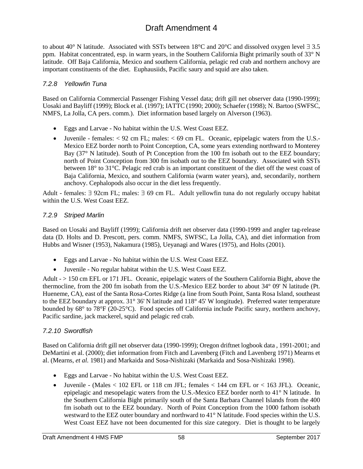to about 40° N latitude. Associated with SSTs between 18°C and 20°C and dissolved oxygen level ∃ 3.5 ppm. Habitat concentrated, esp. in warm years, in the Southern California Bight primarily south of 33° N latitude. Off Baja California, Mexico and southern California, pelagic red crab and northern anchovy are important constituents of the diet. Euphausiids, Pacific saury and squid are also taken.

#### *7.2.8 Yellowfin Tuna*

Based on California Commercial Passenger Fishing Vessel data; drift gill net observer data (1990-1999); Uosaki and Bayliff (1999); Block et al. (1997); IATTC (1990; 2000); Schaefer (1998); N. Bartoo (SWFSC, NMFS, La Jolla, CA pers. comm.). Diet information based largely on Alverson (1963).

- Eggs and Larvae No habitat within the U.S. West Coast EEZ.
- Juvenile females:  $\leq 92$  cm FL; males:  $\leq 69$  cm FL. Oceanic, epipelagic waters from the U.S.-Mexico EEZ border north to Point Conception, CA, some years extending northward to Monterey Bay (37° N latitude). South of Pt Conception from the 100 fm isobath out to the EEZ boundary; north of Point Conception from 300 fm isobath out to the EEZ boundary. Associated with SSTs between 18° to 31°C. Pelagic red crab is an important constituent of the diet off the west coast of Baja California, Mexico, and southern California (warm water years), and, secondarily, northern anchovy. Cephalopods also occur in the diet less frequently.

Adult - females: ∃ 92cm FL; males: ∃ 69 cm FL. Adult yellowfin tuna do not regularly occupy habitat within the U.S. West Coast EEZ.

#### *7.2.9 Striped Marlin*

Based on Uosaki and Bayliff (1999); California drift net observer data (1990-1999 and angler tag-release data (D. Holts and D. Prescott, pers. comm. NMFS, SWFSC, La Jolla, CA), and diet information from Hubbs and Wisner (1953), Nakamura (1985), Ueyanagi and Wares (1975), and Holts (2001).

- Eggs and Larvae No habitat within the U.S. West Coast EEZ.
- Juvenile No regular habitat within the U.S. West Coast EEZ.

Adult - > 150 cm EFL or 171 JFL. Oceanic, epipelagic waters of the Southern California Bight, above the thermocline, from the 200 fm isobath from the U.S.-Mexico EEZ border to about 34° 09' N latitude (Pt. Hueneme, CA), east of the Santa Rosa-Cortes Ridge (a line from South Point, Santa Rosa Island, southeast to the EEZ boundary at approx. 31° 36' N latitude and 118° 45' W longitude). Preferred water temperature bounded by 68° to 78°F (20-25°C). Food species off California include Pacific saury, northern anchovy, Pacific sardine, jack mackerel, squid and pelagic red crab.

### *7.2.10 Swordfish*

Based on California drift gill net observer data (1990-1999); Oregon driftnet logbook data , 1991-2001; and DeMartini et al. (2000); diet information from Fitch and Lavenberg (Fitch and Lavenberg 1971) Mearns et al. (Mearns, *et al.* 1981) and Markaida and Sosa-Nishizaki (Markaida and Sosa-Nishizaki 1998).

- Eggs and Larvae No habitat within the U.S. West Coast EEZ.
- Juvenile (Males  $< 102$  EFL or 118 cm JFL; females  $< 144$  cm EFL or  $< 163$  JFL). Oceanic, epipelagic and mesopelagic waters from the U.S.-Mexico EEZ border north to 41° N latitude. In the Southern California Bight primarily south of the Santa Barbara Channel Islands from the 400 fm isobath out to the EEZ boundary. North of Point Conception from the 1000 fathom isobath westward to the EEZ outer boundary and northward to 41° N latitude. Food species within the U.S. West Coast EEZ have not been documented for this size category. Diet is thought to be largely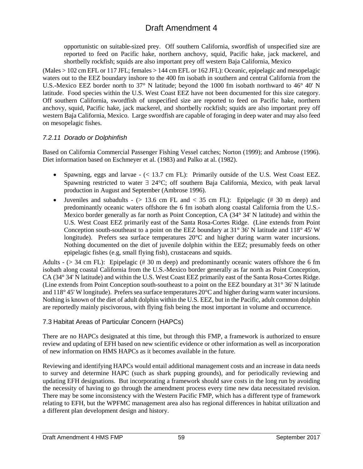opportunistic on suitable-sized prey. Off southern California, swordfish of unspecified size are reported to feed on Pacific hake, northern anchovy, squid, Pacific hake, jack mackerel, and shortbelly rockfish; squids are also important prey off western Baja California, Mexico

(Males > 102 cm EFL or 117 JFL; females > 144 cm EFL or 162 JFL): Oceanic, epipelagic and mesopelagic waters out to the EEZ boundary inshore to the 400 fm isobath in southern and central California from the U.S.-Mexico EEZ border north to 37° N latitude; beyond the 1000 fm isobath northward to 46° 40' N latitude. Food species within the U.S. West Coast EEZ have not been documented for this size category. Off southern California, swordfish of unspecified size are reported to feed on Pacific hake, northern anchovy, squid, Pacific hake, jack mackerel, and shortbelly rockfish; squids are also important prey off western Baja California, Mexico. Large swordfish are capable of foraging in deep water and may also feed on mesopelagic fishes.

### *7.2.11 Dorado or Dolphinfish*

Based on California Commercial Passenger Fishing Vessel catches; Norton (1999); and Ambrose (1996). Diet information based on Eschmeyer et al. (1983) and Palko at al. (1982).

- Spawning, eggs and larvae (< 13.7 cm FL): Primarily outside of the U.S. West Coast EEZ. Spawning restricted to water ∃ 24°C; off southern Baja California, Mexico, with peak larval production in August and September (Ambrose 1996).
- Juveniles and subadults  $-$  ( $> 13.6$  cm FL and  $< 35$  cm FL): Epipelagic (#30 m deep) and predominantly oceanic waters offshore the 6 fm isobath along coastal California from the U.S.- Mexico border generally as far north as Point Conception, CA (34° 34' N latitude) and within the U.S. West Coast EEZ primarily east of the Santa Rosa-Cortes Ridge. (Line extends from Point Conception south-southeast to a point on the EEZ boundary at  $31^{\circ}$  36' N latitude and  $118^{\circ}$  45' W longitude). Prefers sea surface temperatures 20°C and higher during warm water incursions. Nothing documented on the diet of juvenile dolphin within the EEZ; presumably feeds on other epipelagic fishes (e.g, small flying fish), crustaceans and squids.

Adults -  $(> 34$  cm FL): Epipelagic (#30 m deep) and predominantly oceanic waters offshore the 6 fm isobath along coastal California from the U.S.-Mexico border generally as far north as Point Conception, CA (34° 34' N latitude) and within the U.S. West Coast EEZ primarily east of the Santa Rosa-Cortes Ridge. (Line extends from Point Conception south-southeast to a point on the EEZ boundary at 31° 36' N latitude and 118° 45' W longitude). Prefers sea surface temperatures 20°C and higher during warm water incursions. Nothing is known of the diet of adult dolphin within the U.S. EEZ, but in the Pacific, adult common dolphin are reportedly mainly piscivorous, with flying fish being the most important in volume and occurrence.

### 7.3 Habitat Areas of Particular Concern (HAPCs)

There are no HAPCs designated at this time, but through this FMP, a framework is authorized to ensure review and updating of EFH based on new scientific evidence or other information as well as incorporation of new information on HMS HAPCs as it becomes available in the future.

Reviewing and identifying HAPCs would entail additional management costs and an increase in data needs to survey and determine HAPC (such as shark pupping grounds), and for periodically reviewing and updating EFH designations. But incorporating a framework should save costs in the long run by avoiding the necessity of having to go through the amendment process every time new data necessitated revision. There may be some inconsistency with the Western Pacific FMP, which has a different type of framework relating to EFH, but the WPFMC management area also has regional differences in habitat utilization and a different plan development design and history.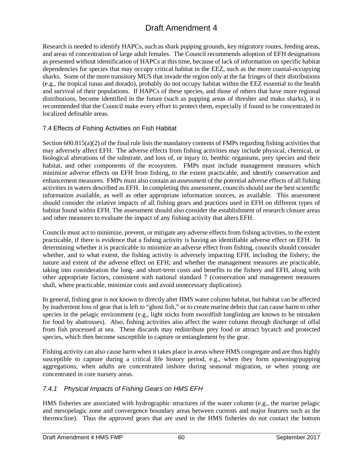Research is needed to identify HAPCs, such as shark pupping grounds, key migratory routes, feeding areas, and areas of concentration of large adult females. The Council recommends adoption of EFH designations as presented without identification of HAPCs at this time, because of lack of information on specific habitat dependencies for species that may occupy critical habitat in the EEZ, such as the more coastal-occupying sharks. Some of the more transitory MUS that invade the region only at the far fringes of their distributions (e.g., the tropical tunas and dorado), probably do not occupy habitat within the EEZ essential to the health and survival of their populations. If HAPCs of these species, and those of others that have more regional distributions, become identified in the future (such as pupping areas of thresher and mako sharks), it is recommended that the Council make every effort to protect them, especially if found to be concentrated in localized definable areas.

## 7.4 Effects of Fishing Activities on Fish Habitat

Section 600.815(a)(2) of the final rule lists the mandatory contents of FMPs regarding fishing activities that may adversely affect EFH. The adverse effects from fishing activities may include physical, chemical, or biological alterations of the substrate, and loss of, or injury to, benthic organisms, prey species and their habitat, and other components of the ecosystem. FMPs must include management measures which minimize adverse effects on EFH from fishing, to the extent practicable, and identify conservation and enhancement measures. FMPs must also contain an assessment of the potential adverse effects of all fishing activities in waters described as EFH. In completing this assessment, councils should use the best scientific information available, as well as other appropriate information sources, as available. This assessment should consider the relative impacts of all fishing gears and practices used in EFH on different types of habitat found within EFH. The assessment should also consider the establishment of research closure areas and other measures to evaluate the impact of any fishing activity that alters EFH.

Councils must act to minimize, prevent, or mitigate any adverse effects from fishing activities, to the extent practicable, if there is evidence that a fishing activity is having an identifiable adverse effect on EFH. In determining whether it is practicable to minimize an adverse effect from fishing, councils should consider whether, and to what extent, the fishing activity is adversely impacting EFH, including the fishery; the nature and extent of the adverse effect on EFH; and whether the management measures are practicable, taking into consideration the long- and short-term costs and benefits to the fishery and EFH, along with other appropriate factors, consistent with national standard 7 (conservation and management measures shall, where practicable, minimize costs and avoid unnecessary duplication).

In general, fishing gear is not known to directly alter HMS water column habitat, but habitat can be affected by inadvertent loss of gear that is left to "ghost fish," or to create marine debris that can cause harm to other species in the pelagic environment (e.g., light sticks from swordfish longlining are known to be mistaken for food by abatrosses). Also, fishing activities also affect the water column through discharge of offal from fish processed at sea. These discards may redistribute prey food or attract bycatch and protected species, which then become susceptible to capture or entanglement by the gear.

Fishing activity can also cause harm when it takes place in areas where HMS congregate and are thus highly susceptible to capture during a critical life history period, e.g., when they form spawning/pupping aggregations, when adults are concentrated inshore during seasonal migration, or when young are concentrated in core nursery areas.

## *7.4.1 Physical Impacts of Fishing Gears on HMS EFH*

HMS fisheries are associated with hydrographic structures of the water column (e.g., the marine pelagic and mesopelagic zone and convergence boundary areas between currents and major features such as the thermocline). Thus the approved gears that are used in the HMS fisheries do not contact the bottom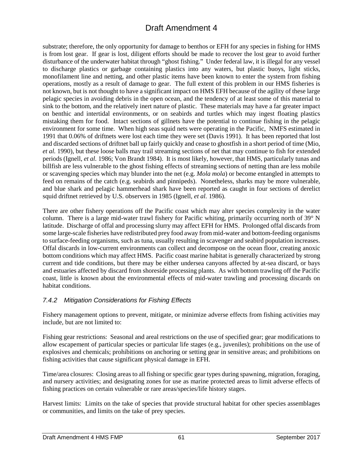substrate; therefore, the only opportunity for damage to benthos or EFH for any species in fishing for HMS is from lost gear. If gear is lost, diligent efforts should be made to recover the lost gear to avoid further disturbance of the underwater habitat through "ghost fishing." Under federal law, it is illegal for any vessel to discharge plastics or garbage containing plastics into any waters, but plastic buoys, light sticks, monofilament line and netting, and other plastic items have been known to enter the system from fishing operations, mostly as a result of damage to gear. The full extent of this problem in our HMS fisheries is not known, but is not thought to have a significant impact on HMS EFH because of the agility of these large pelagic species in avoiding debris in the open ocean, and the tendency of at least some of this material to sink to the bottom, and the relatively inert nature of plastic. These materials may have a far greater impact on benthic and intertidal environments, or on seabirds and turtles which may ingest floating plastics mistaking them for food. Intact sections of gillnets have the potential to continue fishing in the pelagic environment for some time. When high seas squid nets were operating in the Pacific, NMFS estimated in 1991 that 0.06% of driftnets were lost each time they were set (Davis 1991). It has been reported that lost and discarded sections of driftnet ball up fairly quickly and cease to ghostfish in a short period of time (Mio, *et al.* 1990), but these loose balls may trail streaming sections of net that may continue to fish for extended periods (Ignell, *et al.* 1986; Von Brandt 1984). It is most likely, however, that HMS, particularly tunas and billfish are less vulnerable to the ghost fishing effects of streaming sections of netting than are less mobile or scavenging species which may blunder into the net (e.g. *Mola mola*) or become entangled in attempts to feed on remains of the catch (e.g. seabirds and pinnipeds). Nonetheless, sharks may be more vulnerable, and blue shark and pelagic hammerhead shark have been reported as caught in four sections of derelict squid driftnet retrieved by U.S. observers in 1985 (Ignell, *et al.* 1986).

There are other fishery operations off the Pacific coast which may alter species complexity in the water column. There is a large mid-water trawl fishery for Pacific whiting, primarily occurring north of 39° N latitude. Discharge of offal and processing slurry may affect EFH for HMS. Prolonged offal discards from some large-scale fisheries have redistributed prey food away from mid-water and bottom-feeding organisms to surface-feeding organisms, such as tuna, usually resulting in scavenger and seabird population increases. Offal discards in low-current environments can collect and decompose on the ocean floor, creating anoxic bottom conditions which may affect HMS. Pacific coast marine habitat is generally characterized by strong current and tide conditions, but there may be either undersea canyons affected by at-sea discard, or bays and estuaries affected by discard from shoreside processing plants. As with bottom trawling off the Pacific coast, little is known about the environmental effects of mid-water trawling and processing discards on habitat conditions.

## *7.4.2 Mitigation Considerations for Fishing Effects*

Fishery management options to prevent, mitigate, or minimize adverse effects from fishing activities may include, but are not limited to:

Fishing gear restrictions: Seasonal and areal restrictions on the use of specified gear; gear modifications to allow escapement of particular species or particular life stages (e.g., juveniles); prohibitions on the use of explosives and chemicals; prohibitions on anchoring or setting gear in sensitive areas; and prohibitions on fishing activities that cause significant physical damage in EFH.

Time/area closures: Closing areas to all fishing or specific gear types during spawning, migration, foraging, and nursery activities; and designating zones for use as marine protected areas to limit adverse effects of fishing practices on certain vulnerable or rare areas/species/life history stages.

Harvest limits: Limits on the take of species that provide structural habitat for other species assemblages or communities, and limits on the take of prey species.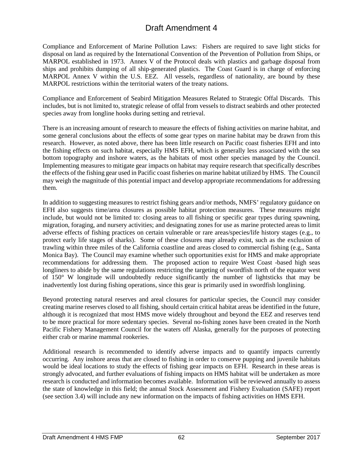Compliance and Enforcement of Marine Pollution Laws: Fishers are required to save light sticks for disposal on land as required by the International Convention of the Prevention of Pollution from Ships, or MARPOL established in 1973. Annex V of the Protocol deals with plastics and garbage disposal from ships and prohibits dumping of all ship-generated plastics. The Coast Guard is in charge of enforcing MARPOL Annex V within the U.S. EEZ. All vessels, regardless of nationality, are bound by these MARPOL restrictions within the territorial waters of the treaty nations.

Compliance and Enforcement of Seabird Mitigation Measures Related to Strategic Offal Discards. This includes, but is not limited to, strategic release of offal from vessels to distract seabirds and other protected species away from longline hooks during setting and retrieval.

There is an increasing amount of research to measure the effects of fishing activities on marine habitat, and some general conclusions about the effects of some gear types on marine habitat may be drawn from this research. However, as noted above, there has been little research on Pacific coast fisheries EFH and into the fishing effects on such habitat, especially HMS EFH, which is generally less associated with the sea bottom topography and inshore waters, as the habitats of most other species managed by the Council. Implementing measures to mitigate gear impacts on habitat may require research that specifically describes the effects of the fishing gear used in Pacific coast fisheries on marine habitat utilized by HMS. The Council may weigh the magnitude of this potential impact and develop appropriate recommendations for addressing them.

In addition to suggesting measures to restrict fishing gears and/or methods, NMFS' regulatory guidance on EFH also suggests time/area closures as possible habitat protection measures. These measures might include, but would not be limited to: closing areas to all fishing or specific gear types during spawning, migration, foraging, and nursery activities; and designating zones for use as marine protected areas to limit adverse effects of fishing practices on certain vulnerable or rare areas/species/life history stages (e.g., to protect early life stages of sharks). Some of these closures may already exist, such as the exclusion of trawling within three miles of the California coastline and areas closed to commercial fishing (e.g., Santa Monica Bay). The Council may examine whether such opportunities exist for HMS and make appropriate recommendations for addressing them. The proposed action to require West Coast -based high seas longliners to abide by the same regulations restricting the targeting of swordfish north of the equator west of 150° W longitude will undoubtedly reduce significantly the number of lightsticks that may be inadvertently lost during fishing operations, since this gear is primarily used in swordfish longlining.

Beyond protecting natural reserves and areal closures for particular species, the Council may consider creating marine reserves closed to all fishing, should certain critical habitat areas be identified in the future, although it is recognized that most HMS move widely throughout and beyond the EEZ and reserves tend to be more practical for more sedentary species. Several no-fishing zones have been created in the North Pacific Fishery Management Council for the waters off Alaska, generally for the purposes of protecting either crab or marine mammal rookeries.

Additional research is recommended to identify adverse impacts and to quantify impacts currently occurring. Any inshore areas that are closed to fishing in order to conserve pupping and juvenile habitats would be ideal locations to study the effects of fishing gear impacts on EFH. Research in these areas is strongly advocated, and further evaluations of fishing impacts on HMS habitat will be undertaken as more research is conducted and information becomes available. Information will be reviewed annually to assess the state of knowledge in this field; the annual Stock Assessment and Fishery Evaluation (SAFE) report (see section 3.4) will include any new information on the impacts of fishing activities on HMS EFH.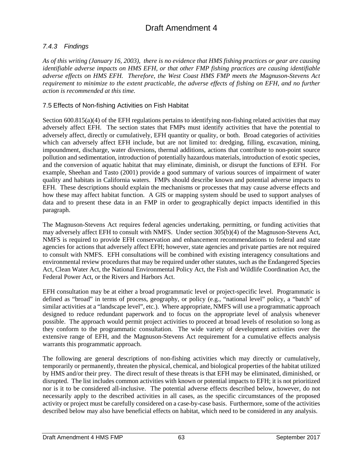## *7.4.3 Findings*

*As of this writing (January 16, 2003), there is no evidence that HMS fishing practices or gear are causing identifiable adverse impacts on HMS EFH, or that other FMP fishing practices are causing identifiable adverse effects on HMS EFH. Therefore, the West Coast HMS FMP meets the Magnuson-Stevens Act requirement to minimize to the extent practicable, the adverse effects of fishing on EFH, and no further action is recommended at this time.*

### 7.5 Effects of Non-fishing Activities on Fish Habitat

Section 600.815(a)(4) of the EFH regulations pertains to identifying non-fishing related activities that may adversely affect EFH. The section states that FMPs must identify activities that have the potential to adversely affect, directly or cumulatively, EFH quantity or quality, or both. Broad categories of activities which can adversely affect EFH include, but are not limited to: dredging, filling, excavation, mining, impoundment, discharge, water diversions, thermal additions, actions that contribute to non-point source pollution and sedimentation, introduction of potentially hazardous materials, introduction of exotic species, and the conversion of aquatic habitat that may eliminate, diminish, or disrupt the functions of EFH. For example, Sheehan and Tasto (2001) provide a good summary of various sources of impairment of water quality and habitats in California waters. FMPs should describe known and potential adverse impacts to EFH. These descriptions should explain the mechanisms or processes that may cause adverse effects and how these may affect habitat function. A GIS or mapping system should be used to support analyses of data and to present these data in an FMP in order to geographically depict impacts identified in this paragraph.

The Magnuson-Stevens Act requires federal agencies undertaking, permitting, or funding activities that may adversely affect EFH to consult with NMFS. Under section 305(b)(4) of the Magnuson-Stevens Act, NMFS is required to provide EFH conservation and enhancement recommendations to federal and state agencies for actions that adversely affect EFH; however, state agencies and private parties are not required to consult with NMFS. EFH consultations will be combined with existing interagency consultations and environmental review procedures that may be required under other statutes, such as the Endangered Species Act, Clean Water Act, the National Environmental Policy Act, the Fish and Wildlife Coordination Act, the Federal Power Act, or the Rivers and Harbors Act.

EFH consultation may be at either a broad programmatic level or project-specific level. Programmatic is defined as "broad" in terms of process, geography, or policy (e.g., "national level" policy, a "batch" of similar activities at a "landscape level", etc.). Where appropriate, NMFS will use a programmatic approach designed to reduce redundant paperwork and to focus on the appropriate level of analysis whenever possible. The approach would permit project activities to proceed at broad levels of resolution so long as they conform to the programmatic consultation. The wide variety of development activities over the extensive range of EFH, and the Magnuson-Stevens Act requirement for a cumulative effects analysis warrants this programmatic approach.

The following are general descriptions of non-fishing activities which may directly or cumulatively, temporarily or permanently, threaten the physical, chemical, and biological properties of the habitat utilized by HMS and/or their prey. The direct result of these threats is that EFH may be eliminated, diminished, or disrupted. The list includes common activities with known or potential impacts to EFH; it is not prioritized nor is it to be considered all-inclusive. The potential adverse effects described below, however, do not necessarily apply to the described activities in all cases, as the specific circumstances of the proposed activity or project must be carefully considered on a case-by-case basis. Furthermore, some of the activities described below may also have beneficial effects on habitat, which need to be considered in any analysis.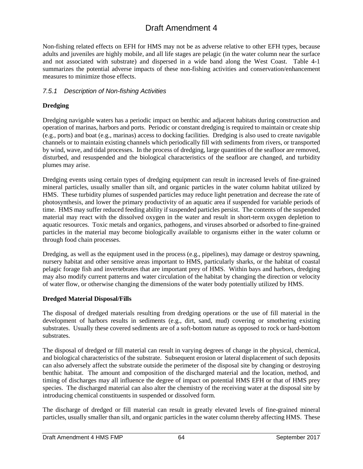Non-fishing related effects on EFH for HMS may not be as adverse relative to other EFH types, because adults and juveniles are highly mobile, and all life stages are pelagic (in the water column near the surface and not associated with substrate) and dispersed in a wide band along the West Coast. Table 4-1 summarizes the potential adverse impacts of these non-fishing activities and conservation/enhancement measures to minimize those effects.

### *7.5.1 Description of Non-fishing Activities*

### **Dredging**

Dredging navigable waters has a periodic impact on benthic and adjacent habitats during construction and operation of marinas, harbors and ports. Periodic or constant dredging is required to maintain or create ship (e.g., ports) and boat (e.g., marinas) access to docking facilities. Dredging is also used to create navigable channels or to maintain existing channels which periodically fill with sediments from rivers, or transported by wind, wave, and tidal processes. In the process of dredging, large quantities of the seafloor are removed, disturbed, and resuspended and the biological characteristics of the seafloor are changed, and turbidity plumes may arise.

Dredging events using certain types of dredging equipment can result in increased levels of fine-grained mineral particles, usually smaller than silt, and organic particles in the water column habitat utilized by HMS. These turbidity plumes of suspended particles may reduce light penetration and decrease the rate of photosynthesis, and lower the primary productivity of an aquatic area if suspended for variable periods of time. HMS may suffer reduced feeding ability if suspended particles persist. The contents of the suspended material may react with the dissolved oxygen in the water and result in short-term oxygen depletion to aquatic resources. Toxic metals and organics, pathogens, and viruses absorbed or adsorbed to fine-grained particles in the material may become biologically available to organisms either in the water column or through food chain processes.

Dredging, as well as the equipment used in the process (e.g., pipelines), may damage or destroy spawning, nursery habitat and other sensitive areas important to HMS, particularly sharks, or the habitat of coastal pelagic forage fish and invertebrates that are important prey of HMS. Within bays and harbors, dredging may also modify current patterns and water circulation of the habitat by changing the direction or velocity of water flow, or otherwise changing the dimensions of the water body potentially utilized by HMS.

### **Dredged Material Disposal/Fills**

The disposal of dredged materials resulting from dredging operations or the use of fill material in the development of harbors results in sediments (e.g., dirt, sand, mud) covering or smothering existing substrates. Usually these covered sediments are of a soft-bottom nature as opposed to rock or hard-bottom substrates.

The disposal of dredged or fill material can result in varying degrees of change in the physical, chemical, and biological characteristics of the substrate. Subsequent erosion or lateral displacement of such deposits can also adversely affect the substrate outside the perimeter of the disposal site by changing or destroying benthic habitat. The amount and composition of the discharged material and the location, method, and timing of discharges may all influence the degree of impact on potential HMS EFH or that of HMS prey species. The discharged material can also alter the chemistry of the receiving water at the disposal site by introducing chemical constituents in suspended or dissolved form.

The discharge of dredged or fill material can result in greatly elevated levels of fine-grained mineral particles, usually smaller than silt, and organic particles in the water column thereby affecting HMS. These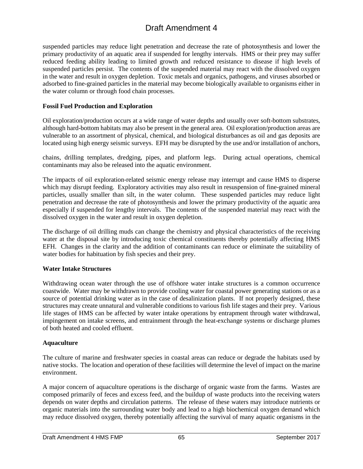suspended particles may reduce light penetration and decrease the rate of photosynthesis and lower the primary productivity of an aquatic area if suspended for lengthy intervals. HMS or their prey may suffer reduced feeding ability leading to limited growth and reduced resistance to disease if high levels of suspended particles persist. The contents of the suspended material may react with the dissolved oxygen in the water and result in oxygen depletion. Toxic metals and organics, pathogens, and viruses absorbed or adsorbed to fine-grained particles in the material may become biologically available to organisms either in the water column or through food chain processes.

### **Fossil Fuel Production and Exploration**

Oil exploration/production occurs at a wide range of water depths and usually over soft-bottom substrates, although hard-bottom habitats may also be present in the general area. Oil exploration/production areas are vulnerable to an assortment of physical, chemical, and biological disturbances as oil and gas deposits are located using high energy seismic surveys. EFH may be disrupted by the use and/or installation of anchors,

chains, drilling templates, dredging, pipes, and platform legs. During actual operations, chemical contaminants may also be released into the aquatic environment.

The impacts of oil exploration-related seismic energy release may interrupt and cause HMS to disperse which may disrupt feeding. Exploratory activities may also result in resuspension of fine-grained mineral particles, usually smaller than silt, in the water column. These suspended particles may reduce light penetration and decrease the rate of photosynthesis and lower the primary productivity of the aquatic area especially if suspended for lengthy intervals. The contents of the suspended material may react with the dissolved oxygen in the water and result in oxygen depletion.

The discharge of oil drilling muds can change the chemistry and physical characteristics of the receiving water at the disposal site by introducing toxic chemical constituents thereby potentially affecting HMS EFH. Changes in the clarity and the addition of contaminants can reduce or eliminate the suitability of water bodies for habituation by fish species and their prey.

#### **Water Intake Structures**

Withdrawing ocean water through the use of offshore water intake structures is a common occurrence coastwide. Water may be withdrawn to provide cooling water for coastal power generating stations or as a source of potential drinking water as in the case of desalinization plants. If not properly designed, these structures may create unnatural and vulnerable conditions to various fish life stages and their prey. Various life stages of HMS can be affected by water intake operations by entrapment through water withdrawal, impingement on intake screens, and entrainment through the heat-exchange systems or discharge plumes of both heated and cooled effluent.

#### **Aquaculture**

The culture of marine and freshwater species in coastal areas can reduce or degrade the habitats used by native stocks. The location and operation of these facilities will determine the level of impact on the marine environment.

A major concern of aquaculture operations is the discharge of organic waste from the farms. Wastes are composed primarily of feces and excess feed, and the buildup of waste products into the receiving waters depends on water depths and circulation patterns. The release of these waters may introduce nutrients or organic materials into the surrounding water body and lead to a high biochemical oxygen demand which may reduce dissolved oxygen, thereby potentially affecting the survival of many aquatic organisms in the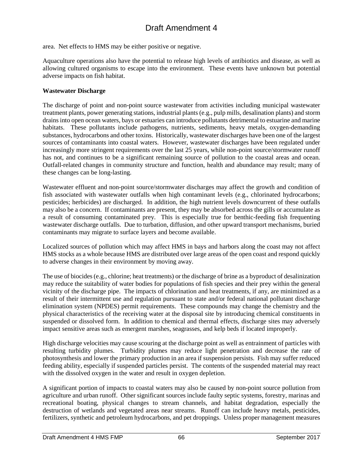area. Net effects to HMS may be either positive or negative.

Aquaculture operations also have the potential to release high levels of antibiotics and disease, as well as allowing cultured organisms to escape into the environment. These events have unknown but potential adverse impacts on fish habitat.

#### **Wastewater Discharge**

The discharge of point and non-point source wastewater from activities including municipal wastewater treatment plants, power generating stations, industrial plants (e.g., pulp mills, desalination plants) and storm drains into open ocean waters, bays or estuaries can introduce pollutants detrimental to estuarine and marine habitats. These pollutants include pathogens, nutrients, sediments, heavy metals, oxygen-demanding substances, hydrocarbons and other toxins. Historically, wastewater discharges have been one of the largest sources of contaminants into coastal waters. However, wastewater discharges have been regulated under increasingly more stringent requirements over the last 25 years, while non-point source/stormwater runoff has not, and continues to be a significant remaining source of pollution to the coastal areas and ocean. Outfall-related changes in community structure and function, health and abundance may result; many of these changes can be long-lasting.

Wastewater effluent and non-point source/stormwater discharges may affect the growth and condition of fish associated with wastewater outfalls when high contaminant levels (e.g., chlorinated hydrocarbons; pesticides; herbicides) are discharged. In addition, the high nutrient levels downcurrent of these outfalls may also be a concern. If contaminants are present, they may be absorbed across the gills or accumulate as a result of consuming contaminated prey. This is especially true for benthic-feeding fish frequenting wastewater discharge outfalls. Due to turbation, diffusion, and other upward transport mechanisms, buried contaminants may migrate to surface layers and become available.

Localized sources of pollution which may affect HMS in bays and harbors along the coast may not affect HMS stocks as a whole because HMS are distributed over large areas of the open coast and respond quickly to adverse changes in their environment by moving away.

The use of biocides (e.g., chlorine; heat treatments) or the discharge of brine as a byproduct of desalinization may reduce the suitability of water bodies for populations of fish species and their prey within the general vicinity of the discharge pipe. The impacts of chlorination and heat treatments, if any, are minimized as a result of their intermittent use and regulation pursuant to state and/or federal national pollutant discharge elimination system (NPDES) permit requirements. These compounds may change the chemistry and the physical characteristics of the receiving water at the disposal site by introducing chemical constituents in suspended or dissolved form. In addition to chemical and thermal effects, discharge sites may adversely impact sensitive areas such as emergent marshes, seagrasses, and kelp beds if located improperly.

High discharge velocities may cause scouring at the discharge point as well as entrainment of particles with resulting turbidity plumes. Turbidity plumes may reduce light penetration and decrease the rate of photosynthesis and lower the primary production in an area if suspension persists. Fish may suffer reduced feeding ability, especially if suspended particles persist. The contents of the suspended material may react with the dissolved oxygen in the water and result in oxygen depletion.

A significant portion of impacts to coastal waters may also be caused by non-point source pollution from agriculture and urban runoff. Other significant sources include faulty septic systems, forestry, marinas and recreational boating, physical changes to stream channels, and habitat degradation, especially the destruction of wetlands and vegetated areas near streams. Runoff can include heavy metals, pesticides, fertilizers, synthetic and petroleum hydrocarbons, and pet droppings. Unless proper management measures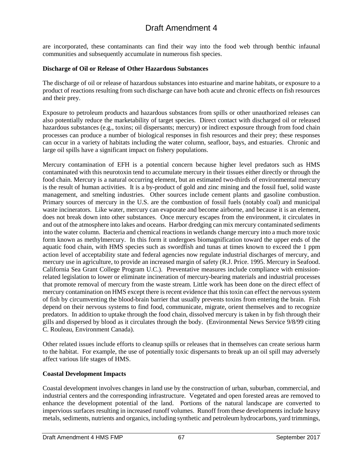are incorporated, these contaminants can find their way into the food web through benthic infaunal communities and subsequently accumulate in numerous fish species.

### **Discharge of Oil or Release of Other Hazardous Substances**

The discharge of oil or release of hazardous substances into estuarine and marine habitats, or exposure to a product of reactions resulting from such discharge can have both acute and chronic effects on fish resources and their prey.

Exposure to petroleum products and hazardous substances from spills or other unauthorized releases can also potentially reduce the marketability of target species. Direct contact with discharged oil or released hazardous substances (e.g., toxins; oil dispersants; mercury) or indirect exposure through from food chain processes can produce a number of biological responses in fish resources and their prey; these responses can occur in a variety of habitats including the water column, seafloor, bays, and estuaries. Chronic and large oil spills have a significant impact on fishery populations.

Mercury contamination of EFH is a potential concern because higher level predators such as HMS contaminated with this neurotoxin tend to accumulate mercury in their tissues either directly or through the food chain. Mercury is a natural occurring element, but an estimated two-thirds of environmental mercury is the result of human activities. It is a by-product of gold and zinc mining and the fossil fuel, solid waste management, and smelting industries. Other sources include cement plants and gasoline combustion. Primary sources of mercury in the U.S. are the combustion of fossil fuels (notably coal) and municipal waste incinerators. Like water, mercury can evaporate and become airborne, and because it is an element, does not break down into other substances. Once mercury escapes from the environment, it circulates in and out of the atmosphere into lakes and oceans. Harbor dredging can mix mercury contaminated sediments into the water column. Bacteria and chemical reactions in wetlands change mercury into a much more toxic form known as methylmercury. In this form it undergoes biomagnification toward the upper ends of the aquatic food chain, with HMS species such as swordfish and tunas at times known to exceed the 1 ppm action level of acceptability state and federal agencies now regulate industrial discharges of mercury, and mercury use in agriculture, to provide an increased margin of safety (R.J. Price. 1995. Mercury in Seafood. California Sea Grant College Program U.C.). Preventative measures include compliance with emissionrelated legislation to lower or eliminate incineration of mercury-bearing materials and industrial processes that promote removal of mercury from the waste stream. Little work has been done on the direct effect of mercury contamination on HMS except there is recent evidence that this toxin can effect the nervous system of fish by circumventing the blood-brain barrier that usually prevents toxins from entering the brain. Fish depend on their nervous systems to find food, communicate, migrate, orient themselves and to recognize predators. In addition to uptake through the food chain, dissolved mercury is taken in by fish through their gills and dispersed by blood as it circulates through the body. (Environmental News Service 9/8/99 citing C. Rouleau, Environment Canada).

Other related issues include efforts to cleanup spills or releases that in themselves can create serious harm to the habitat. For example, the use of potentially toxic dispersants to break up an oil spill may adversely affect various life stages of HMS.

#### **Coastal Development Impacts**

Coastal development involves changes in land use by the construction of urban, suburban, commercial, and industrial centers and the corresponding infrastructure. Vegetated and open forested areas are removed to enhance the development potential of the land. Portions of the natural landscape are converted to impervious surfaces resulting in increased runoff volumes. Runoff from these developments include heavy metals, sediments, nutrients and organics, including synthetic and petroleum hydrocarbons, yard trimmings,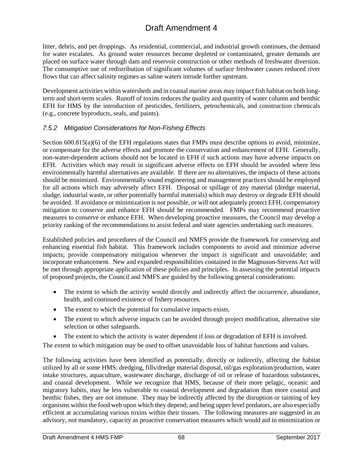litter, debris, and pet droppings. As residential, commercial, and industrial growth continues, the demand for water escalates. As ground water resources become depleted or contaminated, greater demands are placed on surface water through dam and reservoir construction or other methods of freshwater diversion. The consumptive use of redistribution of significant volumes of surface freshwater causes reduced river flows that can affect salinity regimes as saline waters intrude further upstream.

Development activities within watersheds and in coastal marine areas may impact fish habitat on both longterm and short-term scales. Runoff of toxins reduces the quality and quantity of water column and benthic EFH for HMS by the introduction of pesticides, fertilizers, petrochemicals, and construction chemicals (e.g., concrete byproducts, seals, and paints).

## *7.5.2 Mitigation Considerations for Non-Fishing Effects*

Section 600.815(a)(6) of the EFH regulations states that FMPs must describe options to avoid, minimize, or compensate for the adverse effects and promote the conservation and enhancement of EFH. Generally, non-water-dependent actions should not be located in EFH if such actions may have adverse impacts on EFH. Activities which may result in significant adverse effects on EFH should be avoided where less environmentally harmful alternatives are available. If there are no alternatives, the impacts of these actions should be minimized. Environmentally sound engineering and management practices should be employed for all actions which may adversely affect EFH. Disposal or spillage of any material (dredge material, sludge, industrial waste, or other potentially harmful materials) which may destroy or degrade EFH should be avoided. If avoidance or minimization is not possible, or will not adequately protect EFH, compensatory mitigation to conserve and enhance EFH should be recommended. FMPs may recommend proactive measures to conserve or enhance EFH. When developing proactive measures, the Council may develop a priority ranking of the recommendations to assist federal and state agencies undertaking such measures.

Established policies and procedures of the Council and NMFS provide the framework for conserving and enhancing essential fish habitat. This framework includes components to avoid and minimize adverse impacts; provide compensatory mitigation whenever the impact is significant and unavoidable; and incorporate enhancement. New and expanded responsibilities contained in the Magnuson-Stevens Act will be met through appropriate application of these policies and principles. In assessing the potential impacts of proposed projects, the Council and NMFS are guided by the following general considerations:

- The extent to which the activity would directly and indirectly affect the occurrence, abundance, health, and continued existence of fishery resources.
- The extent to which the potential for cumulative impacts exists.
- The extent to which adverse impacts can be avoided through project modification, alternative site selection or other safeguards.
- The extent to which the activity is water dependent if loss or degradation of EFH is involved.

The extent to which mitigation may be used to offset unavoidable loss of habitat functions and values.

The following activities have been identified as potentially, directly or indirectly, affecting the habitat utilized by all or some HMS: dredging, fills/dredge material disposal, oil/gas exploration/production, water intake structures, aquaculture, wastewater discharge, discharge of oil or release of hazardous substances, and coastal development. While we recognize that HMS, because of their more pelagic, oceanic and migratory habits, may be less vulnerable to coastal development and degradation than more coastal and benthic fishes, they are not immune. They may be indirectly affected by the disruption or tainting of key organisms within the food web upon which they depend; and being upper level predators, are also especially efficient at accumulating various toxins within their tissues. The following measures are suggested in an advisory, not mandatory, capacity as proactive conservation measures which would aid in minimization or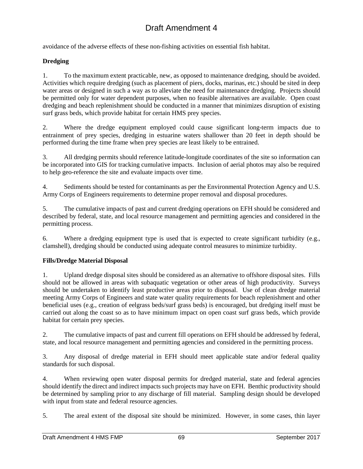avoidance of the adverse effects of these non-fishing activities on essential fish habitat.

### **Dredging**

1. To the maximum extent practicable, new, as opposed to maintenance dredging, should be avoided. Activities which require dredging (such as placement of piers, docks, marinas, etc.) should be sited in deep water areas or designed in such a way as to alleviate the need for maintenance dredging. Projects should be permitted only for water dependent purposes, when no feasible alternatives are available. Open coast dredging and beach replenishment should be conducted in a manner that minimizes disruption of existing surf grass beds, which provide habitat for certain HMS prey species.

2. Where the dredge equipment employed could cause significant long-term impacts due to entrainment of prey species, dredging in estuarine waters shallower than 20 feet in depth should be performed during the time frame when prey species are least likely to be entrained.

3. All dredging permits should reference latitude-longitude coordinates of the site so information can be incorporated into GIS for tracking cumulative impacts. Inclusion of aerial photos may also be required to help geo-reference the site and evaluate impacts over time.

4. Sediments should be tested for contaminants as per the Environmental Protection Agency and U.S. Army Corps of Engineers requirements to determine proper removal and disposal procedures.

5. The cumulative impacts of past and current dredging operations on EFH should be considered and described by federal, state, and local resource management and permitting agencies and considered in the permitting process.

6. Where a dredging equipment type is used that is expected to create significant turbidity (e.g., clamshell), dredging should be conducted using adequate control measures to minimize turbidity.

### **Fills/Dredge Material Disposal**

1. Upland dredge disposal sites should be considered as an alternative to offshore disposal sites. Fills should not be allowed in areas with subaquatic vegetation or other areas of high productivity. Surveys should be undertaken to identify least productive areas prior to disposal. Use of clean dredge material meeting Army Corps of Engineers and state water quality requirements for beach replenishment and other beneficial uses (e.g., creation of eelgrass beds/surf grass beds) is encouraged, but dredging itself must be carried out along the coast so as to have minimum impact on open coast surf grass beds, which provide habitat for certain prey species.

2. The cumulative impacts of past and current fill operations on EFH should be addressed by federal, state, and local resource management and permitting agencies and considered in the permitting process.

3. Any disposal of dredge material in EFH should meet applicable state and/or federal quality standards for such disposal.

4. When reviewing open water disposal permits for dredged material, state and federal agencies should identify the direct and indirect impacts such projects may have on EFH. Benthic productivity should be determined by sampling prior to any discharge of fill material. Sampling design should be developed with input from state and federal resource agencies.

5. The areal extent of the disposal site should be minimized. However, in some cases, thin layer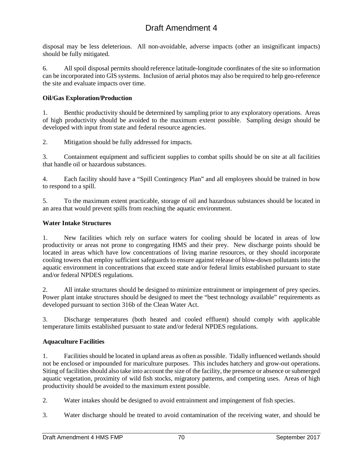disposal may be less deleterious. All non-avoidable, adverse impacts (other an insignificant impacts) should be fully mitigated.

6. All spoil disposal permits should reference latitude-longitude coordinates of the site so information can be incorporated into GIS systems. Inclusion of aerial photos may also be required to help geo-reference the site and evaluate impacts over time.

## **Oil/Gas Exploration/Production**

1. Benthic productivity should be determined by sampling prior to any exploratory operations. Areas of high productivity should be avoided to the maximum extent possible. Sampling design should be developed with input from state and federal resource agencies.

2. Mitigation should be fully addressed for impacts.

3. Containment equipment and sufficient supplies to combat spills should be on site at all facilities that handle oil or hazardous substances.

4. Each facility should have a "Spill Contingency Plan" and all employees should be trained in how to respond to a spill.

5. To the maximum extent practicable, storage of oil and hazardous substances should be located in an area that would prevent spills from reaching the aquatic environment.

## **Water Intake Structures**

1. New facilities which rely on surface waters for cooling should be located in areas of low productivity or areas not prone to congregating HMS and their prey. New discharge points should be located in areas which have low concentrations of living marine resources, or they should incorporate cooling towers that employ sufficient safeguards to ensure against release of blow-down pollutants into the aquatic environment in concentrations that exceed state and/or federal limits established pursuant to state and/or federal NPDES regulations.

2. All intake structures should be designed to minimize entrainment or impingement of prey species. Power plant intake structures should be designed to meet the "best technology available" requirements as developed pursuant to section 316b of the Clean Water Act.

3. Discharge temperatures (both heated and cooled effluent) should comply with applicable temperature limits established pursuant to state and/or federal NPDES regulations.

## **Aquaculture Facilities**

1. Facilities should be located in upland areas as often as possible. Tidally influenced wetlands should not be enclosed or impounded for mariculture purposes. This includes hatchery and grow-out operations. Siting of facilities should also take into account the size of the facility, the presence or absence or submerged aquatic vegetation, proximity of wild fish stocks, migratory patterns, and competing uses. Areas of high productivity should be avoided to the maximum extent possible.

2. Water intakes should be designed to avoid entrainment and impingement of fish species.

3. Water discharge should be treated to avoid contamination of the receiving water, and should be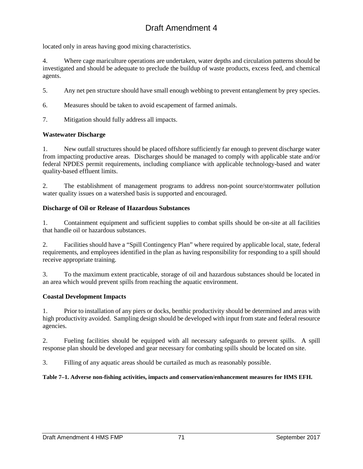located only in areas having good mixing characteristics.

4. Where cage mariculture operations are undertaken, water depths and circulation patterns should be investigated and should be adequate to preclude the buildup of waste products, excess feed, and chemical agents.

- 5. Any net pen structure should have small enough webbing to prevent entanglement by prey species.
- 6. Measures should be taken to avoid escapement of farmed animals.
- 7. Mitigation should fully address all impacts.

#### **Wastewater Discharge**

1. New outfall structures should be placed offshore sufficiently far enough to prevent discharge water from impacting productive areas. Discharges should be managed to comply with applicable state and/or federal NPDES permit requirements, including compliance with applicable technology-based and water quality-based effluent limits.

2. The establishment of management programs to address non-point source/stormwater pollution water quality issues on a watershed basis is supported and encouraged.

#### **Discharge of Oil or Release of Hazardous Substances**

1. Containment equipment and sufficient supplies to combat spills should be on-site at all facilities that handle oil or hazardous substances.

2. Facilities should have a "Spill Contingency Plan" where required by applicable local, state, federal requirements, and employees identified in the plan as having responsibility for responding to a spill should receive appropriate training.

3. To the maximum extent practicable, storage of oil and hazardous substances should be located in an area which would prevent spills from reaching the aquatic environment.

#### **Coastal Development Impacts**

1. Prior to installation of any piers or docks, benthic productivity should be determined and areas with high productivity avoided. Sampling design should be developed with input from state and federal resource agencies.

2. Fueling facilities should be equipped with all necessary safeguards to prevent spills. A spill response plan should be developed and gear necessary for combating spills should be located on site.

3. Filling of any aquatic areas should be curtailed as much as reasonably possible.

#### **Table 7–1. Adverse non-fishing activities, impacts and conservation/enhancement measures for HMS EFH.**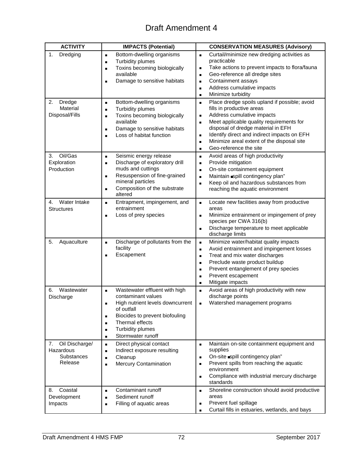| <b>ACTIVITY</b>                                                   | <b>IMPACTS (Potential)</b>                                                                                                                                                                                                                                                                                | <b>CONSERVATION MEASURES (Advisory)</b>                                                                                                                                                                                                                                                                                                                                                                                       |
|-------------------------------------------------------------------|-----------------------------------------------------------------------------------------------------------------------------------------------------------------------------------------------------------------------------------------------------------------------------------------------------------|-------------------------------------------------------------------------------------------------------------------------------------------------------------------------------------------------------------------------------------------------------------------------------------------------------------------------------------------------------------------------------------------------------------------------------|
| 1.<br>Dredging                                                    | Bottom-dwelling organisms<br>$\blacksquare$<br><b>Turbidity plumes</b><br>$\blacksquare$<br>Toxins becoming biologically<br>$\blacksquare$<br>available<br>Damage to sensitive habitats                                                                                                                   | Curtail/minimize new dredging activities as<br>$\blacksquare$<br>practicable<br>Take actions to prevent impacts to flora/fauna<br>$\blacksquare$<br>Geo-reference all dredge sites<br>$\blacksquare$<br>Containment assays<br>$\blacksquare$<br>Address cumulative impacts<br>$\blacksquare$<br>Minimize turbidity<br>$\blacksquare$                                                                                          |
| Dredge<br>2.<br>Material<br>Disposal/Fills                        | Bottom-dwelling organisms<br>$\blacksquare$<br><b>Turbidity plumes</b><br>$\blacksquare$<br>Toxins becoming biologically<br>$\blacksquare$<br>available<br>Damage to sensitive habitats<br>$\blacksquare$<br>Loss of habitat function<br>п                                                                | Place dredge spoils upland if possible; avoid<br>$\blacksquare$<br>fills in productive areas<br>Address cumulative impacts<br>$\blacksquare$<br>Meet applicable quality requirements for<br>$\blacksquare$<br>disposal of dredge material in EFH<br>Identify direct and indirect impacts on EFH<br>$\blacksquare$<br>Minimize areal extent of the disposal site<br>$\blacksquare$<br>Geo-reference the site<br>$\blacksquare$ |
| Oil/Gas<br>3.<br>Exploration<br>Production                        | Seismic energy release<br>$\blacksquare$<br>Discharge of exploratory drill<br>$\blacksquare$<br>muds and cuttings<br>Resuspension of fine-grained<br>$\blacksquare$<br>mineral particles<br>Composition of the substrate<br>$\blacksquare$<br>altered                                                     | Avoid areas of high productivity<br>$\blacksquare$<br>Provide mitigation<br>$\blacksquare$<br>On-site containment equipment<br>$\blacksquare$<br>Maintain spill contingency plan"<br>$\blacksquare$<br>Keep oil and hazardous substances from<br>$\blacksquare$<br>reaching the aquatic environment                                                                                                                           |
| Water Intake<br>4.<br><b>Structures</b>                           | Entrapment, impingement, and<br>$\blacksquare$<br>entrainment<br>Loss of prey species<br>$\blacksquare$                                                                                                                                                                                                   | Locate new facilities away from productive<br>$\blacksquare$<br>areas<br>Minimize entrainment or impingement of prey<br>$\blacksquare$<br>species per CWA 316(b)<br>Discharge temperature to meet applicable<br>$\blacksquare$<br>discharge limits                                                                                                                                                                            |
| 5.<br>Aquaculture                                                 | Discharge of pollutants from the<br>$\blacksquare$<br>facility<br>Escapement                                                                                                                                                                                                                              | Minimize water/habitat quality impacts<br>$\blacksquare$<br>Avoid entrainment and impingement losses<br>$\blacksquare$<br>Treat and mix water discharges<br>$\blacksquare$<br>Preclude waste product buildup<br>$\blacksquare$<br>Prevent entanglement of prey species<br>$\blacksquare$<br>Prevent escapement<br>$\blacksquare$<br>Mitigate impacts<br>$\blacksquare$                                                        |
| Wastewater<br>6.<br>Discharge                                     | Wastewater effluent with high<br>$\blacksquare$<br>contaminant values<br>High nutrient levels downcurrent<br>Ξ<br>of outfall<br>Biocides to prevent biofouling<br>$\blacksquare$<br>Thermal effects<br>$\blacksquare$<br><b>Turbidity plumes</b><br>$\blacksquare$<br>Stormwater runoff<br>$\blacksquare$ | Avoid areas of high productivity with new<br>$\blacksquare$<br>discharge points<br>Watershed management programs<br>$\blacksquare$                                                                                                                                                                                                                                                                                            |
| Oil Discharge/<br>7.<br>Hazardous<br><b>Substances</b><br>Release | Direct physical contact<br>$\blacksquare$<br>Indirect exposure resulting<br>$\blacksquare$<br>Cleanup<br>$\blacksquare$<br><b>Mercury Contamination</b><br>$\blacksquare$                                                                                                                                 | Maintain on-site containment equipment and<br>$\blacksquare$<br>supplies<br>On-site spill contingency plan"<br>$\blacksquare$<br>Prevent spills from reaching the aquatic<br>$\blacksquare$<br>environment<br>Compliance with industrial mercury discharge<br>$\blacksquare$<br>standards                                                                                                                                     |
| Coastal<br>8.<br>Development<br>Impacts                           | Contaminant runoff<br>$\blacksquare$<br>Sediment runoff<br>$\blacksquare$<br>Filling of aquatic areas<br>$\blacksquare$                                                                                                                                                                                   | Shoreline construction should avoid productive<br>$\blacksquare$<br>areas<br>Prevent fuel spillage<br>$\blacksquare$<br>Curtail fills in estuaries, wetlands, and bays<br>$\blacksquare$                                                                                                                                                                                                                                      |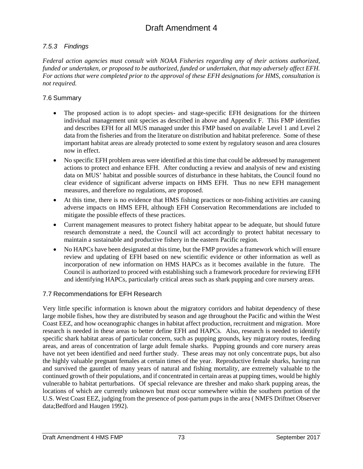## *7.5.3 Findings*

*Federal action agencies must consult with NOAA Fisheries regarding any of their actions authorized, funded or undertaken, or proposed to be authorized, funded or undertaken, that may adversely affect EFH. For actions that were completed prior to the approval of these EFH designations for HMS, consultation is not required.*

## 7.6 Summary

- The proposed action is to adopt species- and stage-specific EFH designations for the thirteen individual management unit species as described in above and Appendix F. This FMP identifies and describes EFH for all MUS managed under this FMP based on available Level 1 and Level 2 data from the fisheries and from the literature on distribution and habitat preference. Some of these important habitat areas are already protected to some extent by regulatory season and area closures now in effect.
- No specific EFH problem areas were identified at this time that could be addressed by management actions to protect and enhance EFH. After conducting a review and analysis of new and existing data on MUS' habitat and possible sources of disturbance in these habitats, the Council found no clear evidence of significant adverse impacts on HMS EFH. Thus no new EFH management measures, and therefore no regulations, are proposed.
- At this time, there is no evidence that HMS fishing practices or non-fishing activities are causing adverse impacts on HMS EFH, although EFH Conservation Recommendations are included to mitigate the possible effects of these practices.
- Current management measures to protect fishery habitat appear to be adequate, but should future research demonstrate a need, the Council will act accordingly to protect habitat necessary to maintain a sustainable and productive fishery in the eastern Pacific region.
- No HAPCs have been designated at this time, but the FMP provides a framework which will ensure review and updating of EFH based on new scientific evidence or other information as well as incorporation of new information on HMS HAPCs as it becomes available in the future. The Council is authorized to proceed with establishing such a framework procedure for reviewing EFH and identifying HAPCs, particularly critical areas such as shark pupping and core nursery areas.

## 7.7 Recommendations for EFH Research

Very little specific information is known about the migratory corridors and habitat dependency of these large mobile fishes, how they are distributed by season and age throughout the Pacific and within the West Coast EEZ, and how oceanographic changes in habitat affect production, recruitment and migration. More research is needed in these areas to better define EFH and HAPCs. Also, research is needed to identify specific shark habitat areas of particular concern, such as pupping grounds, key migratory routes, feeding areas, and areas of concentration of large adult female sharks. Pupping grounds and core nursery areas have not yet been identified and need further study. These areas may not only concentrate pups, but also the highly valuable pregnant females at certain times of the year. Reproductive female sharks, having run and survived the gauntlet of many years of natural and fishing mortality, are extremely valuable to the continued growth of their populations, and if concentrated in certain areas at pupping times, would be highly vulnerable to habitat perturbations. Of special relevance are thresher and mako shark pupping areas, the locations of which are currently unknown but must occur somewhere within the southern portion of the U.S. West Coast EEZ, judging from the presence of post-partum pups in the area ( NMFS Driftnet Observer data;Bedford and Haugen 1992).